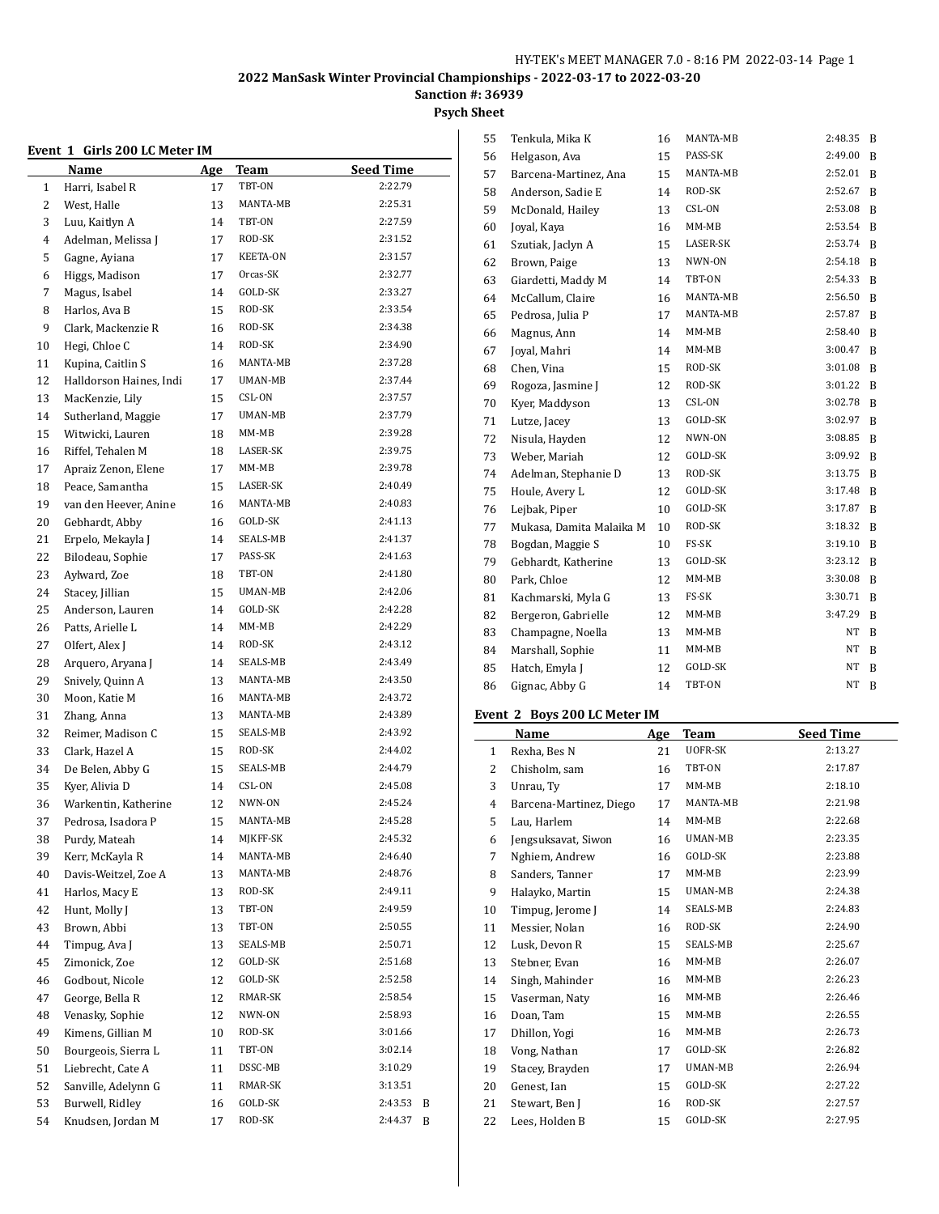# **Sanction #: 36939**

# **Psych Sheet**

# **Event 1 Girls 200 LC Meter IM**

|          | EVENT 1 GIFIS ZUU LU METEF IM |     |                 |                  |
|----------|-------------------------------|-----|-----------------|------------------|
|          | Name                          | Age | Team            | <b>Seed Time</b> |
| 1        | Harri, Isabel R               | 17  | TBT-ON          | 2:22.79          |
| 2        | West, Halle                   | 13  | MANTA-MB        | 2:25.31          |
| 3        | Luu, Kaitlyn A                | 14  | TBT-ON          | 2:27.59          |
| 4        | Adelman, Melissa J            | 17  | ROD-SK          | 2:31.52          |
| 5        | Gagne, Ayiana                 | 17  | <b>KEETA-ON</b> | 2:31.57          |
| 6        | Higgs, Madison                | 17  | Orcas-SK        | 2:32.77          |
| 7        | Magus, Isabel                 | 14  | GOLD-SK         | 2:33.27          |
| 8        | Harlos, Ava B                 | 15  | ROD-SK          | 2:33.54          |
| 9        | Clark, Mackenzie R            | 16  | ROD-SK          | 2:34.38          |
| 10       | Hegi, Chloe C                 | 14  | ROD-SK          | 2:34.90          |
| 11       | Kupina, Caitlin S             | 16  | MANTA-MB        | 2:37.28          |
| 12       | Halldorson Haines, Indi       | 17  | UMAN-MB         | 2:37.44          |
| 13       | MacKenzie, Lily               | 15  | CSL-ON          | 2:37.57          |
| 14       | Sutherland, Maggie            | 17  | UMAN-MB         | 2:37.79          |
| 15       | Witwicki, Lauren              | 18  | MM-MB           | 2:39.28          |
| 16       | Riffel, Tehalen M             | 18  | LASER-SK        | 2:39.75          |
| 17       | Apraiz Zenon, Elene           | 17  | $MM-MB$         | 2:39.78          |
| 18       | Peace, Samantha               | 15  | <b>LASER-SK</b> | 2:40.49          |
| 19       | van den Heever, Anine         | 16  | MANTA-MB        | 2:40.83          |
| 20       | Gebhardt, Abby                | 16  | GOLD-SK         | 2:41.13          |
| 21       | Erpelo, Mekayla J             | 14  | SEALS-MB        | 2:41.37          |
| 22       | Bilodeau, Sophie              | 17  | PASS-SK         | 2:41.63          |
| 23       | Aylward, Zoe                  | 18  | TBT-ON          | 2:41.80          |
| 24       | Stacey, Jillian               | 15  | UMAN-MB         | 2:42.06          |
| 25       | Anderson, Lauren              | 14  | GOLD-SK         | 2:42.28          |
| 26       | Patts, Arielle L              | 14  | $MM-MB$         | 2:42.29          |
| 27       | Olfert, Alex J                | 14  | ROD-SK          | 2:43.12          |
| 28       | Arquero, Aryana J             | 14  | SEALS-MB        | 2:43.49          |
| 29       | Snively, Quinn A              | 13  | MANTA-MB        | 2:43.50          |
| 30       | Moon, Katie M                 | 16  | MANTA-MB        | 2:43.72          |
| 31       | Zhang, Anna                   | 13  | MANTA-MB        | 2:43.89          |
| 32       | Reimer, Madison C             | 15  | SEALS-MB        | 2:43.92          |
| 33       | Clark, Hazel A                | 15  | ROD-SK          | 2:44.02          |
| 34       | De Belen, Abby G              | 15  | SEALS-MB        | 2:44.79          |
| 35       | Kyer, Alivia D                | 14  | CSL-ON          | 2:45.08          |
| 36       | Warkentin, Katherine          | 12  | NWN-ON          | 2:45.24          |
| 37       | Pedrosa, Isadora P            | 15  | MANTA-MB        | 2:45.28          |
| 38       | Purdy, Mateah                 | 14  | MJKFF-SK        | 2:45.32          |
| 39       | Kerr, McKayla R               | 14  | MANTA-MB        | 2:46.40          |
| $40\,$   | Davis-Weitzel, Zoe A          | 13  | MANTA-MB        | 2:48.76          |
| 41       | Harlos, Macy E                | 13  | ROD-SK          | 2:49.11          |
| 42       | Hunt, Molly J                 | 13  | TBT-ON          | 2:49.59          |
| 43       | Brown, Abbi                   | 13  | TBT-ON          | 2:50.55          |
| $\rm 44$ | Timpug, Ava J                 | 13  | SEALS-MB        | 2:50.71          |
|          | Zimonick, Zoe                 |     | GOLD-SK         | 2:51.68          |
| 45       | Godbout, Nicole               | 12  | GOLD-SK         | 2:52.58          |
| 46<br>47 | George, Bella R               | 12  | RMAR-SK         | 2:58.54          |
|          |                               | 12  |                 |                  |
| 48       | Venasky, Sophie               | 12  | NWN-ON          | 2:58.93          |
| 49       | Kimens, Gillian M             | 10  | ROD-SK          | 3:01.66          |
| 50       | Bourgeois, Sierra L           | 11  | TBT-ON          | 3:02.14          |
| 51       | Liebrecht, Cate A             | 11  | DSSC-MB         | 3:10.29          |
| 52       | Sanville, Adelynn G           | 11  | RMAR-SK         | 3:13.51          |
| 53       | Burwell, Ridley               | 16  | GOLD-SK         | 2:43.53<br>B     |
| 54       | Knudsen, Jordan M             | 17  | ROD-SK          | 2:44.37<br>B     |

| Tenkula, Mika K          | 16 | MANTA-MB | 2:48.35   | B |
|--------------------------|----|----------|-----------|---|
| Helgason, Ava            | 15 | PASS-SK  | 2:49.00   | B |
| Barcena-Martinez, Ana    | 15 | MANTA-MB | 2:52.01   | B |
| Anderson, Sadie E        | 14 | ROD-SK   | 2:52.67   | B |
| McDonald, Hailey         | 13 | CSL-ON   | 2:53.08   | B |
| Joyal, Kaya              | 16 | MM-MB    | 2:53.54   | B |
| Szutiak, Jaclyn A        | 15 | LASER-SK | 2:53.74   | B |
| Brown, Paige             | 13 | NWN-ON   | 2:54.18   | B |
| Giardetti, Maddy M       | 14 | TBT-ON   | 2:54.33   | B |
| McCallum, Claire         | 16 | MANTA-MB | 2:56.50   | B |
| Pedrosa, Julia P         | 17 | MANTA-MB | 2:57.87   | B |
| Magnus, Ann              | 14 | MM-MB    | 2:58.40   | B |
| Joyal, Mahri             | 14 | MM-MB    | 3:00.47   | B |
| Chen, Vina               | 15 | ROD-SK   | 3:01.08   | B |
| Rogoza, Jasmine J        | 12 | ROD-SK   | 3:01.22   | B |
| Kyer, Maddyson           | 13 | CSL-ON   | 3:02.78   | B |
| Lutze, Jacey             | 13 | GOLD-SK  | 3:02.97   | B |
| Nisula, Hayden           | 12 | NWN-ON   | 3:08.85   | B |
| Weber, Mariah            | 12 | GOLD-SK  | 3:09.92   | B |
| Adelman, Stephanie D     | 13 | ROD-SK   | 3:13.75   | B |
| Houle, Avery L           | 12 | GOLD-SK  | 3:17.48   | B |
| Lejbak, Piper            | 10 | GOLD-SK  | 3:17.87   | B |
| Mukasa, Damita Malaika M | 10 | ROD-SK   | 3:18.32   | B |
| Bogdan, Maggie S         | 10 | FS-SK    | 3:19.10   | B |
| Gebhardt, Katherine      | 13 | GOLD-SK  | 3:23.12   | B |
| Park, Chloe              | 12 | MM-MB    | 3:30.08   | B |
| Kachmarski, Myla G       | 13 | FS-SK    | 3:30.71   | B |
| Bergeron, Gabrielle      | 12 | MM-MB    | 3:47.29   | B |
| Champagne, Noella        | 13 | MM-MB    | NΤ        | B |
| Marshall, Sophie         | 11 | MM-MB    | NT        | B |
| Hatch, Emyla J           | 12 | GOLD-SK  | NΤ        | B |
| Gignac, Abby G           | 14 | TBT-ON   | <b>NT</b> | B |
|                          |    |          |           |   |

#### **Event 2 Boys 200 LC Meter IM**

|              | Name                    | Age | Team     | Seed Time |
|--------------|-------------------------|-----|----------|-----------|
| $\mathbf{1}$ | Rexha, Bes N            | 21  | UOFR-SK  | 2:13.27   |
| 2            | Chisholm, sam           | 16  | TBT-ON   | 2:17.87   |
| 3            | Unrau, Ty               | 17  | $MM-MB$  | 2:18.10   |
| 4            | Barcena-Martinez, Diego | 17  | MANTA-MB | 2:21.98   |
| 5            | Lau, Harlem             | 14  | MM-MB    | 2:22.68   |
| 6            | Jengsuksavat, Siwon     | 16  | UMAN-MB  | 2:23.35   |
| 7            | Nghiem, Andrew          | 16  | GOLD-SK  | 2:23.88   |
| 8            | Sanders, Tanner         | 17  | $MM-MB$  | 2:23.99   |
| 9            | Halayko, Martin         | 15  | UMAN-MB  | 2:24.38   |
| 10           | Timpug, Jerome J        | 14  | SEALS-MB | 2:24.83   |
| 11           | Messier, Nolan          | 16  | ROD-SK   | 2:24.90   |
| 12           | Lusk, Devon R           | 15  | SEALS-MB | 2:25.67   |
| 13           | Stebner, Evan           | 16  | $MM-MB$  | 2:26.07   |
| 14           | Singh, Mahinder         | 16  | $MM-MB$  | 2:26.23   |
| 15           | Vaserman, Naty          | 16  | $MM-MB$  | 2:26.46   |
| 16           | Doan, Tam               | 15  | MM-MB    | 2:26.55   |
| 17           | Dhillon, Yogi           | 16  | MM-MB    | 2:26.73   |
| 18           | Vong, Nathan            | 17  | GOLD-SK  | 2:26.82   |
| 19           | Stacey, Brayden         | 17  | UMAN-MB  | 2:26.94   |
| 20           | Genest, Ian             | 15  | GOLD-SK  | 2:27.22   |
| 21           | Stewart, Ben J          | 16  | ROD-SK   | 2:27.57   |
| 22           | Lees, Holden B          | 15  | GOLD-SK  | 2:27.95   |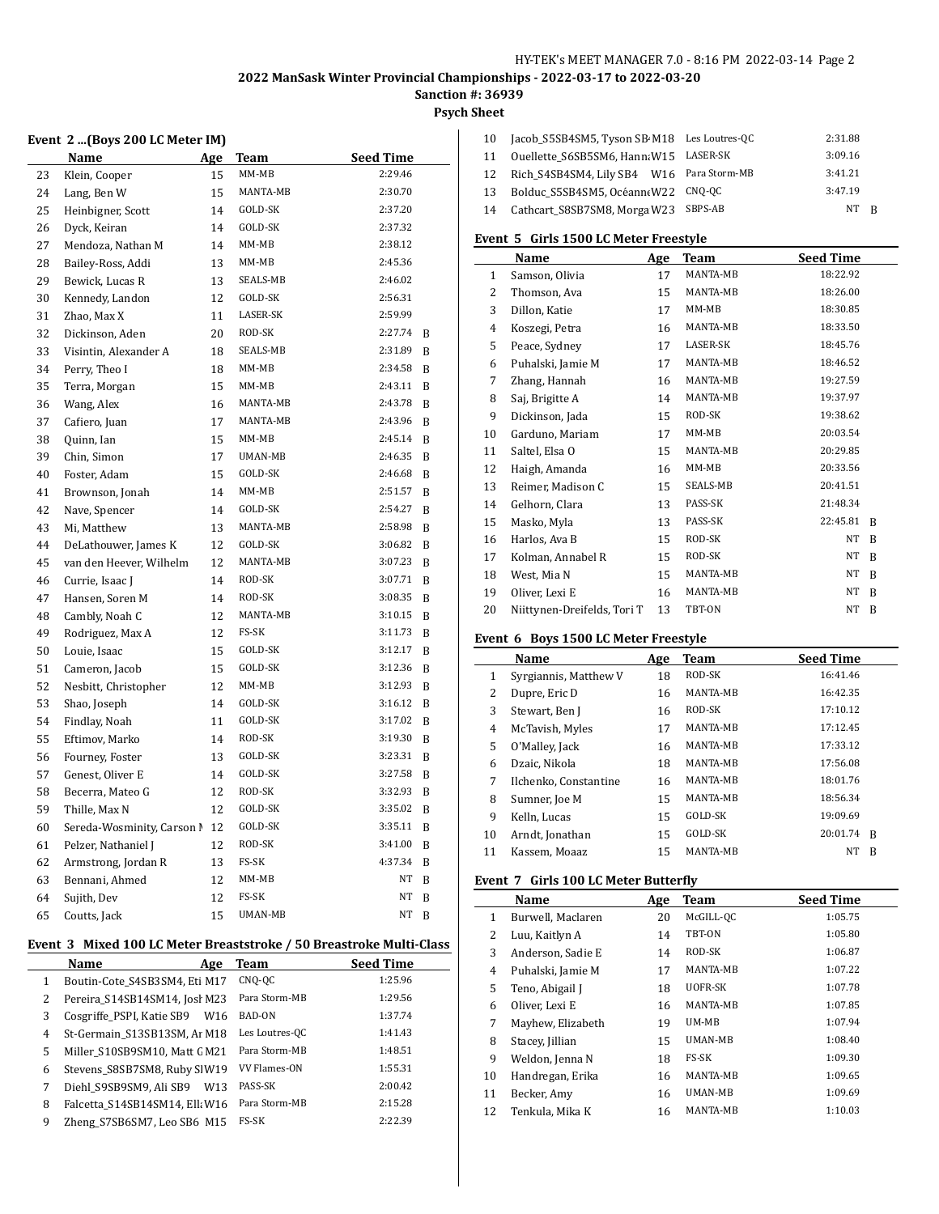# **Psych Sheet**

#### **Event 2 ...(Boys 200 LC Meter IM)**

|    | Name                       | <u>Age</u> | Team     | <b>Seed Time</b> |   |
|----|----------------------------|------------|----------|------------------|---|
| 23 | Klein, Cooper              | 15         | $MM-MB$  | 2:29.46          |   |
| 24 | Lang, Ben W                | 15         | MANTA-MB | 2:30.70          |   |
| 25 | Heinbigner, Scott          | 14         | GOLD-SK  | 2:37.20          |   |
| 26 | Dyck, Keiran               | 14         | GOLD-SK  | 2:37.32          |   |
| 27 | Mendoza, Nathan M          | 14         | $MM-MB$  | 2:38.12          |   |
| 28 | Bailey-Ross, Addi          | 13         | $MM-MB$  | 2:45.36          |   |
| 29 | Bewick, Lucas R            | 13         | SEALS-MB | 2:46.02          |   |
| 30 | Kennedy, Landon            | 12         | GOLD-SK  | 2:56.31          |   |
| 31 | Zhao, Max X                | 11         | LASER-SK | 2:59.99          |   |
| 32 | Dickinson, Aden            | 20         | ROD-SK   | 2:27.74          | B |
| 33 | Visintin, Alexander A      | 18         | SEALS-MB | 2:31.89          | B |
| 34 | Perry, Theo I              | 18         | MM-MB    | 2:34.58          | B |
| 35 | Terra, Morgan              | 15         | MM-MB    | 2:43.11          | B |
| 36 | Wang, Alex                 | 16         | MANTA-MB | 2:43.78          | B |
| 37 | Cafiero, Juan              | 17         | MANTA-MB | 2:43.96          | B |
| 38 | Quinn, Ian                 | 15         | $MM-MB$  | 2:45.14          | B |
| 39 | Chin, Simon                | 17         | UMAN-MB  | 2:46.35          | B |
| 40 | Foster, Adam               | 15         | GOLD-SK  | 2:46.68          | B |
| 41 | Brownson, Jonah            | 14         | $MM-MB$  | 2:51.57          | B |
| 42 | Nave, Spencer              | 14         | GOLD-SK  | 2:54.27          | B |
| 43 | Mi, Matthew                | 13         | MANTA-MB | 2:58.98          | B |
| 44 | DeLathouwer, James K       | 12         | GOLD-SK  | 3:06.82          | B |
| 45 | van den Heever, Wilhelm    | 12         | MANTA-MB | 3:07.23          | B |
| 46 | Currie, Isaac J            | 14         | ROD-SK   | 3:07.71          | B |
| 47 | Hansen, Soren M            | 14         | ROD-SK   | 3:08.35          | B |
| 48 | Cambly, Noah C             | 12         | MANTA-MB | 3:10.15          | B |
| 49 | Rodriguez, Max A           | 12         | FS-SK    | 3:11.73          | B |
| 50 | Louie, Isaac               | 15         | GOLD-SK  | 3:12.17          | B |
| 51 | Cameron, Jacob             | 15         | GOLD-SK  | 3:12.36          | B |
| 52 | Nesbitt, Christopher       | 12         | MM-MB    | 3:12.93          | B |
| 53 | Shao, Joseph               | 14         | GOLD-SK  | 3:16.12          | B |
| 54 | Findlay, Noah              | 11         | GOLD-SK  | 3:17.02          | B |
| 55 | Eftimov, Marko             | 14         | ROD-SK   | 3:19.30          | B |
| 56 | Fourney, Foster            | 13         | GOLD-SK  | 3:23.31          | B |
| 57 | Genest, Oliver E           | 14         | GOLD-SK  | 3:27.58          | B |
| 58 | Becerra, Mateo G           | 12         | ROD-SK   | 3:32.93          | B |
| 59 | Thille, Max N              | 12         | GOLD-SK  | 3:35.02          | B |
| 60 | Sereda-Wosminity, Carson N | 12         | GOLD-SK  | 3:35.11          | B |
| 61 | Pelzer, Nathaniel J        | 12         | ROD-SK   | 3:41.00          | B |
| 62 | Armstrong, Jordan R        | 13         | FS-SK    | 4:37.34          | B |
| 63 | Bennani, Ahmed             | 12         | MM-MB    | NT               | B |
| 64 | Sujith, Dev                | 12         | FS-SK    | NT               | B |
| 65 | Coutts, Jack               | 15         | UMAN-MB  | NT               | B |
|    |                            |            |          |                  |   |

#### **Event 3 Mixed 100 LC Meter Breaststroke / 50 Breastroke Multi-Class**

|   | Name<br>Age                                | Team                | <b>Seed Time</b> |
|---|--------------------------------------------|---------------------|------------------|
| 1 | Boutin-Cote_S4SB3SM4, Eti M17              | CNQ-QC              | 1:25.96          |
| 2 | Pereira S14SB14SM14, Josì M23              | Para Storm-MB       | 1:29.56          |
| 3 | Cosgriffe_PSPI, Katie SB9<br>W16           | BAD-ON              | 1:37.74          |
| 4 | St-Germain S13SB13SM, Ar M18               | Les Loutres-OC      | 1:41.43          |
| 5 | Miller S10SB9SM10, Matt GM21               | Para Storm-MB       | 1:48.51          |
| 6 | Stevens_S8SB7SM8, Ruby SIW19               | <b>VV Flames-ON</b> | 1:55.31          |
| 7 | Diehl S9SB9SM9, Ali SB9<br>W <sub>13</sub> | PASS-SK             | 2:00.42          |
| 8 | Falcetta S14SB14SM14, Ell; W16             | Para Storm-MB       | 2:15.28          |
| 9 | Zheng S7SB6SM7, Leo SB6 M15                | <b>FS-SK</b>        | 2:22.39          |

| 10 | Jacob S5SB4SM5, Tyson SB M18 Les Loutres-QC | 2:31.88   |  |
|----|---------------------------------------------|-----------|--|
| 11 | Ouellette S6SB5SM6, Hann; W15 LASER-SK      | 3:09.16   |  |
| 12 | Rich S4SB4SM4, Lily SB4 W16 Para Storm-MB   | 3:41.21   |  |
| 13 | Bolduc S5SB4SM5, Océann(W22 CNQ-QC          | 3:47.19   |  |
| 14 | Cathcart S8SB7SM8, Morga W23 SBPS-AB        | NT<br>- R |  |

#### **Event 5 Girls 1500 LC Meter Freestyle**

|              | Name                        | Age | Team     | <b>Seed Time</b> |
|--------------|-----------------------------|-----|----------|------------------|
| $\mathbf{1}$ | Samson, Olivia              | 17  | MANTA-MB | 18:22.92         |
| 2            | Thomson, Ava                | 15  | MANTA-MB | 18:26.00         |
| 3            | Dillon, Katie               | 17  | $MM-MB$  | 18:30.85         |
| 4            | Koszegi, Petra              | 16  | MANTA-MB | 18:33.50         |
| 5            | Peace, Sydney               | 17  | LASER-SK | 18:45.76         |
| 6            | Puhalski, Jamie M           | 17  | MANTA-MB | 18:46.52         |
| 7            | Zhang, Hannah               | 16  | MANTA-MB | 19:27.59         |
| 8            | Saj, Brigitte A             | 14  | MANTA-MB | 19:37.97         |
| 9            | Dickinson, Jada             | 15  | ROD-SK   | 19:38.62         |
| 10           | Garduno, Mariam             | 17  | $MM-MB$  | 20:03.54         |
| 11           | Saltel, Elsa O              | 15  | MANTA-MB | 20:29.85         |
| 12           | Haigh, Amanda               | 16  | $MM-MB$  | 20:33.56         |
| 13           | Reimer, Madison C           | 15  | SEALS-MB | 20:41.51         |
| 14           | Gelhorn, Clara              | 13  | PASS-SK  | 21:48.34         |
| 15           | Masko, Myla                 | 13  | PASS-SK  | 22:45.81<br>B    |
| 16           | Harlos, Ava B               | 15  | ROD-SK   | NT<br>B          |
| 17           | Kolman, Annabel R           | 15  | ROD-SK   | NT<br>B          |
| 18           | West, Mia N                 | 15  | MANTA-MB | NT<br>B          |
| 19           | Oliver, Lexi E              | 16  | MANTA-MB | NT<br>B          |
| 20           | Niittynen-Dreifelds, Tori T | 13  | TBT-ON   | NT<br>B          |

#### **Event 6 Boys 1500 LC Meter Freestyle**

|    | <b>Name</b>           | Age | Team            | <b>Seed Time</b> |
|----|-----------------------|-----|-----------------|------------------|
| 1  | Syrgiannis, Matthew V | 18  | ROD-SK          | 16:41.46         |
| 2  | Dupre, Eric D         | 16  | <b>MANTA-MB</b> | 16:42.35         |
| 3  | Stewart, Ben J        | 16  | ROD-SK          | 17:10.12         |
| 4  | McTavish, Myles       | 17  | <b>MANTA-MB</b> | 17:12.45         |
| 5  | O'Malley, Jack        | 16  | MANTA-MB        | 17:33.12         |
| 6  | Dzaic. Nikola         | 18  | MANTA-MB        | 17:56.08         |
| 7  | Ilchenko, Constantine | 16  | MANTA-MB        | 18:01.76         |
| 8  | Sumner, Joe M         | 15  | MANTA-MB        | 18:56.34         |
| 9  | Kelln, Lucas          | 15  | GOLD-SK         | 19:09.69         |
| 10 | Arndt, Jonathan       | 15  | GOLD-SK         | 20:01.74<br>B    |
| 11 | Kassem, Moaaz         | 15  | <b>MANTA-MB</b> | NΤ<br>B          |

#### **Event 7 Girls 100 LC Meter Butterfly**

|    | Name              | Age | <b>Team</b>    | <b>Seed Time</b> |
|----|-------------------|-----|----------------|------------------|
| 1  | Burwell, Maclaren | 20  | McGILL-OC      | 1:05.75          |
| 2  | Luu, Kaitlyn A    | 14  | TBT-ON         | 1:05.80          |
| 3  | Anderson, Sadie E | 14  | ROD-SK         | 1:06.87          |
| 4  | Puhalski, Jamie M | 17  | MANTA-MB       | 1:07.22          |
| 5  | Teno, Abigail J   | 18  | UOFR-SK        | 1:07.78          |
| 6  | Oliver, Lexi E    | 16  | MANTA-MB       | 1:07.85          |
| 7  | Mayhew, Elizabeth | 19  | UM-MB          | 1:07.94          |
| 8  | Stacey, Jillian   | 15  | <b>UMAN-MB</b> | 1:08.40          |
| 9  | Weldon, Jenna N   | 18  | FS-SK          | 1:09.30          |
| 10 | Handregan, Erika  | 16  | MANTA-MB       | 1:09.65          |
| 11 | Becker, Amy       | 16  | UMAN-MB        | 1:09.69          |
| 12 | Tenkula, Mika K   | 16  | MANTA-MB       | 1:10.03          |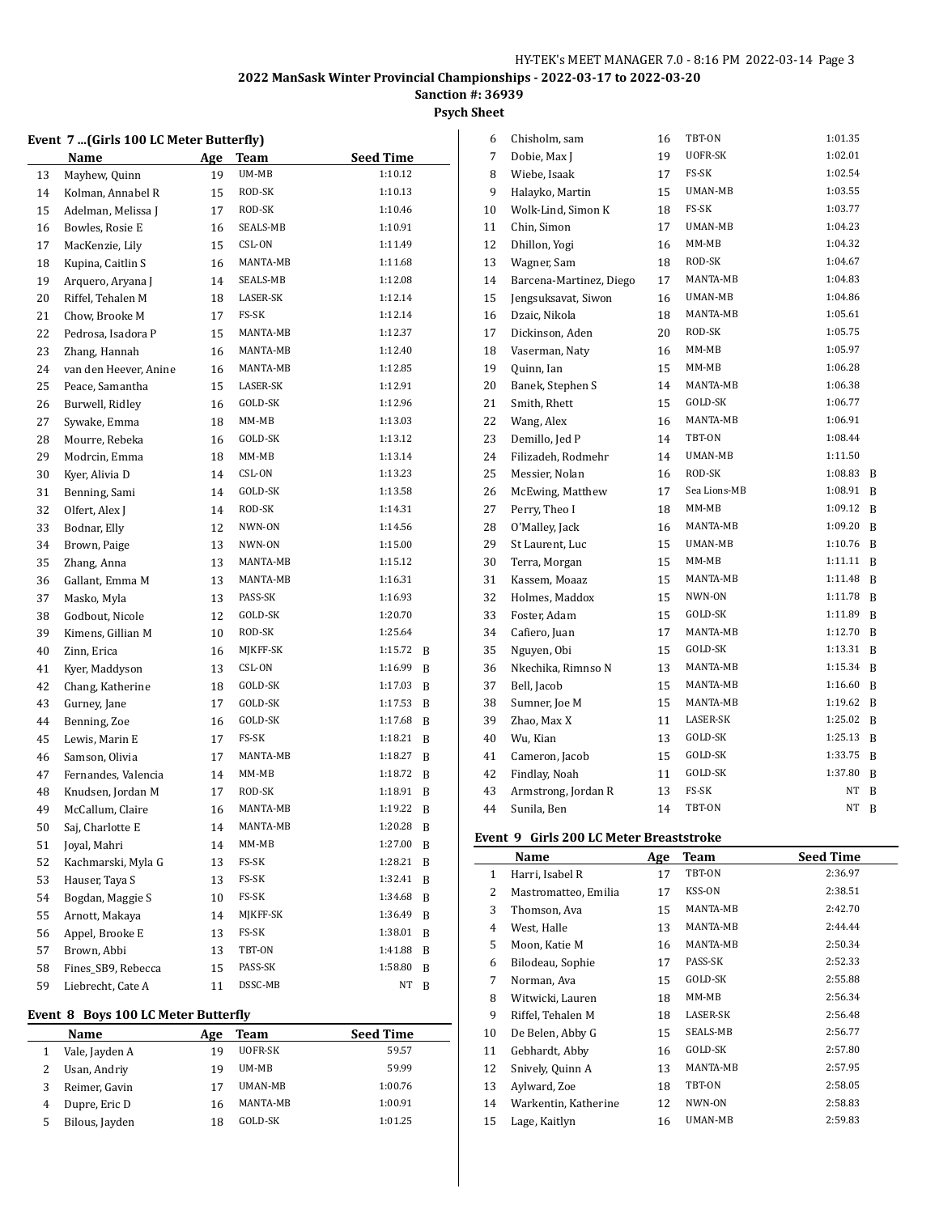# **Psych Sheet**

#### **Event 7 ...(Girls 100 LC Meter Butterfly)**

|    | Name                  | <u>Age</u> | Team     | <b>Seed Time</b> |
|----|-----------------------|------------|----------|------------------|
| 13 | Mayhew, Quinn         | 19         | UM-MB    | 1:10.12          |
| 14 | Kolman, Annabel R     | 15         | ROD-SK   | 1:10.13          |
| 15 | Adelman, Melissa J    | 17         | ROD-SK   | 1:10.46          |
| 16 | Bowles, Rosie E       | 16         | SEALS-MB | 1:10.91          |
| 17 | MacKenzie, Lily       | 15         | CSL-ON   | 1:11.49          |
| 18 | Kupina, Caitlin S     | 16         | MANTA-MB | 1:11.68          |
| 19 | Arquero, Aryana J     | 14         | SEALS-MB | 1:12.08          |
| 20 | Riffel, Tehalen M     | 18         | LASER-SK | 1:12.14          |
| 21 | Chow, Brooke M        | 17         | FS-SK    | 1:12.14          |
| 22 | Pedrosa, Isadora P    | 15         | MANTA-MB | 1:12.37          |
| 23 | Zhang, Hannah         | 16         | MANTA-MB | 1:12.40          |
| 24 | van den Heever, Anine | 16         | MANTA-MB | 1:12.85          |
| 25 | Peace, Samantha       | 15         | LASER-SK | 1:12.91          |
| 26 | Burwell, Ridley       | 16         | GOLD-SK  | 1:12.96          |
| 27 | Sywake, Emma          | 18         | MM-MB    | 1:13.03          |
| 28 | Mourre, Rebeka        | 16         | GOLD-SK  | 1:13.12          |
| 29 | Modrcin, Emma         | 18         | MM-MB    | 1:13.14          |
| 30 | Kyer, Alivia D        | 14         | CSL-ON   | 1:13.23          |
| 31 | Benning, Sami         | 14         | GOLD-SK  | 1:13.58          |
| 32 | Olfert, Alex J        | 14         | ROD-SK   | 1:14.31          |
| 33 | Bodnar, Elly          | 12         | NWN-ON   | 1:14.56          |
| 34 | Brown, Paige          | 13         | NWN-ON   | 1:15.00          |
| 35 | Zhang, Anna           | 13         | MANTA-MB | 1:15.12          |
| 36 | Gallant, Emma M       | 13         | MANTA-MB | 1:16.31          |
| 37 | Masko, Myla           | 13         | PASS-SK  | 1:16.93          |
| 38 | Godbout, Nicole       | 12         | GOLD-SK  | 1:20.70          |
| 39 | Kimens, Gillian M     | 10         | ROD-SK   | 1:25.64          |
| 40 | Zinn, Erica           | 16         | MJKFF-SK | 1:15.72<br>B     |
| 41 | Kyer, Maddyson        | 13         | CSL-ON   | 1:16.99<br>B     |
| 42 | Chang, Katherine      | 18         | GOLD-SK  | 1:17.03<br>B     |
| 43 | Gurney, Jane          | 17         | GOLD-SK  | 1:17.53<br>B     |
| 44 | Benning, Zoe          | 16         | GOLD-SK  | 1:17.68<br>B     |
| 45 | Lewis, Marin E        | 17         | FS-SK    | 1:18.21<br>B     |
| 46 | Samson, Olivia        | 17         | MANTA-MB | 1:18.27<br>B     |
| 47 | Fernandes, Valencia   | 14         | MM-MB    | 1:18.72<br>B     |
| 48 | Knudsen, Jordan M     | 17         | ROD-SK   | 1:18.91<br>B     |
| 49 | McCallum, Claire      | 16         | MANTA-MB | 1:19.22<br>B     |
| 50 | Saj, Charlotte E      | 14         | MANTA-MB | 1:20.28<br>B     |
| 51 | Joyal, Mahri          | 14         | MM-MB    | 1:27.00<br>B     |
| 52 | Kachmarski, Myla G    | 13         | FS-SK    | 1:28.21<br>B     |
| 53 | Hauser, Taya S        | 13         | FS-SK    | 1:32.41<br>B     |
| 54 | Bogdan, Maggie S      | 10         | FS-SK    | 1:34.68<br>B     |
| 55 | Arnott, Makaya        | 14         | MJKFF-SK | 1:36.49<br>B     |
| 56 | Appel, Brooke E       | 13         | FS-SK    | 1:38.01<br>B     |
| 57 | Brown, Abbi           | 13         | TBT-ON   | 1:41.88<br>B     |
| 58 | Fines_SB9, Rebecca    | 15         | PASS-SK  | 1:58.80<br>B     |
| 59 | Liebrecht, Cate A     | 11         | DSSC-MB  | NΤ<br>B          |

#### **Event 8 Boys 100 LC Meter Butterfly**

|   | Name           | Age | Team           | <b>Seed Time</b> |
|---|----------------|-----|----------------|------------------|
|   | Vale, Jayden A | 19  | UOFR-SK        | 59.57            |
|   | Usan, Andriy   | 19  | UM-MB          | 59.99            |
| 3 | Reimer, Gavin  | 17  | <b>UMAN-MB</b> | 1:00.76          |
| 4 | Dupre, Eric D  | 16  | MANTA-MB       | 1:00.91          |
| 5 | Bilous, Jayden | 18  | GOLD-SK        | 1:01.25          |

| 6  | Chisholm, sam           | 16 | TBT-ON         | 1:01.35   |   |
|----|-------------------------|----|----------------|-----------|---|
| 7  | Dobie, Max J            | 19 | UOFR-SK        | 1:02.01   |   |
| 8  | Wiebe, Isaak            | 17 | FS-SK          | 1:02.54   |   |
| 9  | Halayko, Martin         | 15 | UMAN-MB        | 1:03.55   |   |
| 10 | Wolk-Lind, Simon K      | 18 | FS-SK          | 1:03.77   |   |
| 11 | Chin, Simon             | 17 | UMAN-MB        | 1:04.23   |   |
| 12 | Dhillon, Yogi           | 16 | MM-MB          | 1:04.32   |   |
| 13 | Wagner, Sam             | 18 | ROD-SK         | 1:04.67   |   |
| 14 | Barcena-Martinez, Diego | 17 | MANTA-MB       | 1:04.83   |   |
| 15 | Jengsuksavat, Siwon     | 16 | <b>UMAN-MB</b> | 1:04.86   |   |
| 16 | Dzaic, Nikola           | 18 | MANTA-MB       | 1:05.61   |   |
| 17 | Dickinson, Aden         | 20 | ROD-SK         | 1:05.75   |   |
| 18 | Vaserman, Naty          | 16 | MM-MB          | 1:05.97   |   |
| 19 | Quinn, Ian              | 15 | $MM-MB$        | 1:06.28   |   |
| 20 | Banek, Stephen S        | 14 | MANTA-MB       | 1:06.38   |   |
| 21 | Smith, Rhett            | 15 | GOLD-SK        | 1:06.77   |   |
| 22 | Wang, Alex              | 16 | MANTA-MB       | 1:06.91   |   |
| 23 | Demillo, Jed P          | 14 | TBT-ON         | 1:08.44   |   |
| 24 | Filizadeh, Rodmehr      | 14 | UMAN-MB        | 1:11.50   |   |
| 25 | Messier, Nolan          | 16 | ROD-SK         | 1:08.83   | B |
| 26 | McEwing, Matthew        | 17 | Sea Lions-MB   | 1:08.91   | R |
| 27 | Perry, Theo I           | 18 | MM-MB          | 1:09.12   | B |
| 28 | O'Malley, Jack          | 16 | MANTA-MB       | 1:09.20   | R |
| 29 | St Laurent, Luc         | 15 | <b>UMAN-MB</b> | 1:10.76   | B |
| 30 | Terra, Morgan           | 15 | MM-MB          | 1:11.11   | B |
| 31 | Kassem, Moaaz           | 15 | MANTA-MB       | 1:11.48   | B |
| 32 | Holmes, Maddox          | 15 | NWN-ON         | 1:11.78   | B |
| 33 | Foster, Adam            | 15 | GOLD-SK        | 1:11.89   | R |
| 34 | Cafiero, Juan           | 17 | MANTA-MB       | 1:12.70   | B |
| 35 | Nguyen, Obi             | 15 | GOLD-SK        | 1:13.31   | B |
| 36 | Nkechika, Rimnso N      | 13 | MANTA-MB       | 1:15.34   | R |
| 37 | Bell, Jacob             | 15 | MANTA-MB       | 1:16.60   | B |
| 38 | Sumner, Joe M           | 15 | MANTA-MB       | 1:19.62   | B |
| 39 | Zhao, Max X             | 11 | LASER-SK       | 1:25.02   | B |
| 40 | Wu, Kian                | 13 | GOLD-SK        | 1:25.13   | R |
| 41 | Cameron, Jacob          | 15 | GOLD-SK        | 1:33.75   | R |
| 42 | Findlay, Noah           | 11 | GOLD-SK        | 1:37.80   | B |
| 43 | Armstrong, Jordan R     | 13 | FS-SK          | <b>NT</b> | B |
| 44 | Sunila, Ben             | 14 | TBT-ON         | NT        | B |

#### **Event 9 Girls 200 LC Meter Breaststroke**

|              | Name                 | Age | Team            | <b>Seed Time</b> |
|--------------|----------------------|-----|-----------------|------------------|
| $\mathbf{1}$ | Harri, Isabel R      | 17  | TBT-ON          | 2:36.97          |
| 2            | Mastromatteo, Emilia | 17  | KSS-ON          | 2:38.51          |
| 3            | Thomson, Ava         | 15  | MANTA-MB        | 2:42.70          |
| 4            | West, Halle          | 13  | MANTA-MB        | 2:44.44          |
| 5            | Moon, Katie M        | 16  | MANTA-MB        | 2:50.34          |
| 6            | Bilodeau, Sophie     | 17  | PASS-SK         | 2:52.33          |
| 7            | Norman, Ava          | 15  | GOLD-SK         | 2:55.88          |
| 8            | Witwicki, Lauren     | 18  | MM-MB           | 2:56.34          |
| 9            | Riffel, Tehalen M    | 18  | LASER-SK        | 2:56.48          |
| 10           | De Belen, Abby G     | 15  | <b>SEALS-MB</b> | 2:56.77          |
| 11           | Gebhardt, Abby       | 16  | GOLD-SK         | 2:57.80          |
| 12           | Snively, Quinn A     | 13  | MANTA-MB        | 2:57.95          |
| 13           | Aylward, Zoe         | 18  | TBT-ON          | 2:58.05          |
| 14           | Warkentin, Katherine | 12  | NWN-ON          | 2:58.83          |
| 15           | Lage, Kaitlyn        | 16  | UMAN-MB         | 2:59.83          |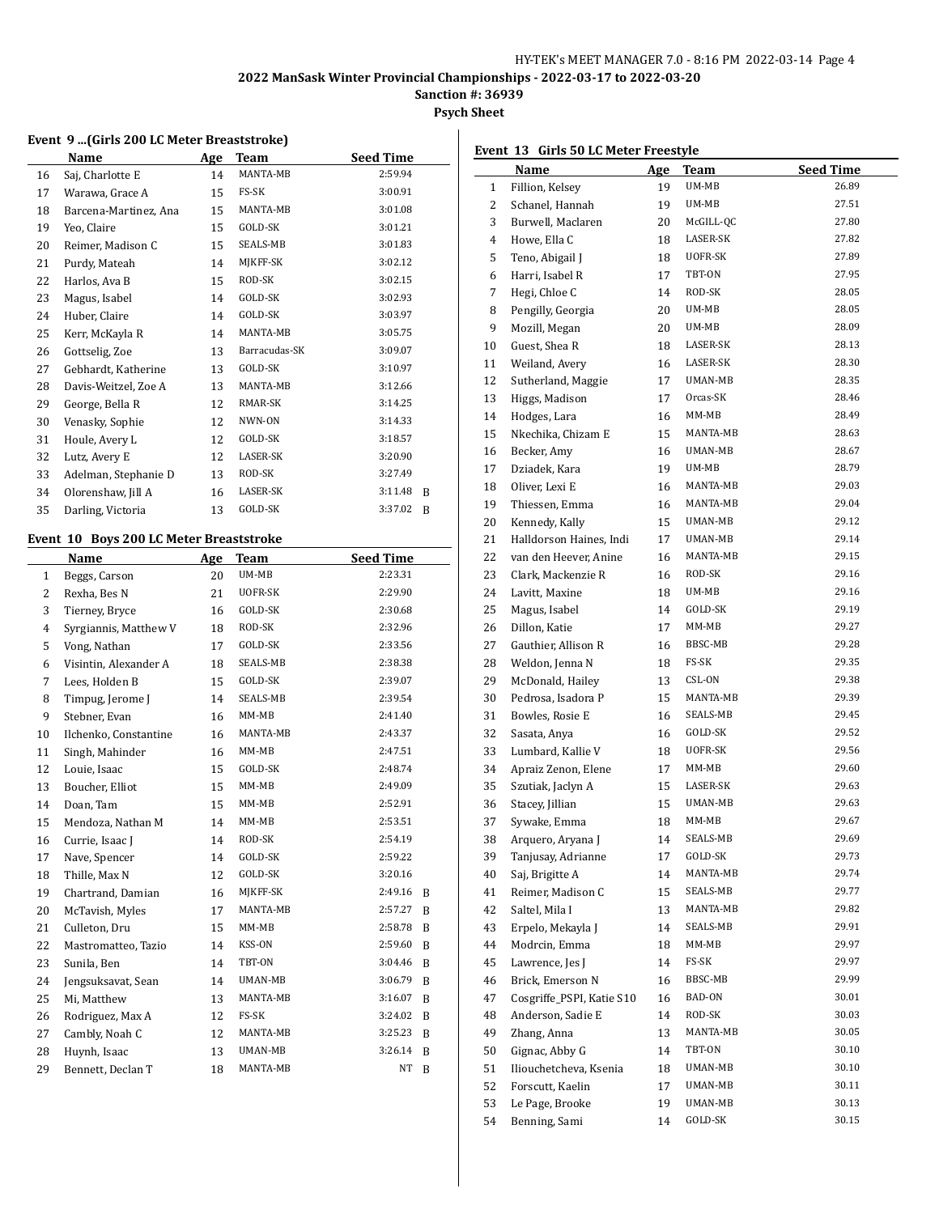# **Sanction #: 36939**

**Psych Sheet**

#### **Event 9 ...(Girls 200 LC Meter Breaststroke)**

|    | Name                  | Age | Team            | <b>Seed Time</b> |
|----|-----------------------|-----|-----------------|------------------|
| 16 | Saj, Charlotte E      | 14  | MANTA-MB        | 2:59.94          |
| 17 | Warawa, Grace A       | 15  | FS-SK           | 3:00.91          |
| 18 | Barcena-Martinez, Ana | 15  | MANTA-MB        | 3:01.08          |
| 19 | Yeo, Claire           | 15  | GOLD-SK         | 3:01.21          |
| 20 | Reimer, Madison C     | 15  | SEALS-MB        | 3:01.83          |
| 21 | Purdy, Mateah         | 14  | MJKFF-SK        | 3:02.12          |
| 22 | Harlos, Ava B         | 15  | ROD-SK          | 3:02.15          |
| 23 | Magus, Isabel         | 14  | GOLD-SK         | 3:02.93          |
| 24 | Huber, Claire         | 14  | GOLD-SK         | 3:03.97          |
| 25 | Kerr, McKayla R       | 14  | MANTA-MB        | 3:05.75          |
| 26 | Gottselig, Zoe        | 13  | Barracudas-SK   | 3:09.07          |
| 27 | Gebhardt, Katherine   | 13  | GOLD-SK         | 3:10.97          |
| 28 | Davis-Weitzel, Zoe A  | 13  | MANTA-MB        | 3:12.66          |
| 29 | George, Bella R       | 12  | RMAR-SK         | 3:14.25          |
| 30 | Venasky, Sophie       | 12  | NWN-ON          | 3:14.33          |
| 31 | Houle, Avery L        | 12  | GOLD-SK         | 3:18.57          |
| 32 | Lutz, Avery E         | 12  | <b>LASER-SK</b> | 3:20.90          |
| 33 | Adelman, Stephanie D  | 13  | ROD-SK          | 3:27.49          |
| 34 | Olorenshaw, Jill A    | 16  | LASER-SK        | 3:11.48<br>R     |
| 35 | Darling, Victoria     | 13  | GOLD-SK         | 3:37.02<br>B     |
|    |                       |     |                 |                  |

#### **Event 10 Boys 200 LC Meter Breaststroke**

|                | Name                  | Age | Team            | <b>Seed Time</b> |   |
|----------------|-----------------------|-----|-----------------|------------------|---|
| $\mathbf{1}$   | Beggs, Carson         | 20  | UM-MB           | 2:23.31          |   |
| $\overline{2}$ | Rexha, Bes N          | 21  | UOFR-SK         | 2:29.90          |   |
| 3              | Tierney, Bryce        | 16  | GOLD-SK         | 2:30.68          |   |
| $\overline{4}$ | Syrgiannis, Matthew V | 18  | ROD-SK          | 2:32.96          |   |
| 5              | Vong, Nathan          | 17  | GOLD-SK         | 2:33.56          |   |
| 6              | Visintin, Alexander A | 18  | SEALS-MB        | 2:38.38          |   |
| 7              | Lees, Holden B        | 15  | GOLD-SK         | 2:39.07          |   |
| 8              | Timpug, Jerome J      | 14  | <b>SEALS-MB</b> | 2:39.54          |   |
| 9              | Stebner, Evan         | 16  | MM-MB           | 2:41.40          |   |
| 10             | Ilchenko, Constantine | 16  | MANTA-MB        | 2:43.37          |   |
| 11             | Singh, Mahinder       | 16  | $MM-MB$         | 2:47.51          |   |
| 12             | Louie, Isaac          | 15  | GOLD-SK         | 2:48.74          |   |
| 13             | Boucher, Elliot       | 15  | $MM-MB$         | 2:49.09          |   |
| 14             | Doan, Tam             | 15  | $MM-MB$         | 2:52.91          |   |
| 15             | Mendoza, Nathan M     | 14  | $MM-MB$         | 2:53.51          |   |
| 16             | Currie, Isaac J       | 14  | ROD-SK          | 2:54.19          |   |
| 17             | Nave, Spencer         | 14  | GOLD-SK         | 2:59.22          |   |
| 18             | Thille, Max N         | 12  | GOLD-SK         | 3:20.16          |   |
| 19             | Chartrand, Damian     | 16  | MIKFF-SK        | 2:49.16          | B |
| 20             | McTavish, Myles       | 17  | MANTA-MB        | 2:57.27          | B |
| 21             | Culleton, Dru         | 15  | $MM-MB$         | 2:58.78          | B |
| 22             | Mastromatteo, Tazio   | 14  | KSS-ON          | 2:59.60          | B |
| 23             | Sunila, Ben           | 14  | TBT-ON          | 3:04.46          | B |
| 24             | Jengsuksavat, Sean    | 14  | UMAN-MB         | 3:06.79          | B |
| 25             | Mi, Matthew           | 13  | MANTA-MB        | 3:16.07          | B |
| 26             | Rodriguez, Max A      | 12  | FS-SK           | 3:24.02          | B |
| 27             | Cambly, Noah C        | 12  | MANTA-MB        | 3:25.23          | B |
| 28             | Huynh, Isaac          | 13  | UMAN-MB         | 3:26.14          | B |
| 29             | Bennett, Declan T     | 18  | MANTA-MB        | <b>NT</b>        | B |
|                |                       |     |                 |                  |   |

#### **Event 13 Girls 50 LC Meter Freestyle Name Age Team Seed Time**  Fillion, Kelsey 19 UM-MB 26.89 Schanel, Hannah 19 UM-MB 27.51 Burwell, Maclaren 20 McGILL-QC 27.80 4 Howe, Ella C 18 LASER-SK 27.82 5 Teno, Abigail J 18 UOFR-SK 27.89 Harri, Isabel R 17 TBT-ON 27.95 7 Hegi, Chloe C 14 ROD-SK 28.05 Pengilly, Georgia 20 UM-MB 28.05 9 Mozill, Megan 20 UM-MB 28.09 10 Guest, Shea R 18 LASER-SK 28.13 11 Weiland, Avery 16 LASER-SK 28.30 12 Sutherland, Maggie 17 UMAN-MB 28.35 13 Higgs, Madison 17 Orcas-SK 28.46 14 Hodges, Lara 16 MM-MB 28.49 15 Nkechika, Chizam E 15 MANTA-MB 28.63 16 Becker, Amy 16 UMAN-MB 28.67 Dziadek, Kara 19 UM-MB 28.79 18 Oliver, Lexi E 16 MANTA-MB 29.03 19 Thiessen, Emma 16 MANTA-MB 29.04 Kennedy, Kally 15 UMAN-MB 29.12 21 Halldorson Haines, Indi 17 UMAN-MB 29.14 van den Heever, Anine 16 MANTA-MB 29.15 23 Clark, Mackenzie R 16 ROD-SK 29.16 24 Lavitt, Maxine 18 UM-MB 29.16 Magus, Isabel 14 GOLD-SK 29.19 Dillon, Katie 17 MM-MB 29.27 27 Gauthier, Allison R 16 BBSC-MB 29.28 28 Weldon, Jenna N 18 FS-SK 29.35 29 McDonald, Hailey 13 CSL-ON 29.38 Pedrosa, Isadora P 15 MANTA-MB 29.39 31 Bowles, Rosie E 16 SEALS-MB 29.45 Sasata, Anya 16 GOLD-SK 29.52 Lumbard, Kallie V 18 UOFR-SK 29.56 Apraiz Zenon, Elene 17 MM-MB 29.60 Szutiak, Jaclyn A 15 LASER-SK 29.63 36 Stacey, Jillian 15 UMAN-MB 29.63 Sywake, Emma 18 MM-MB 29.67 38 Arquero, Aryana J 14 SEALS-MB 29.69 Tanjusay, Adrianne 17 GOLD-SK 29.73 Saj, Brigitte A 14 MANTA-MB 29.74 Reimer, Madison C 15 SEALS-MB 29.77 42 Saltel, Mila I 13 MANTA-MB 29.82 43 Erpelo, Mekayla J 14 SEALS-MB 29.91 Modrcin, Emma 18 MM-MB 29.97 45 Lawrence, Jes J 14 FS-SK 29.97 46 Brick, Emerson N 16 BBSC-MB 29.99 Cosgriffe\_PSPI, Katie S10 16 BAD-ON 30.01 48 Anderson, Sadie E 14 ROD-SK 30.03 Zhang, Anna 13 MANTA-MB 30.05 Gignac, Abby G 14 TBT-ON 30.10 Iliouchetcheva, Ksenia 18 UMAN-MB 30.10

 Forscutt, Kaelin 17 UMAN-MB 30.11 53 Le Page, Brooke 19 UMAN-MB 30.13 Benning, Sami 14 GOLD-SK 30.15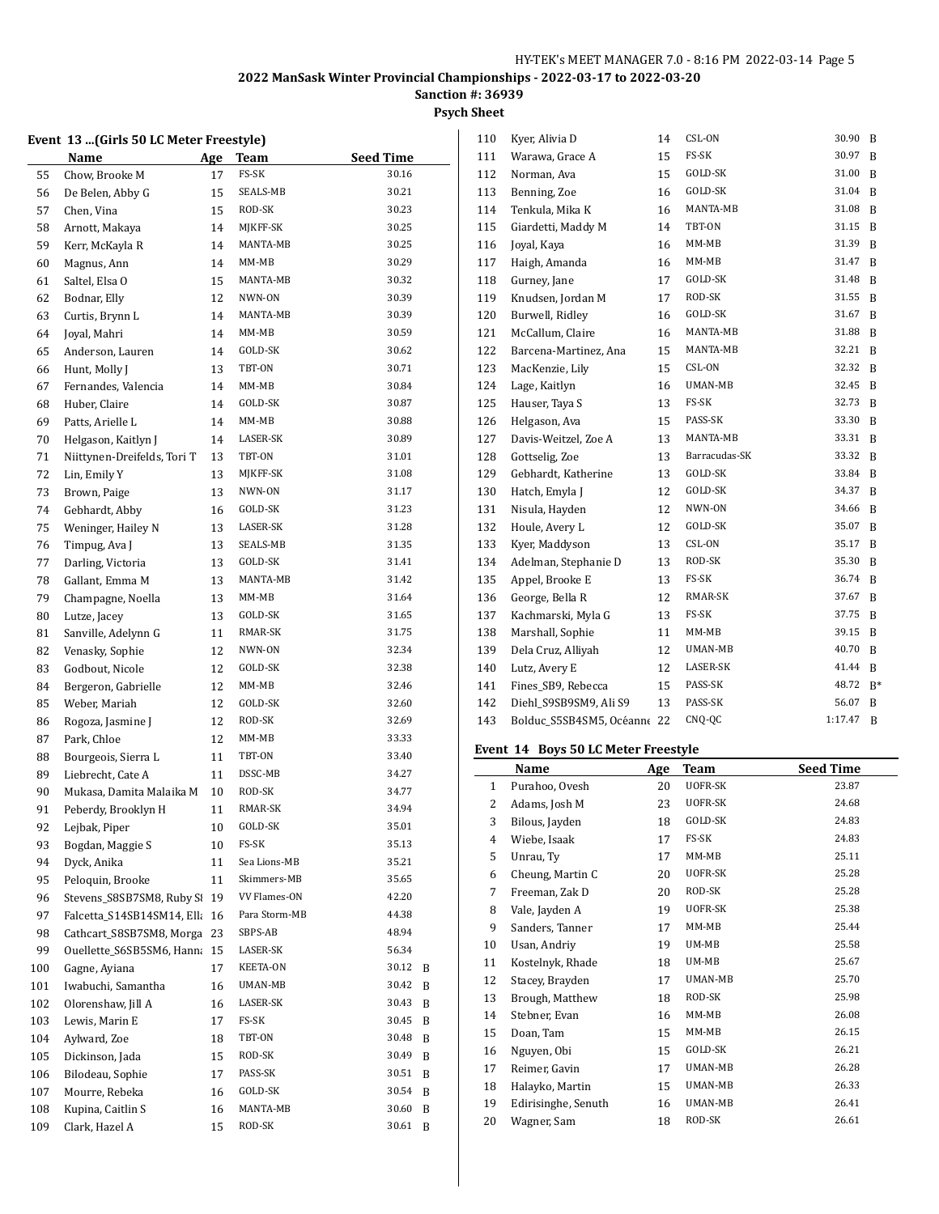# **Sanction #: 36939**

# **Psych Sheet**

## **Event 13 ...(Girls 50 LC Meter Freestyle)**

|     | Name                        | Age      | <b>Team</b>       | <b>Seed Time</b> |   |
|-----|-----------------------------|----------|-------------------|------------------|---|
| 55  | Chow, Brooke M              | 17       | FS-SK             | 30.16            |   |
| 56  | De Belen, Abby G            | 15       | SEALS-MB          | 30.21            |   |
| 57  | Chen, Vina                  | 15       | ROD-SK            | 30.23            |   |
| 58  | Arnott, Makaya              | 14       | MJKFF-SK          | 30.25            |   |
| 59  | Kerr, McKayla R             | 14       | MANTA-MB          | 30.25            |   |
| 60  | Magnus, Ann                 | 14       | MM-MB             | 30.29            |   |
| 61  | Saltel, Elsa O              | 15       | MANTA-MB          | 30.32            |   |
| 62  | Bodnar, Elly                | 12       | NWN-ON            | 30.39            |   |
| 63  | Curtis, Brynn L             | 14       | MANTA-MB          | 30.39            |   |
| 64  | Joyal, Mahri                | 14       | MM-MB             | 30.59            |   |
| 65  | Anderson, Lauren            | 14       | GOLD-SK           | 30.62            |   |
| 66  | Hunt, Molly J               | 13       | TBT-ON            | 30.71            |   |
| 67  | Fernandes, Valencia         | 14       | MM-MB             | 30.84            |   |
| 68  | Huber, Claire               | 14       | GOLD-SK           | 30.87            |   |
| 69  | Patts, Arielle L            | 14       | MM-MB             | 30.88            |   |
| 70  | Helgason, Kaitlyn J         | 14       | LASER-SK          | 30.89            |   |
| 71  | Niittynen-Dreifelds, Tori T | 13       | TBT-ON            | 31.01            |   |
| 72  | Lin, Emily Y                | 13       | MIKFF-SK          | 31.08            |   |
| 73  | Brown, Paige                | 13       | NWN-ON            | 31.17            |   |
| 74  | Gebhardt, Abby              | 16       | GOLD-SK           | 31.23            |   |
| 75  | Weninger, Hailey N          | 13       | LASER-SK          | 31.28            |   |
| 76  | Timpug, Ava J               | 13       | SEALS-MB          | 31.35            |   |
| 77  | Darling, Victoria           | 13       | GOLD-SK           | 31.41            |   |
| 78  | Gallant, Emma M             | 13       | MANTA-MB          | 31.42            |   |
| 79  | Champagne, Noella           | 13       | MM-MB             | 31.64            |   |
| 80  | Lutze, Jacey                | 13       | GOLD-SK           | 31.65            |   |
| 81  | Sanville, Adelynn G         | 11       | RMAR-SK           | 31.75            |   |
| 82  | Venasky, Sophie             | 12       | NWN-ON            | 32.34            |   |
|     | Godbout, Nicole             |          | GOLD-SK           | 32.38            |   |
| 83  |                             | 12<br>12 | MM-MB             | 32.46            |   |
| 84  | Bergeron, Gabrielle         |          | GOLD-SK           | 32.60            |   |
| 85  | Weber, Mariah               | 12       | ROD-SK            | 32.69            |   |
| 86  | Rogoza, Jasmine J           | 12       | $MM-MB$           | 33.33            |   |
| 87  | Park, Chloe                 | 12       | TBT-ON            | 33.40            |   |
| 88  | Bourgeois, Sierra L         | 11       | DSSC-MB           | 34.27            |   |
| 89  | Liebrecht, Cate A           | 11       |                   |                  |   |
| 90  | Mukasa, Damita Malaika M    | 10       | ROD-SK<br>RMAR-SK | 34.77<br>34.94   |   |
| 91  | Peberdy, Brooklyn H         | 11       |                   |                  |   |
| 92  | Lejbak, Piper               | 10       | GOLD-SK           | 35.01            |   |
| 93  | Bogdan, Maggie S            | 10       | FS-SK             | 35.13            |   |
| 94  | Dyck, Anika                 | 11       | Sea Lions-MB      | 35.21            |   |
| 95  | Peloquin, Brooke            | 11       | Skimmers-MB       | 35.65            |   |
| 96  | Stevens_S8SB7SM8, Ruby SI   | 19       | VV Flames-ON      | 42.20            |   |
| 97  | Falcetta_S14SB14SM14, Ella  | 16       | Para Storm-MB     | 44.38            |   |
| 98  | Cathcart_S8SB7SM8, Morga    | 23       | SBPS-AB           | 48.94            |   |
| 99  | Ouellette_S6SB5SM6, Hanna   | 15       | LASER-SK          | 56.34            |   |
| 100 | Gagne, Aviana               | 17       | KEETA-ON          | 30.12            | B |
| 101 | Iwabuchi, Samantha          | 16       | UMAN-MB           | 30.42            | B |
| 102 | Olorenshaw, Jill A          | 16       | LASER-SK          | 30.43            | B |
| 103 | Lewis, Marin E              | 17       | FS-SK             | 30.45            | B |
| 104 | Aylward, Zoe                | 18       | TBT-ON            | 30.48            | B |
| 105 | Dickinson, Jada             | 15       | ROD-SK            | 30.49            | B |
| 106 | Bilodeau, Sophie            | 17       | PASS-SK           | 30.51            | B |
| 107 | Mourre, Rebeka              | 16       | GOLD-SK           | 30.54            | B |
| 108 | Kupina, Caitlin S           | 16       | MANTA-MB          | 30.60            | B |
| 109 | Clark, Hazel A              | 15       | ROD-SK            | 30.61            | B |

| 110 | Kyer, Alivia D           | 14 | CSL-ON        | 30.90   | B  |
|-----|--------------------------|----|---------------|---------|----|
| 111 | Warawa, Grace A          | 15 | FS-SK         | 30.97   | B  |
| 112 | Norman, Ava              | 15 | GOLD-SK       | 31.00   | B  |
| 113 | Benning, Zoe             | 16 | GOLD-SK       | 31.04   | B  |
| 114 | Tenkula, Mika K          | 16 | MANTA-MB      | 31.08   | B  |
| 115 | Giardetti, Maddy M       | 14 | TBT-ON        | 31.15   | B  |
| 116 | Joyal, Kaya              | 16 | MM-MB         | 31.39   | B  |
| 117 | Haigh, Amanda            | 16 | $MM-MB$       | 31.47   | B  |
| 118 | Gurney, Jane             | 17 | GOLD-SK       | 31.48   | B  |
| 119 | Knudsen, Jordan M        | 17 | ROD-SK        | 31.55   | B  |
| 120 | Burwell, Ridley          | 16 | GOLD-SK       | 31.67   | B  |
| 121 | McCallum, Claire         | 16 | MANTA-MB      | 31.88   | B  |
| 122 | Barcena-Martinez, Ana    | 15 | MANTA-MB      | 32.21   | B  |
| 123 | MacKenzie, Lily          | 15 | CSL-ON        | 32.32   | B  |
| 124 | Lage, Kaitlyn            | 16 | UMAN-MB       | 32.45   | B  |
| 125 | Hauser, Taya S           | 13 | FS-SK         | 32.73   | B  |
| 126 | Helgason, Ava            | 15 | PASS-SK       | 33.30   | B  |
| 127 | Davis-Weitzel, Zoe A     | 13 | MANTA-MB      | 33.31   | B  |
| 128 | Gottselig, Zoe           | 13 | Barracudas-SK | 33.32   | B  |
| 129 | Gebhardt, Katherine      | 13 | GOLD-SK       | 33.84   | B  |
| 130 | Hatch, Emyla J           | 12 | GOLD-SK       | 34.37   | B  |
| 131 | Nisula, Hayden           | 12 | NWN-ON        | 34.66   | B  |
| 132 | Houle, Avery L           | 12 | GOLD-SK       | 35.07   | B  |
| 133 | Kyer, Maddyson           | 13 | CSL-ON        | 35.17   | B  |
| 134 | Adelman, Stephanie D     | 13 | ROD-SK        | 35.30   | B  |
| 135 | Appel, Brooke E          | 13 | FS-SK         | 36.74   | B  |
| 136 | George, Bella R          | 12 | RMAR-SK       | 37.67   | B  |
| 137 | Kachmarski, Myla G       | 13 | FS-SK         | 37.75   | B  |
| 138 | Marshall, Sophie         | 11 | $MM-MB$       | 39.15   | B  |
| 139 | Dela Cruz, Alliyah       | 12 | UMAN-MB       | 40.70   | B  |
| 140 | Lutz, Avery E            | 12 | LASER-SK      | 41.44   | B  |
| 141 | Fines_SB9, Rebecca       | 15 | PASS-SK       | 48.72   | B* |
| 142 | Diehl_S9SB9SM9, Ali S9   | 13 | PASS-SK       | 56.07   | B  |
| 143 | Bolduc_S5SB4SM5, Océanne | 22 | CNQ-QC        | 1:17.47 | B  |

#### **Event 14 Boys 50 LC Meter Freestyle**

|              | <b>Name</b>         | Age | <b>Team</b>    | <b>Seed Time</b> |
|--------------|---------------------|-----|----------------|------------------|
| $\mathbf{1}$ | Purahoo, Ovesh      | 20  | UOFR-SK        | 23.87            |
| 2            | Adams, Josh M       | 23  | UOFR-SK        | 24.68            |
| 3            | Bilous, Jayden      | 18  | GOLD-SK        | 24.83            |
| 4            | Wiebe, Isaak        | 17  | FS-SK          | 24.83            |
| 5            | Unrau, Ty           | 17  | $MM-MB$        | 25.11            |
| 6            | Cheung, Martin C    | 20  | UOFR-SK        | 25.28            |
| 7            | Freeman, Zak D      | 20  | ROD-SK         | 25.28            |
| 8            | Vale, Jayden A      | 19  | UOFR-SK        | 25.38            |
| 9            | Sanders, Tanner     | 17  | $MM-MB$        | 25.44            |
| 10           | Usan, Andriy        | 19  | UM-MB          | 25.58            |
| 11           | Kostelnyk, Rhade    | 18  | UM-MB          | 25.67            |
| 12           | Stacey, Brayden     | 17  | UMAN-MB        | 25.70            |
| 13           | Brough, Matthew     | 18  | ROD-SK         | 25.98            |
| 14           | Stebner, Evan       | 16  | $MM-MB$        | 26.08            |
| 15           | Doan, Tam           | 15  | $MM-MB$        | 26.15            |
| 16           | Nguyen, Obi         | 15  | GOLD-SK        | 26.21            |
| 17           | Reimer, Gavin       | 17  | UMAN-MB        | 26.28            |
| 18           | Halayko, Martin     | 15  | <b>UMAN-MB</b> | 26.33            |
| 19           | Edirisinghe, Senuth | 16  | UMAN-MB        | 26.41            |
| 20           | Wagner, Sam         | 18  | ROD-SK         | 26.61            |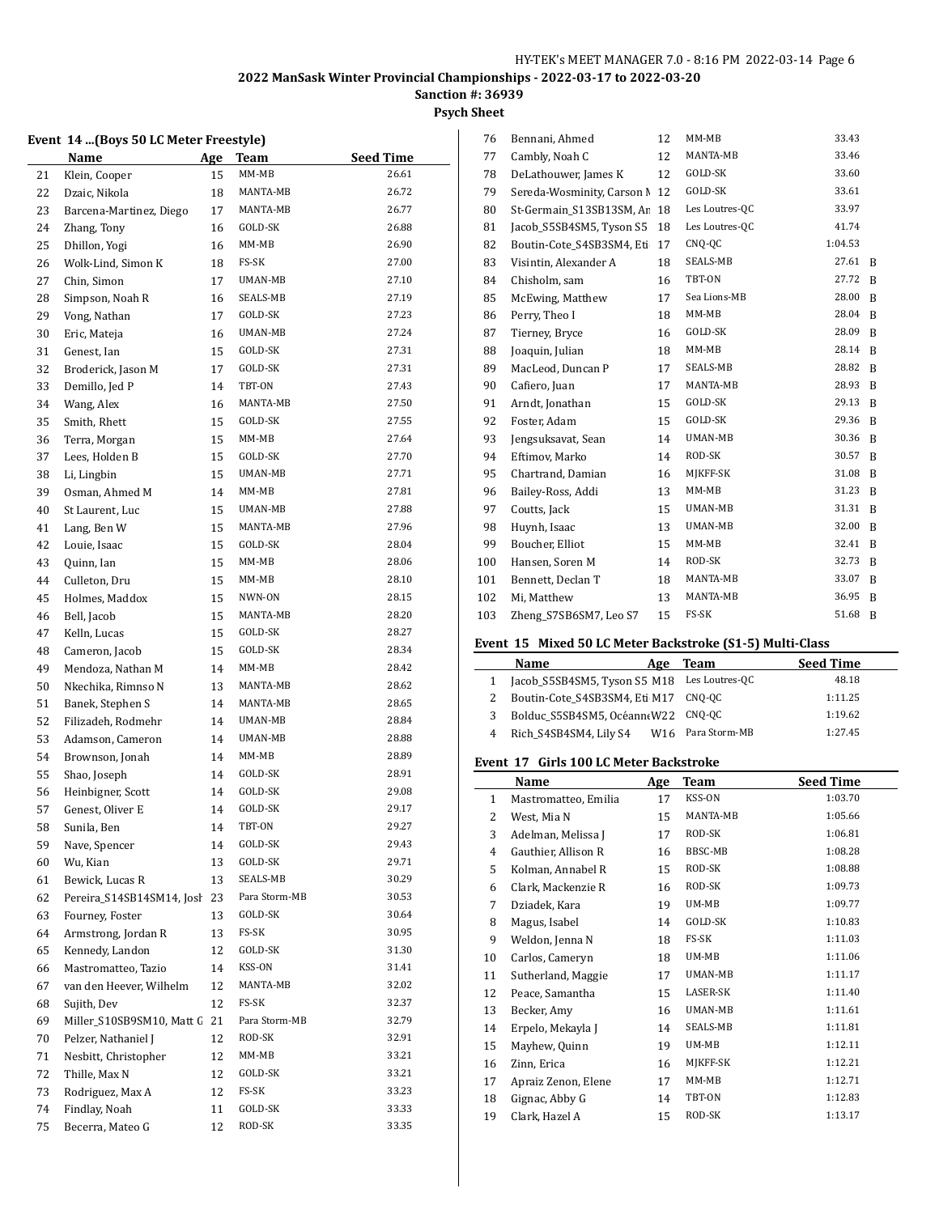**Psych Sheet**

# **Event 14 ...(Boys 50 LC Meter Freestyle)**

|    | Name                      | <u>Age</u> | Team          | <b>Seed Time</b> |
|----|---------------------------|------------|---------------|------------------|
| 21 | Klein, Cooper             | 15         | $MM-MB$       | 26.61            |
| 22 | Dzaic, Nikola             | 18         | MANTA-MB      | 26.72            |
| 23 | Barcena-Martinez, Diego   | 17         | MANTA-MB      | 26.77            |
| 24 | Zhang, Tony               | 16         | GOLD-SK       | 26.88            |
| 25 | Dhillon, Yogi             | 16         | MM-MB         | 26.90            |
| 26 | Wolk-Lind, Simon K        | 18         | FS-SK         | 27.00            |
| 27 | Chin, Simon               | 17         | UMAN-MB       | 27.10            |
| 28 | Simpson, Noah R           | 16         | SEALS-MB      | 27.19            |
| 29 | Vong, Nathan              | 17         | GOLD-SK       | 27.23            |
| 30 | Eric, Mateja              | 16         | UMAN-MB       | 27.24            |
| 31 | Genest, Ian               | 15         | GOLD-SK       | 27.31            |
| 32 | Broderick, Jason M        | 17         | GOLD-SK       | 27.31            |
| 33 | Demillo, Jed P            | 14         | TBT-ON        | 27.43            |
| 34 | Wang, Alex                | 16         | MANTA-MB      | 27.50            |
| 35 | Smith, Rhett              | 15         | GOLD-SK       | 27.55            |
| 36 | Terra, Morgan             | 15         | MM-MB         | 27.64            |
| 37 | Lees, Holden B            | 15         | GOLD-SK       | 27.70            |
| 38 | Li, Lingbin               | 15         | UMAN-MB       | 27.71            |
| 39 | Osman, Ahmed M            | 14         | MM-MB         | 27.81            |
| 40 | St Laurent, Luc           | 15         | UMAN-MB       | 27.88            |
| 41 | Lang, Ben W               | 15         | MANTA-MB      | 27.96            |
| 42 | Louie, Isaac              | 15         | GOLD-SK       | 28.04            |
| 43 | Quinn, Ian                | 15         | MM-MB         | 28.06            |
| 44 | Culleton, Dru             | 15         | MM-MB         | 28.10            |
| 45 | Holmes, Maddox            | 15         | NWN-ON        | 28.15            |
| 46 | Bell, Jacob               | 15         | MANTA-MB      | 28.20            |
| 47 | Kelln, Lucas              | 15         | GOLD-SK       | 28.27            |
| 48 | Cameron, Jacob            | 15         | GOLD-SK       | 28.34            |
| 49 | Mendoza, Nathan M         | 14         | MM-MB         | 28.42            |
| 50 | Nkechika, Rimnso N        | 13         | MANTA-MB      | 28.62            |
| 51 | Banek, Stephen S          | 14         | MANTA-MB      | 28.65            |
| 52 | Filizadeh, Rodmehr        | 14         | UMAN-MB       | 28.84            |
| 53 | Adamson, Cameron          | 14         | UMAN-MB       | 28.88            |
| 54 | Brownson, Jonah           | 14         | MM-MB         | 28.89            |
| 55 | Shao, Joseph              | 14         | GOLD-SK       | 28.91            |
| 56 | Heinbigner, Scott         | 14         | GOLD-SK       | 29.08            |
| 57 | Genest, Oliver E          | 14         | GOLD-SK       | 29.17            |
| 58 | Sunila, Ben               | 14         | TBT-ON        | 29.27            |
| 59 | Nave, Spencer             | 14         | GOLD-SK       | 29.43            |
| 60 | Wu, Kian                  | 13         | GOLD-SK       | 29.71            |
| 61 | Bewick, Lucas R           | 13         | SEALS-MB      | 30.29            |
| 62 | Pereira_S14SB14SM14, Josł | 23         | Para Storm-MB | 30.53            |
| 63 | Fourney, Foster           | 13         | GOLD-SK       | 30.64            |
| 64 | Armstrong, Jordan R       | 13         | FS-SK         | 30.95            |
| 65 | Kennedy, Landon           | 12         | GOLD-SK       | 31.30            |
| 66 | Mastromatteo, Tazio       | 14         | KSS-ON        | 31.41            |
| 67 | van den Heever, Wilhelm   | 12         | MANTA-MB      | 32.02            |
| 68 | Sujith, Dev               | 12         | FS-SK         | 32.37            |
| 69 | Miller_S10SB9SM10, Matt G | 21         | Para Storm-MB | 32.79            |
| 70 | Pelzer, Nathaniel J       | 12         | ROD-SK        | 32.91            |
| 71 | Nesbitt, Christopher      | 12         | MM-MB         | 33.21            |
| 72 | Thille, Max N             | 12         | GOLD-SK       | 33.21            |
| 73 | Rodriguez, Max A          | 12         | FS-SK         | 33.23            |
| 74 | Findlay, Noah             | 11         | GOLD-SK       | 33.33            |
| 75 | Becerra, Mateo G          | 12         | ROD-SK        | 33.35            |
|    |                           |            |               |                  |

| Bennani, Ahmed             | 12 | $MM-MB$        | 33.43   |   |
|----------------------------|----|----------------|---------|---|
| Cambly, Noah C             | 12 | MANTA-MB       | 33.46   |   |
| DeLathouwer, James K       | 12 | GOLD-SK        | 33.60   |   |
| Sereda-Wosminity, Carson N | 12 | GOLD-SK        | 33.61   |   |
| St-Germain S13SB13SM, Ar   | 18 | Les Loutres-QC | 33.97   |   |
| Jacob S5SB4SM5, Tyson S5   | 18 | Les Loutres-QC | 41.74   |   |
| Boutin-Cote_S4SB3SM4, Eti  | 17 | CNO-OC         | 1:04.53 |   |
| Visintin, Alexander A      | 18 | SEALS-MB       | 27.61   | B |
| Chisholm, sam              | 16 | TBT-ON         | 27.72   | B |
| McEwing, Matthew           | 17 | Sea Lions-MB   | 28.00   | B |
| Perry, Theo I              | 18 | $MM-MB$        | 28.04   | B |
| Tierney, Bryce             | 16 | GOLD-SK        | 28.09   | B |
| Joaquin, Julian            | 18 | $MM-MB$        | 28.14   | B |
| MacLeod, Duncan P          | 17 | SEALS-MB       | 28.82   | B |
| Cafiero, Juan              | 17 | MANTA-MB       | 28.93   | B |
| Arndt, Jonathan            | 15 | GOLD-SK        | 29.13   | B |
| Foster, Adam               | 15 | GOLD-SK        | 29.36   | B |
| Jengsuksavat, Sean         | 14 | UMAN-MB        | 30.36   | B |
| Eftimov, Marko             | 14 | ROD-SK         | 30.57   | B |
| Chartrand, Damian          | 16 | MJKFF-SK       | 31.08   | B |
| Bailey-Ross, Addi          | 13 | $MM-MB$        | 31.23   | B |
| Coutts, Jack               | 15 | UMAN-MB        | 31.31   | B |
| Huynh, Isaac               | 13 | UMAN-MB        | 32.00   | B |
| Boucher, Elliot            | 15 | $MM-MB$        | 32.41   | B |
| Hansen, Soren M            | 14 | ROD-SK         | 32.73   | B |
| Bennett, Declan T          | 18 | MANTA-MB       | 33.07   | B |
| Mi, Matthew                | 13 | MANTA-MB       | 36.95   | B |
| Zheng_S7SB6SM7, Leo S7     | 15 | FS-SK          | 51.68   | B |
|                            |    |                |         |   |

#### **Event 15 Mixed 50 LC Meter Backstroke (S1-5) Multi-Class**

|   | Name                                        | Age | Team                          | <b>Seed Time</b> |
|---|---------------------------------------------|-----|-------------------------------|------------------|
|   | Jacob S5SB4SM5, Tyson S5 M18 Les Loutres-QC |     |                               | 48.18            |
|   | Boutin-Cote S4SB3SM4, Eti M17 CNQ-QC        |     |                               | 1:11.25          |
| 3 | Bolduc S5SB4SM5, Océann(W22 CNQ-QC          |     |                               | 1:19.62          |
|   | Rich S4SB4SM4, Lily S4                      |     | W <sub>16</sub> Para Storm-MB | 1:27.45          |

#### **Event 17 Girls 100 LC Meter Backstroke**

|              | Name                 | Age | Team           | <b>Seed Time</b> |
|--------------|----------------------|-----|----------------|------------------|
| $\mathbf{1}$ | Mastromatteo, Emilia | 17  | KSS-ON         | 1:03.70          |
| 2            | West, Mia N          | 15  | MANTA-MB       | 1:05.66          |
| 3            | Adelman, Melissa J   | 17  | ROD-SK         | 1:06.81          |
| 4            | Gauthier, Allison R  | 16  | BBSC-MB        | 1:08.28          |
| 5            | Kolman, Annabel R    | 15  | ROD-SK         | 1:08.88          |
| 6            | Clark, Mackenzie R   | 16  | ROD-SK         | 1:09.73          |
| 7            | Dziadek, Kara        | 19  | UM-MB          | 1:09.77          |
| 8            | Magus, Isabel        | 14  | GOLD-SK        | 1:10.83          |
| 9            | Weldon, Jenna N      | 18  | FS-SK          | 1:11.03          |
| 10           | Carlos, Cameryn      | 18  | UM-MB          | 1:11.06          |
| 11           | Sutherland, Maggie   | 17  | UMAN-MB        | 1:11.17          |
| 12           | Peace, Samantha      | 15  | LASER-SK       | 1:11.40          |
| 13           | Becker, Amy          | 16  | <b>UMAN-MB</b> | 1:11.61          |
| 14           | Erpelo, Mekayla J    | 14  | SEALS-MB       | 1:11.81          |
| 15           | Mayhew, Quinn        | 19  | UM-MB          | 1:12.11          |
| 16           | Zinn, Erica          | 16  | MIKFF-SK       | 1:12.21          |
| 17           | Apraiz Zenon, Elene  | 17  | $MM-MB$        | 1:12.71          |
| 18           | Gignac, Abby G       | 14  | TBT-ON         | 1:12.83          |
| 19           | Clark, Hazel A       | 15  | ROD-SK         | 1:13.17          |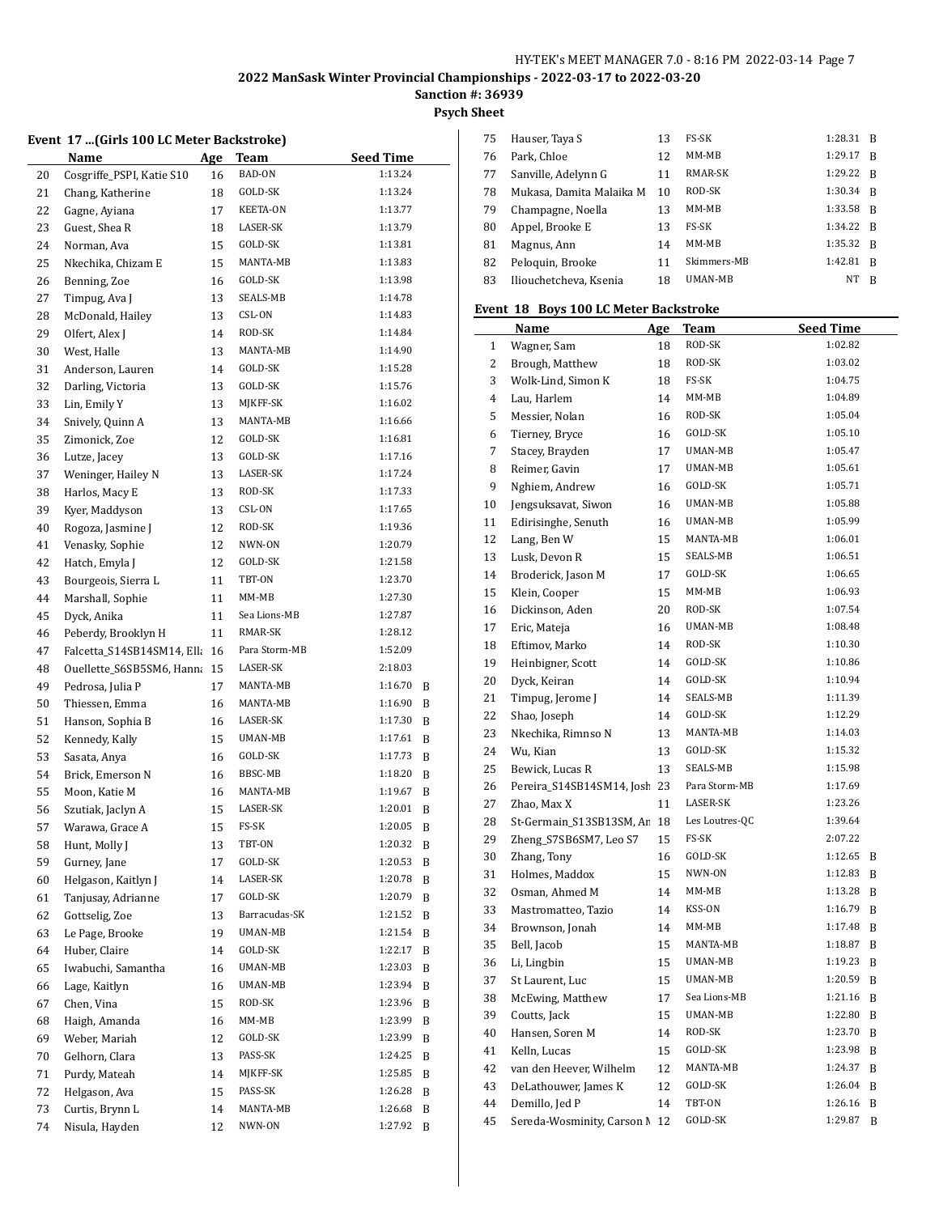**Psych Sheet**

|  |  | rsych snee |
|--|--|------------|
|  |  |            |

#### **Event 17 ...(Girls 100 LC Meter Backstroke)**

|          | Name                                          | <u>Age</u> | Team                     | <b>Seed Time</b>   |        |
|----------|-----------------------------------------------|------------|--------------------------|--------------------|--------|
| 20       | Cosgriffe_PSPI, Katie S10                     | 16         | BAD-ON                   | 1:13.24            |        |
| 21       | Chang, Katherine                              | 18         | GOLD-SK                  | 1:13.24            |        |
| 22       | Gagne, Ayiana                                 | 17         | KEETA-ON                 | 1:13.77            |        |
| 23       | Guest, Shea R                                 | 18         | LASER-SK                 | 1:13.79            |        |
| 24       | Norman, Ava                                   | 15         | GOLD-SK                  | 1:13.81            |        |
| 25       | Nkechika, Chizam E                            | 15         | MANTA-MB                 | 1:13.83            |        |
| 26       | Benning, Zoe                                  | 16         | GOLD-SK                  | 1:13.98            |        |
| 27       | Timpug, Ava J                                 | 13         | SEALS-MB                 | 1:14.78            |        |
| 28       | McDonald, Hailey                              | 13         | CSL-ON                   | 1:14.83            |        |
| 29       | Olfert, Alex J                                | 14         | ROD-SK                   | 1:14.84            |        |
| 30       | West, Halle                                   | 13         | MANTA-MB                 | 1:14.90            |        |
| 31       | Anderson, Lauren                              | 14         | GOLD-SK                  | 1:15.28            |        |
| 32       | Darling, Victoria                             | 13         | GOLD-SK                  | 1:15.76            |        |
| 33       | Lin, Emily Y                                  | 13         | MJKFF-SK                 | 1:16.02            |        |
| 34       | Snively, Quinn A                              | 13         | MANTA-MB                 | 1:16.66            |        |
| 35       | Zimonick, Zoe                                 | 12         | GOLD-SK                  | 1:16.81            |        |
| 36       | Lutze, Jacey                                  | 13         | GOLD-SK                  | 1:17.16            |        |
| 37       | Weninger, Hailey N                            | 13         | LASER-SK                 | 1:17.24            |        |
| 38       | Harlos, Macy E                                | 13         | ROD-SK                   | 1:17.33            |        |
| 39       | Kyer, Maddyson                                | 13         | CSL-ON                   | 1:17.65            |        |
| 40       | Rogoza, Jasmine J                             | 12         | ROD-SK                   | 1:19.36            |        |
| 41       | Venasky, Sophie                               | 12         | NWN-ON                   | 1:20.79            |        |
| 42       | Hatch, Emyla J                                | 12         | GOLD-SK                  | 1:21.58            |        |
| 43       | Bourgeois, Sierra L                           | 11         | TBT-ON                   | 1:23.70            |        |
| 44       | Marshall, Sophie                              | 11         | MM-MB                    | 1:27.30            |        |
|          | Dyck, Anika                                   | 11         | Sea Lions-MB             | 1:27.87            |        |
| 45<br>46 | Peberdy, Brooklyn H                           | 11         | RMAR-SK                  | 1:28.12            |        |
|          |                                               |            | Para Storm-MB            | 1:52.09            |        |
| 47       | Falcetta_S14SB14SM14, Ella                    | 16         | LASER-SK                 | 2:18.03            |        |
| 48<br>49 | Ouellette_S6SB5SM6, Hanna<br>Pedrosa, Julia P | 15<br>17   | MANTA-MB                 | 1:16.70            | B      |
|          |                                               |            | MANTA-MB                 | 1:16.90            |        |
| 50<br>51 | Thiessen, Emma<br>Hanson, Sophia B            | 16         | LASER-SK                 | 1:17.30            | B<br>B |
| 52       | Kennedy, Kally                                | 16<br>15   | UMAN-MB                  | 1:17.61            | B      |
|          |                                               | 16         | GOLD-SK                  | 1:17.73            |        |
| 53       | Sasata, Anya                                  |            | BBSC-MB                  | 1:18.20            | B      |
| 54       | Brick, Emerson N<br>Moon, Katie M             | 16         | MANTA-MB                 | 1:19.67            | B      |
| 55       |                                               | 16         | LASER-SK                 | 1:20.01            | B      |
| 56       | Szutiak, Jaclyn A                             | 15         | FS-SK                    | 1:20.05            | B      |
| 57       | Warawa, Grace A                               | 15         |                          |                    | B      |
| 58       | Hunt, Molly J                                 | 13         | TBT-ON                   | 1:20.32            | B      |
| 59       | Gurney, Jane                                  | 17         | GOLD-SK                  | 1:20.53            | B      |
| 60       | Helgason, Kaitlyn J                           | 14         | LASER-SK                 | 1:20.78            | B      |
| 61       | Tanjusay, Adrianne                            | 17         | GOLD-SK<br>Barracudas-SK | 1:20.79<br>1:21.52 | B      |
| 62       | Gottselig, Zoe                                | 13         |                          |                    | B      |
| 63       | Le Page, Brooke                               | 19         | UMAN-MB                  | 1:21.54            | B      |
| 64       | Huber, Claire                                 | 14         | GOLD-SK                  | 1:22.17            | B      |
| 65       | Iwabuchi, Samantha                            | 16         | UMAN-MB                  | 1:23.03            | B      |
| 66       | Lage, Kaitlyn                                 | 16         | UMAN-MB                  | 1:23.94            | B      |
| 67       | Chen, Vina                                    | 15         | ROD-SK                   | 1:23.96            | B      |
| 68       | Haigh, Amanda                                 | 16         | MM-MB                    | 1:23.99            | B      |
| 69       | Weber, Mariah                                 | 12         | GOLD-SK                  | 1:23.99            | B      |
| 70       | Gelhorn, Clara                                | 13         | PASS-SK                  | 1:24.25            | B      |
| 71       | Purdy, Mateah                                 | 14         | MJKFF-SK                 | 1:25.85            | B      |
| 72       | Helgason, Ava                                 | 15         | PASS-SK                  | 1:26.28            | B      |
| 73       | Curtis, Brynn L                               | 14         | MANTA-MB                 | 1:26.68            | B      |
| 74       | Nisula, Hayden                                | 12         | NWN-ON                   | 1:27.92            | B      |

| 75 | Hauser, Taya S           | 13 | FS-SK       | 1:28.31   | - B          |
|----|--------------------------|----|-------------|-----------|--------------|
| 76 | Park, Chloe              | 12 | $MM-MB$     | 1:29.17   | R            |
| 77 | Sanville, Adelynn G      | 11 | RMAR-SK     | 1:29.22 R |              |
| 78 | Mukasa, Damita Malaika M | 10 | ROD-SK      | 1:30.34   | - B          |
| 79 | Champagne, Noella        | 13 | MM-MB       | 1:33.58   | B            |
| 80 | Appel, Brooke E          | 13 | FS-SK       | 1:34.22 R |              |
| 81 | Magnus, Ann              | 14 | MM-MB       | 1:35.32 B |              |
| 82 | Peloquin, Brooke         | 11 | Skimmers-MB | 1:42.81   | <sup>B</sup> |
| 83 | Iliouchetcheva, Ksenia   | 18 | UMAN-MB     | NT        | B            |
|    |                          |    |             |           |              |

#### **Event 18 Boys 100 LC Meter Backstroke**

|    | Name                       | <b>Age</b> | Team           | <b>Seed Time</b> |   |
|----|----------------------------|------------|----------------|------------------|---|
| 1  | Wagner, Sam                | 18         | ROD-SK         | 1:02.82          |   |
| 2  | Brough, Matthew            | 18         | ROD-SK         | 1:03.02          |   |
| 3  | Wolk-Lind, Simon K         | 18         | FS-SK          | 1:04.75          |   |
| 4  | Lau, Harlem                | 14         | MM-MB          | 1:04.89          |   |
| 5  | Messier, Nolan             | 16         | ROD-SK         | 1:05.04          |   |
| 6  | Tierney, Bryce             | 16         | GOLD-SK        | 1:05.10          |   |
| 7  | Stacey, Brayden            | 17         | UMAN-MB        | 1:05.47          |   |
| 8  | Reimer, Gavin              | 17         | UMAN-MB        | 1:05.61          |   |
| 9  | Nghiem, Andrew             | 16         | GOLD-SK        | 1:05.71          |   |
| 10 | Jengsuksavat, Siwon        | 16         | UMAN-MB        | 1:05.88          |   |
| 11 | Edirisinghe, Senuth        | 16         | UMAN-MB        | 1:05.99          |   |
| 12 | Lang, Ben W                | 15         | MANTA-MB       | 1:06.01          |   |
| 13 | Lusk, Devon R              | 15         | SEALS-MB       | 1:06.51          |   |
| 14 | Broderick, Jason M         | 17         | GOLD-SK        | 1:06.65          |   |
| 15 | Klein, Cooper              | 15         | MM-MB          | 1:06.93          |   |
| 16 | Dickinson, Aden            | 20         | ROD-SK         | 1:07.54          |   |
| 17 | Eric, Mateja               | 16         | UMAN-MB        | 1:08.48          |   |
| 18 | Eftimov, Marko             | 14         | ROD-SK         | 1:10.30          |   |
| 19 | Heinbigner, Scott          | 14         | GOLD-SK        | 1:10.86          |   |
| 20 | Dyck, Keiran               | 14         | GOLD-SK        | 1:10.94          |   |
| 21 | Timpug, Jerome J           | 14         | SEALS-MB       | 1:11.39          |   |
| 22 | Shao, Joseph               | 14         | GOLD-SK        | 1:12.29          |   |
| 23 | Nkechika, Rimnso N         | 13         | MANTA-MB       | 1:14.03          |   |
| 24 | Wu, Kian                   | 13         | GOLD-SK        | 1:15.32          |   |
| 25 | Bewick, Lucas R            | 13         | SEALS-MB       | 1:15.98          |   |
| 26 | Pereira_S14SB14SM14, Josh  | 23         | Para Storm-MB  | 1:17.69          |   |
| 27 | Zhao, Max X                | 11         | LASER-SK       | 1:23.26          |   |
| 28 | St-Germain_S13SB13SM, Ar   | 18         | Les Loutres-QC | 1:39.64          |   |
| 29 | Zheng_S7SB6SM7, Leo S7     | 15         | FS-SK          | 2:07.22          |   |
| 30 | Zhang, Tony                | 16         | GOLD-SK        | 1:12.65          | B |
| 31 | Holmes, Maddox             | 15         | NWN-ON         | 1:12.83          | B |
| 32 | Osman, Ahmed M             | 14         | MM-MB          | 1:13.28          | B |
| 33 | Mastromatteo, Tazio        | 14         | KSS-ON         | 1:16.79          | B |
| 34 | Brownson, Jonah            | 14         | MM-MB          | 1:17.48          | B |
| 35 | Bell, Jacob                | 15         | MANTA-MB       | 1:18.87          | B |
| 36 | Li, Lingbin                | 15         | UMAN-MB        | 1:19.23          | B |
| 37 | St Laurent, Luc            | 15         | UMAN-MB        | 1:20.59          | B |
| 38 | McEwing, Matthew           | 17         | Sea Lions-MB   | 1:21.16          | B |
| 39 | Coutts, Jack               | 15         | UMAN-MB        | 1:22.80          | B |
| 40 | Hansen, Soren M            | 14         | ROD-SK         | 1:23.70          | B |
| 41 | Kelln, Lucas               | 15         | GOLD-SK        | 1:23.98          | B |
| 42 | van den Heever, Wilhelm    | 12         | MANTA-MB       | 1:24.37          | B |
| 43 | DeLathouwer, James K       | 12         | GOLD-SK        | 1:26.04          | B |
| 44 | Demillo, Jed P             | 14         | TBT-ON         | 1:26.16          | B |
| 45 | Sereda-Wosminity, Carson N | 12         | GOLD-SK        | 1:29.87          | B |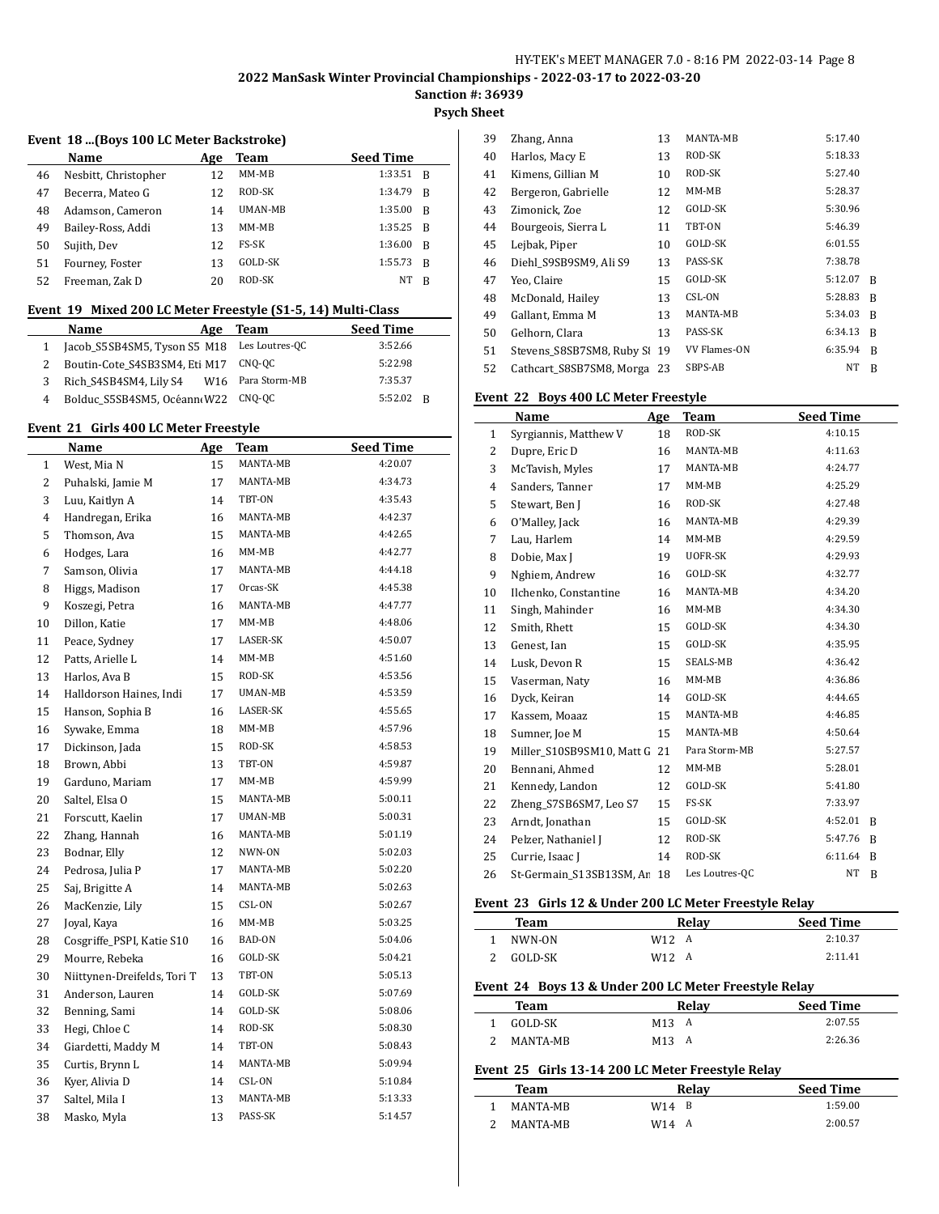# **Psych Sheet**

#### **Event 18 ...(Boys 100 LC Meter Backstroke)**

|    | Name                 | Age | Team    | <b>Seed Time</b> |              |
|----|----------------------|-----|---------|------------------|--------------|
| 46 | Nesbitt, Christopher | 12  | MM-MB   | 1:33.51          | - B          |
| 47 | Becerra, Mateo G     | 12  | ROD-SK  | 1:34.79          | B            |
| 48 | Adamson, Cameron     | 14  | UMAN-MB | 1:35.00          | B            |
| 49 | Bailey-Ross, Addi    | 13  | MM-MB   | 1:35.25          | <sup>B</sup> |
| 50 | Sujith, Dev          | 12  | FS-SK   | 1:36.00          | B            |
| 51 | Fourney, Foster      | 13  | GOLD-SK | 1:55.73          | B            |
| 52 | Freeman, Zak D       | 20  | ROD-SK  | NT               | B            |

#### **Event 19 Mixed 200 LC Meter Freestyle (S1-5, 14) Multi-Class**

|   | <b>Name</b><br>Age                       | Team           | <b>Seed Time</b> |
|---|------------------------------------------|----------------|------------------|
|   | Jacob S5SB4SM5, Tyson S5 M18             | Les Loutres-QC | 3:52.66          |
|   | Boutin-Cote S4SB3SM4, Eti M17            | CNO-OC         | 5:22.98          |
| 3 | Rich S4SB4SM4, Lily S4 W16 Para Storm-MB |                | 7:35.37          |
| 4 | Bolduc S5SB4SM5, Océann(W22 CNQ-QC       |                | $5:52.02$ R      |

#### **Event 21 Girls 400 LC Meter Freestyle**

| Name                      | Age | <b>Team</b>                 | <b>Seed Time</b> |
|---------------------------|-----|-----------------------------|------------------|
| West, Mia N               | 15  | MANTA-MB                    | 4:20.07          |
| Puhalski, Jamie M         | 17  | MANTA-MB                    | 4:34.73          |
| Luu, Kaitlyn A            | 14  | TBT-ON                      | 4:35.43          |
| Handregan, Erika          | 16  | MANTA-MB                    | 4:42.37          |
| Thomson, Ava              | 15  | MANTA-MB                    | 4:42.65          |
| Hodges, Lara              | 16  | MM-MB                       | 4:42.77          |
| Samson, Olivia            | 17  | MANTA-MB                    | 4:44.18          |
| Higgs, Madison            | 17  | Orcas-SK                    | 4:45.38          |
| Koszegi, Petra            | 16  | MANTA-MB                    | 4:47.77          |
| Dillon, Katie             | 17  | MM-MB                       | 4:48.06          |
| Peace, Sydney             | 17  | LASER-SK                    | 4:50.07          |
| Patts, Arielle L          | 14  | MM-MB                       | 4:51.60          |
| Harlos, Ava B             | 15  | ROD-SK                      | 4:53.56          |
| Halldorson Haines, Indi   | 17  | UMAN-MB                     | 4:53.59          |
| Hanson, Sophia B          | 16  | LASER-SK                    | 4:55.65          |
| Sywake, Emma              | 18  | MM-MB                       | 4:57.96          |
| Dickinson, Jada           | 15  | ROD-SK                      | 4:58.53          |
| Brown, Abbi               | 13  | TBT-ON                      | 4:59.87          |
| Garduno, Mariam           | 17  | MM-MB                       | 4:59.99          |
| Saltel, Elsa O            | 15  | MANTA-MB                    | 5:00.11          |
| Forscutt, Kaelin          | 17  | UMAN-MB                     | 5:00.31          |
| Zhang, Hannah             | 16  | MANTA-MB                    | 5:01.19          |
| Bodnar, Elly              | 12  | NWN-ON                      | 5:02.03          |
| Pedrosa, Julia P          | 17  | MANTA-MB                    | 5:02.20          |
| Saj, Brigitte A           | 14  | MANTA-MB                    | 5:02.63          |
| MacKenzie, Lily           | 15  | CSL-ON                      | 5:02.67          |
| Joyal, Kaya               | 16  | $MM-MB$                     | 5:03.25          |
| Cosgriffe_PSPI, Katie S10 | 16  | BAD-ON                      | 5:04.06          |
| Mourre, Rebeka            | 16  | GOLD-SK                     | 5:04.21          |
|                           | 13  | TBT-ON                      | 5:05.13          |
| Anderson, Lauren          | 14  | GOLD-SK                     | 5:07.69          |
| Benning, Sami             | 14  | GOLD-SK                     | 5:08.06          |
| Hegi, Chloe C             | 14  | ROD-SK                      | 5:08.30          |
| Giardetti, Maddy M        | 14  | TBT-ON                      | 5:08.43          |
| Curtis, Brynn L           | 14  | MANTA-MB                    | 5:09.94          |
| Kyer, Alivia D            | 14  | CSL-ON                      | 5:10.84          |
| Saltel, Mila I            | 13  | MANTA-MB                    | 5:13.33          |
| Masko, Myla               | 13  | PASS-SK                     | 5:14.57          |
|                           |     | Niittynen-Dreifelds, Tori T |                  |

| 39 | Zhang, Anna                 | 13 | MANTA-MB     | 5:17.40 |   |
|----|-----------------------------|----|--------------|---------|---|
| 40 | Harlos, Macy E              | 13 | ROD-SK       | 5:18.33 |   |
| 41 | Kimens, Gillian M           | 10 | ROD-SK       | 5:27.40 |   |
| 42 | Bergeron, Gabrielle         | 12 | MM-MB        | 5:28.37 |   |
| 43 | Zimonick, Zoe               | 12 | GOLD-SK      | 5:30.96 |   |
| 44 | Bourgeois, Sierra L         | 11 | TBT-ON       | 5:46.39 |   |
| 45 | Lejbak, Piper               | 10 | GOLD-SK      | 6:01.55 |   |
| 46 | Diehl S9SB9SM9, Ali S9      | 13 | PASS-SK      | 7:38.78 |   |
| 47 | Yeo, Claire                 | 15 | GOLD-SK      | 5:12.07 | R |
| 48 | McDonald, Hailey            | 13 | CSL-ON       | 5:28.83 | R |
| 49 | Gallant, Emma M             | 13 | MANTA-MB     | 5:34.03 | R |
| 50 | Gelhorn, Clara              | 13 | PASS-SK      | 6:34.13 | R |
| 51 | Stevens S8SB7SM8, Ruby St   | 19 | VV Flames-ON | 6:35.94 | B |
| 52 | Cathcart S8SB7SM8, Morga 23 |    | SBPS-AB      | NT      | R |

#### **Event 22 Boys 400 LC Meter Freestyle**

|              | Name                      | Age | <b>Team</b>    | <b>Seed Time</b> |   |
|--------------|---------------------------|-----|----------------|------------------|---|
| $\mathbf{1}$ | Syrgiannis, Matthew V     | 18  | ROD-SK         | 4:10.15          |   |
| 2            | Dupre, Eric D             | 16  | MANTA-MB       | 4:11.63          |   |
| 3            | McTavish, Myles           | 17  | MANTA-MB       | 4:24.77          |   |
| 4            | Sanders, Tanner           | 17  | $MM-MB$        | 4:25.29          |   |
| 5            | Stewart, Ben J            | 16  | ROD-SK         | 4:27.48          |   |
| 6            | O'Malley, Jack            | 16  | MANTA-MB       | 4:29.39          |   |
| 7            | Lau, Harlem               | 14  | $MM-MB$        | 4:29.59          |   |
| 8            | Dobie, Max J              | 19  | UOFR-SK        | 4:29.93          |   |
| 9            | Nghiem, Andrew            | 16  | GOLD-SK        | 4:32.77          |   |
| 10           | Ilchenko, Constantine     | 16  | MANTA-MB       | 4:34.20          |   |
| 11           | Singh, Mahinder           | 16  | MM-MB          | 4:34.30          |   |
| 12           | Smith, Rhett              | 15  | GOLD-SK        | 4:34.30          |   |
| 13           | Genest, Ian               | 15  | GOLD-SK        | 4:35.95          |   |
| 14           | Lusk, Devon R             | 15  | SEALS-MB       | 4:36.42          |   |
| 15           | Vaserman, Naty            | 16  | $MM-MB$        | 4:36.86          |   |
| 16           | Dyck, Keiran              | 14  | GOLD-SK        | 4:44.65          |   |
| 17           | Kassem, Moaaz             | 15  | MANTA-MB       | 4:46.85          |   |
| 18           | Sumner, Joe M             | 15  | MANTA-MB       | 4:50.64          |   |
| 19           | Miller S10SB9SM10, Matt G | 21  | Para Storm-MB  | 5:27.57          |   |
| 20           | Bennani, Ahmed            | 12  | $MM-MB$        | 5:28.01          |   |
| 21           | Kennedy, Landon           | 12  | GOLD-SK        | 5:41.80          |   |
| 22           | Zheng S7SB6SM7, Leo S7    | 15  | FS-SK          | 7:33.97          |   |
| 23           | Arndt, Jonathan           | 15  | GOLD-SK        | 4:52.01          | B |
| 24           | Pelzer, Nathaniel J       | 12  | ROD-SK         | 5:47.76          | B |
| 25           | Currie, Isaac I           | 14  | ROD-SK         | 6:11.64          | B |
| 26           | St-Germain S13SB13SM, Ar  | 18  | Les Loutres-QC | NT               | B |

#### **Event 23 Girls 12 & Under 200 LC Meter Freestyle Relay**

| Team                                                  |         | Relay             | <b>Seed Time</b> |  |  |
|-------------------------------------------------------|---------|-------------------|------------------|--|--|
|                                                       | NWN-ON  | W <sub>12</sub> A | 2:10.37          |  |  |
|                                                       | GOLD-SK | W <sub>12</sub> A | 2.1141           |  |  |
| Event 24 Boys 13 & Under 200 LC Meter Freestyle Relay |         |                   |                  |  |  |
|                                                       | Team    | Relav             | <b>Seed Time</b> |  |  |

| теаш     | neiav    | зееч гипе |
|----------|----------|-----------|
| GOLD-SK  | M13<br>A | 2:07.55   |
| MANTA-MR | M13<br>A | 2:26.36   |

#### **Event 25 Girls 13-14 200 LC Meter Freestyle Relay**

| Team     | Relay         | <b>Seed Time</b> |
|----------|---------------|------------------|
| MANTA-MR | $W14 \quad B$ | 1:59.00          |
| MANTA-MR | W14<br>A      | 2:00.57          |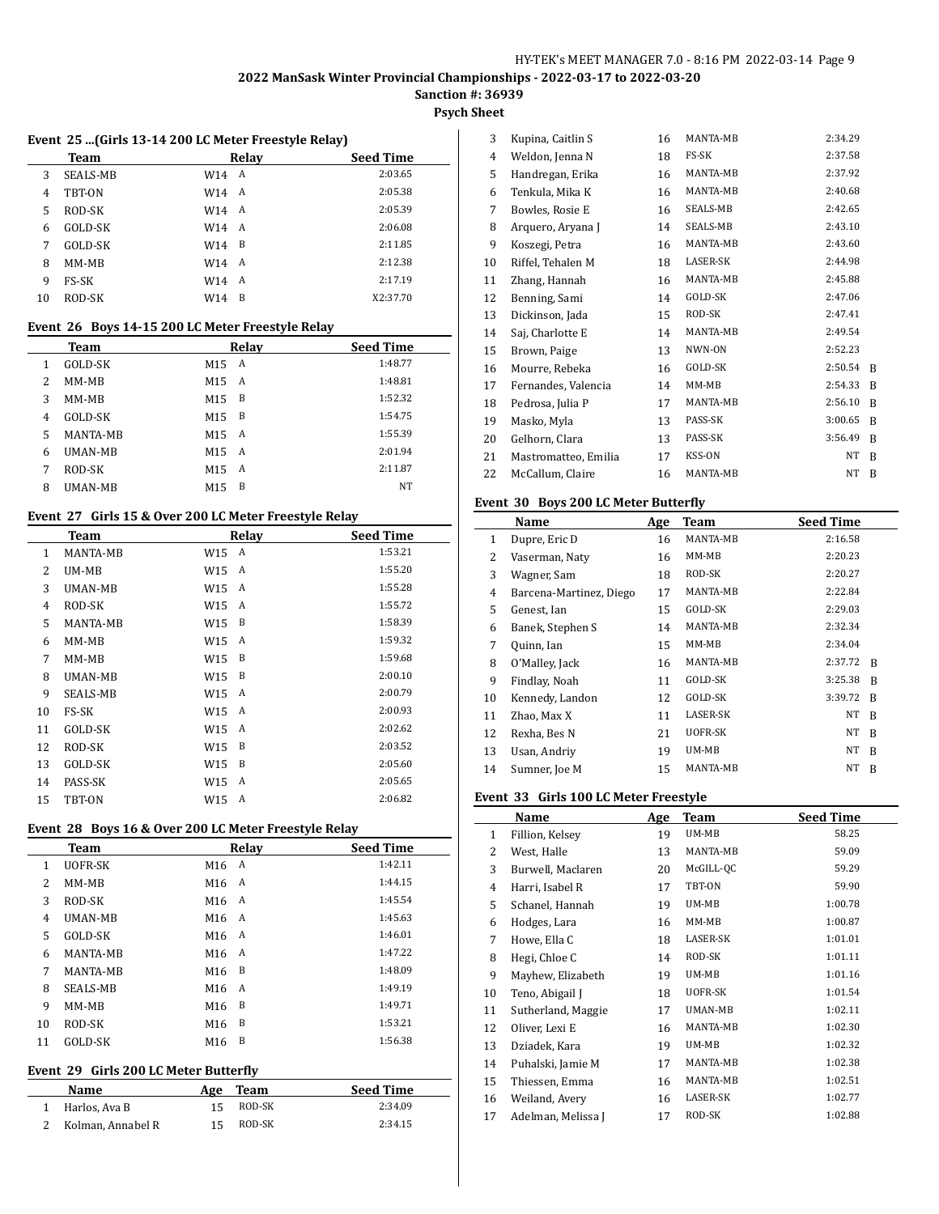# **Psych Sheet**

#### **Event 25 ...(Girls 13-14 200 LC Meter Freestyle Relay)**

|    | Team     |         | Relay | <b>Seed Time</b> |  |
|----|----------|---------|-------|------------------|--|
| 3  | SEALS-MB | W14 A   |       | 2:03.65          |  |
| 4  | TBT-ON   | W14 A   |       | 2:05.38          |  |
| 5  | ROD-SK   | W14 A   |       | 2:05.39          |  |
| 6  | GOLD-SK  | W14 A   |       | 2:06.08          |  |
| 7  | GOLD-SK  | $W14$ B |       | 2:11.85          |  |
| 8  | MM-MB    | W14 A   |       | 2:12.38          |  |
| 9  | FS-SK    | W14 A   |       | 2:17.19          |  |
| 10 | ROD-SK   | W14     | B     | X2:37.70         |  |

#### **Event 26 Boys 14-15 200 LC Meter Freestyle Relay**

|   | Team            |                 | Relay | <b>Seed Time</b> |
|---|-----------------|-----------------|-------|------------------|
| 1 | GOLD-SK         | M <sub>15</sub> | A     | 1:48.77          |
| 2 | $MM-MB$         | M <sub>15</sub> | A     | 1:48.81          |
| 3 | MM-MB           | M <sub>15</sub> | B     | 1:52.32          |
| 4 | GOLD-SK         | M15             | B     | 1:54.75          |
| 5 | <b>MANTA-MB</b> | M <sub>15</sub> | A     | 1:55.39          |
| 6 | UMAN-MB         | M <sub>15</sub> | A     | 2:01.94          |
| 7 | ROD-SK          | M15             | A     | 2:11.87          |
| 8 | UMAN-MB         | M15             | B     | NT               |

#### **Event 27 Girls 15 & Over 200 LC Meter Freestyle Relay**

|    | <b>Team</b>     |     | Relav | <b>Seed Time</b> |
|----|-----------------|-----|-------|------------------|
| 1  | MANTA-MB        | W15 | А     | 1:53.21          |
| 2  | UM-MB           | W15 | A     | 1:55.20          |
| 3  | UMAN-MB         | W15 | A     | 1:55.28          |
| 4  | ROD-SK          | W15 | А     | 1:55.72          |
| 5  | MANTA-MB        | W15 | B     | 1:58.39          |
| 6  | MM-MB           | W15 | A     | 1:59.32          |
| 7  | MM-MB           | W15 | B     | 1:59.68          |
| 8  | UMAN-MB         | W15 | B     | 2:00.10          |
| 9  | <b>SEALS-MB</b> | W15 | A     | 2:00.79          |
| 10 | FS-SK           | W15 | A     | 2:00.93          |
| 11 | GOLD-SK         | W15 | A     | 2:02.62          |
| 12 | ROD-SK          | W15 | B     | 2:03.52          |
| 13 | GOLD-SK         | W15 | B     | 2:05.60          |
| 14 | PASS-SK         | W15 | A     | 2:05.65          |
| 15 | TBT-ON          | W15 | A     | 2:06.82          |

#### **Event 28 Boys 16 & Over 200 LC Meter Freestyle Relay**

|    | <b>Team</b>     |                 | Relay | <b>Seed Time</b> |
|----|-----------------|-----------------|-------|------------------|
| 1  | <b>UOFR-SK</b>  | M16             | A     | 1:42.11          |
| 2  | $MM-MB$         | M <sub>16</sub> | A     | 1:44.15          |
| 3  | ROD-SK          | M <sub>16</sub> | A     | 1:45.54          |
| 4  | <b>UMAN-MB</b>  | M <sub>16</sub> | A     | 1:45.63          |
| 5  | GOLD-SK         | M <sub>16</sub> | A     | 1:46.01          |
| 6  | MANTA-MB        | M16             | A     | 1:47.22          |
| 7  | <b>MANTA-MB</b> | M16             | B     | 1:48.09          |
| 8  | SEALS-MB        | M16             | A     | 1:49.19          |
| 9  | MM-MB           | M16             | B     | 1:49.71          |
| 10 | ROD-SK          | M16             | B     | 1:53.21          |
| 11 | GOLD-SK         | M <sub>16</sub> | B     | 1:56.38          |
|    |                 |                 |       |                  |

#### **Event 29 Girls 200 LC Meter Butterfly**

| Name              | Age | Team   | <b>Seed Time</b> |
|-------------------|-----|--------|------------------|
| 1 Harlos. Ava B   | 15. | ROD-SK | 2:34.09          |
| Kolman, Annabel R | 15. | ROD-SK | 2:34.15          |

| 3  | Kupina, Caitlin S    | 16 | MANTA-MB        | 2:34.29 |   |
|----|----------------------|----|-----------------|---------|---|
| 4  | Weldon, Jenna N      | 18 | FS-SK           | 2:37.58 |   |
| 5  | Handregan, Erika     | 16 | MANTA-MB        | 2:37.92 |   |
| 6  | Tenkula, Mika K      | 16 | MANTA-MB        | 2:40.68 |   |
| 7  | Bowles, Rosie E      | 16 | SEALS-MB        | 2:42.65 |   |
| 8  | Arquero, Aryana J    | 14 | SEALS-MB        | 2:43.10 |   |
| 9  | Koszegi, Petra       | 16 | MANTA-MB        | 2:43.60 |   |
| 10 | Riffel, Tehalen M    | 18 | <b>LASER-SK</b> | 2:44.98 |   |
| 11 | Zhang, Hannah        | 16 | MANTA-MB        | 2:45.88 |   |
| 12 | Benning, Sami        | 14 | GOLD-SK         | 2:47.06 |   |
| 13 | Dickinson, Jada      | 15 | ROD-SK          | 2:47.41 |   |
| 14 | Saj, Charlotte E     | 14 | MANTA-MB        | 2:49.54 |   |
| 15 | Brown, Paige         | 13 | NWN-ON          | 2:52.23 |   |
| 16 | Mourre, Rebeka       | 16 | GOLD-SK         | 2:50.54 | R |
| 17 | Fernandes, Valencia  | 14 | $MM-MB$         | 2:54.33 | R |
| 18 | Pedrosa, Julia P     | 17 | MANTA-MB        | 2:56.10 | B |
| 19 | Masko, Myla          | 13 | PASS-SK         | 3:00.65 | R |
| 20 | Gelhorn, Clara       | 13 | PASS-SK         | 3:56.49 | R |
| 21 | Mastromatteo, Emilia | 17 | <b>KSS-ON</b>   | NT      | B |
| 22 | McCallum, Claire     | 16 | MANTA-MB        | NT      | B |
|    |                      |    |                 |         |   |

#### **Event 30 Boys 200 LC Meter Butterfly**

|    | Name                    | Age | <b>Team</b> | <b>Seed Time</b> |   |
|----|-------------------------|-----|-------------|------------------|---|
| 1  | Dupre, Eric D           | 16  | MANTA-MB    | 2:16.58          |   |
| 2  | Vaserman, Naty          | 16  | MM-MB       | 2:20.23          |   |
| 3  | Wagner, Sam             | 18  | ROD-SK      | 2:20.27          |   |
| 4  | Barcena-Martinez, Diego | 17  | MANTA-MB    | 2:22.84          |   |
| 5  | Genest, Ian             | 15  | GOLD-SK     | 2:29.03          |   |
| 6  | Banek, Stephen S        | 14  | MANTA-MB    | 2:32.34          |   |
| 7  | Quinn, Ian              | 15  | MM-MB       | 2:34.04          |   |
| 8  | O'Malley, Jack          | 16  | MANTA-MB    | 2:37.72          | R |
| 9  | Findlay, Noah           | 11  | GOLD-SK     | 3:25.38          | B |
| 10 | Kennedy, Landon         | 12  | GOLD-SK     | 3:39.72          | R |
| 11 | Zhao, Max X             | 11  | LASER-SK    | NΤ               | B |
| 12 | Rexha, Bes N            | 21  | UOFR-SK     | NΤ               | R |
| 13 | Usan, Andriy            | 19  | UM-MB       | NT               | R |
| 14 | Sumner, Joe M           | 15  | MANTA-MB    | NT               | B |

#### **Event 33 Girls 100 LC Meter Freestyle**

|              | Name               | Age | Team      | <b>Seed Time</b> |
|--------------|--------------------|-----|-----------|------------------|
| $\mathbf{1}$ | Fillion, Kelsey    | 19  | UM-MB     | 58.25            |
| 2            | West, Halle        | 13  | MANTA-MB  | 59.09            |
| 3            | Burwell, Maclaren  | 20  | McGILL-QC | 59.29            |
| 4            | Harri, Isabel R    | 17  | TBT-ON    | 59.90            |
| 5            | Schanel, Hannah    | 19  | UM-MB     | 1:00.78          |
| 6            | Hodges, Lara       | 16  | MM-MB     | 1:00.87          |
| 7            | Howe, Ella C       | 18  | LASER-SK  | 1:01.01          |
| 8            | Hegi, Chloe C      | 14  | ROD-SK    | 1:01.11          |
| 9            | Mayhew, Elizabeth  | 19  | UM-MB     | 1:01.16          |
| 10           | Teno, Abigail J    | 18  | UOFR-SK   | 1:01.54          |
| 11           | Sutherland, Maggie | 17  | UMAN-MB   | 1:02.11          |
| 12           | Oliver, Lexi E     | 16  | MANTA-MB  | 1:02.30          |
| 13           | Dziadek, Kara      | 19  | UM-MB     | 1:02.32          |
| 14           | Puhalski, Jamie M  | 17  | MANTA-MB  | 1:02.38          |
| 15           | Thiessen, Emma     | 16  | MANTA-MB  | 1:02.51          |
| 16           | Weiland, Avery     | 16  | LASER-SK  | 1:02.77          |
| 17           | Adelman, Melissa J | 17  | ROD-SK    | 1:02.88          |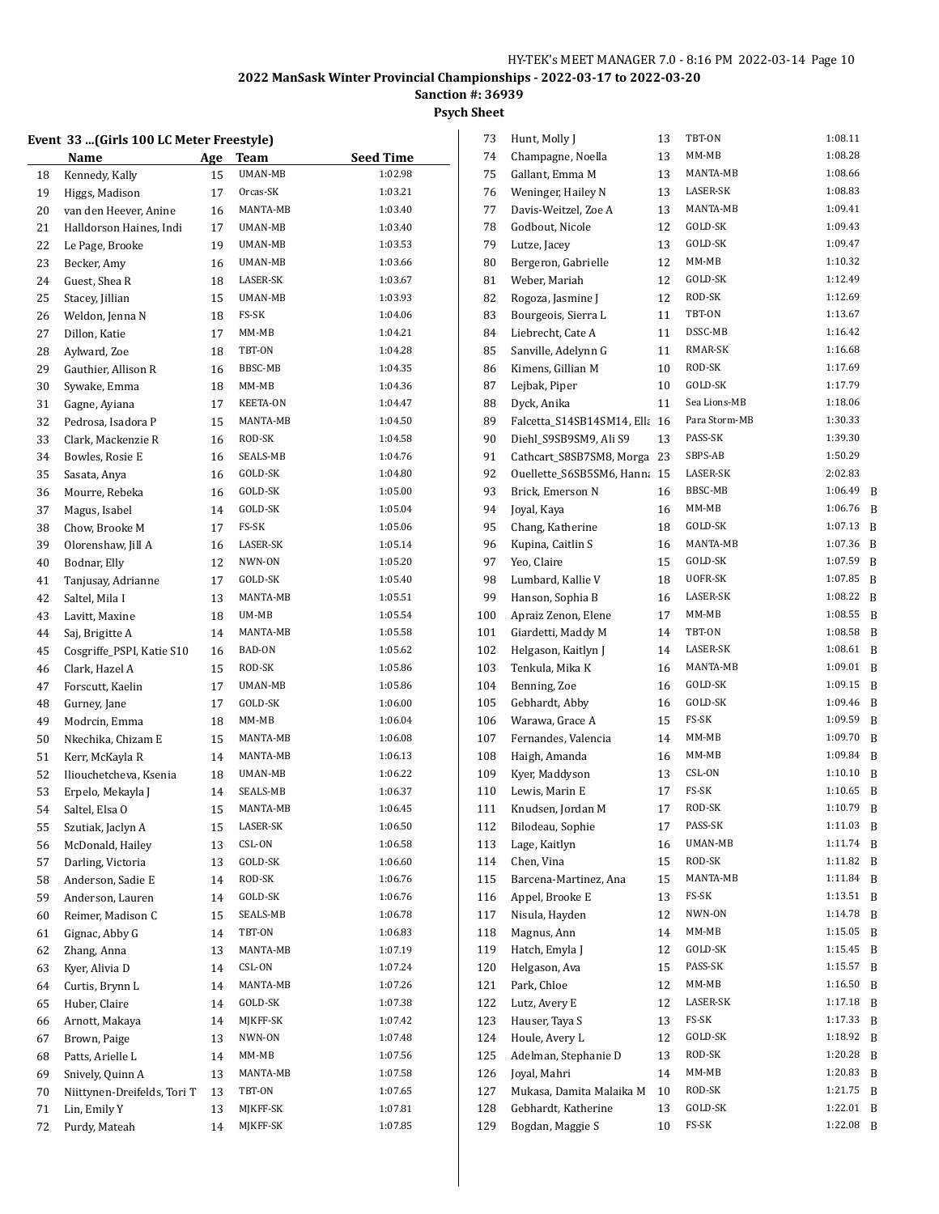**Sanction #: 36939**

#### **Psych Sheet**

#### **Event 33 ...(Girls 100 LC Meter Freestyle)**

|    | Name                        | Age | Team     | <b>Seed Time</b> |
|----|-----------------------------|-----|----------|------------------|
| 18 | Kennedy, Kally              | 15  | UMAN-MB  | 1:02.98          |
| 19 | Higgs, Madison              | 17  | Orcas-SK | 1:03.21          |
| 20 | van den Heever, Anine       | 16  | MANTA-MB | 1:03.40          |
| 21 | Halldorson Haines, Indi     | 17  | UMAN-MB  | 1:03.40          |
| 22 | Le Page, Brooke             | 19  | UMAN-MB  | 1:03.53          |
| 23 | Becker, Amy                 | 16  | UMAN-MB  | 1:03.66          |
| 24 | Guest, Shea R               | 18  | LASER-SK | 1:03.67          |
| 25 | Stacey, Jillian             | 15  | UMAN-MB  | 1:03.93          |
| 26 | Weldon, Jenna N             | 18  | FS-SK    | 1:04.06          |
| 27 | Dillon, Katie               | 17  | MM-MB    | 1:04.21          |
| 28 | Aylward, Zoe                | 18  | TBT-ON   | 1:04.28          |
| 29 | Gauthier, Allison R         | 16  | BBSC-MB  | 1:04.35          |
| 30 | Sywake, Emma                | 18  | MM-MB    | 1:04.36          |
| 31 | Gagne, Ayiana               | 17  | KEETA-ON | 1:04.47          |
| 32 | Pedrosa, Isadora P          | 15  | MANTA-MB | 1:04.50          |
| 33 | Clark, Mackenzie R          | 16  | ROD-SK   | 1:04.58          |
| 34 | Bowles, Rosie E             | 16  | SEALS-MB | 1:04.76          |
| 35 | Sasata, Anya                | 16  | GOLD-SK  | 1:04.80          |
| 36 | Mourre, Rebeka              | 16  | GOLD-SK  | 1:05.00          |
| 37 | Magus, Isabel               | 14  | GOLD-SK  | 1:05.04          |
| 38 | Chow, Brooke M              | 17  | FS-SK    | 1:05.06          |
| 39 | Olorenshaw, Jill A          | 16  | LASER-SK | 1:05.14          |
| 40 | Bodnar, Elly                | 12  | NWN-ON   | 1:05.20          |
| 41 | Tanjusay, Adrianne          | 17  | GOLD-SK  | 1:05.40          |
| 42 | Saltel, Mila I              | 13  | MANTA-MB | 1:05.51          |
| 43 | Lavitt, Maxine              | 18  | UM-MB    | 1:05.54          |
| 44 | Saj, Brigitte A             | 14  | MANTA-MB | 1:05.58          |
| 45 | Cosgriffe_PSPI, Katie S10   | 16  | BAD-ON   | 1:05.62          |
| 46 | Clark, Hazel A              | 15  | ROD-SK   | 1:05.86          |
| 47 | Forscutt, Kaelin            | 17  | UMAN-MB  | 1:05.86          |
| 48 | Gurney, Jane                | 17  | GOLD-SK  | 1:06.00          |
| 49 | Modrcin, Emma               | 18  | MM-MB    | 1:06.04          |
| 50 | Nkechika, Chizam E          | 15  | MANTA-MB | 1:06.08          |
| 51 | Kerr, McKayla R             | 14  | MANTA-MB | 1:06.13          |
| 52 | Iliouchetcheva, Ksenia      | 18  | UMAN-MB  | 1:06.22          |
| 53 | Erpelo, Mekayla J           | 14  | SEALS-MB | 1:06.37          |
| 54 | Saltel, Elsa O              | 15  | MANTA-MB | 1:06.45          |
| 55 | Szutiak, Jaclyn A           | 15  | LASER-SK | 1:06.50          |
| 56 | McDonald, Hailey            | 13  | CSL-ON   | 1:06.58          |
| 57 | Darling, Victoria           | 13  | GOLD-SK  | 1:06.60          |
| 58 | Anderson. Sadie E           | 14  | ROD-SK   | 1:06.76          |
| 59 | Anderson, Lauren            | 14  | GOLD-SK  | 1:06.76          |
| 60 | Reimer, Madison C           | 15  | SEALS-MB | 1:06.78          |
| 61 | Gignac, Abby G              | 14  | TBT-ON   | 1:06.83          |
| 62 | Zhang, Anna                 | 13  | MANTA-MB | 1:07.19          |
| 63 | Kyer, Alivia D              | 14  | CSL-ON   | 1:07.24          |
| 64 | Curtis, Brynn L             | 14  | MANTA-MB | 1:07.26          |
| 65 | Huber, Claire               | 14  | GOLD-SK  | 1:07.38          |
| 66 | Arnott, Makaya              | 14  | MJKFF-SK | 1:07.42          |
| 67 | Brown, Paige                | 13  | NWN-ON   | 1:07.48          |
| 68 | Patts, Arielle L            | 14  | MM-MB    | 1:07.56          |
| 69 | Snively, Quinn A            | 13  | MANTA-MB | 1:07.58          |
| 70 | Niittynen-Dreifelds, Tori T | 13  | TBT-ON   | 1:07.65          |
| 71 | Lin, Emily Y                | 13  | MJKFF-SK | 1:07.81          |
| 72 | Purdy, Mateah               | 14  | MJKFF-SK | 1:07.85          |

| 73         | Hunt, Molly J                            | 13       | TBT-ON          | 1:08.11            |        |
|------------|------------------------------------------|----------|-----------------|--------------------|--------|
| 74         | Champagne, Noella                        | 13       | MM-MB           | 1:08.28            |        |
| 75         | Gallant, Emma M                          | 13       | MANTA-MB        | 1:08.66            |        |
| 76         | Weninger, Hailey N                       | 13       | LASER-SK        | 1:08.83            |        |
| 77         | Davis-Weitzel, Zoe A                     | 13       | MANTA-MB        | 1:09.41            |        |
| 78         | Godbout, Nicole                          | 12       | GOLD-SK         | 1:09.43            |        |
| 79         | Lutze, Jacey                             | 13       | GOLD-SK         | 1:09.47            |        |
| 80         | Bergeron, Gabrielle                      | 12       | MM-MB           | 1:10.32            |        |
| 81         | Weber, Mariah                            | 12       | GOLD-SK         | 1:12.49            |        |
| 82         | Rogoza, Jasmine J                        | 12       | ROD-SK          | 1:12.69            |        |
| 83         | Bourgeois, Sierra L                      | 11       | TBT-ON          | 1:13.67            |        |
| 84         | Liebrecht, Cate A                        | 11       | DSSC-MB         | 1:16.42            |        |
| 85         | Sanville, Adelynn G                      | 11       | RMAR-SK         | 1:16.68            |        |
| 86         | Kimens, Gillian M                        | 10       | ROD-SK          | 1:17.69            |        |
| 87         | Lejbak, Piper                            | 10       | GOLD-SK         | 1:17.79            |        |
| 88         | Dyck, Anika                              | 11       | Sea Lions-MB    | 1:18.06            |        |
| 89         | Falcetta_S14SB14SM14, Ella               | 16       | Para Storm-MB   | 1:30.33            |        |
| 90         | Diehl_S9SB9SM9, Ali S9                   | 13       | PASS-SK         | 1:39.30            |        |
| 91         | Cathcart_S8SB7SM8, Morga                 | 23       | SBPS-AB         | 1:50.29            |        |
| 92         | Ouellette_S6SB5SM6, Hanna                | 15       | LASER-SK        | 2:02.83            |        |
| 93         | Brick, Emerson N                         | 16       | BBSC-MB         | 1:06.49            | B      |
| 94         | Joyal, Kaya                              | 16       | $MM-MB$         | 1:06.76            | B      |
| 95         | Chang, Katherine                         | 18       | GOLD-SK         | 1:07.13            | B      |
| 96         | Kupina, Caitlin S                        | 16       | MANTA-MB        | 1:07.36            | B      |
| 97         | Yeo, Claire                              | 15       | GOLD-SK         | 1:07.59            | B      |
| 98         | Lumbard, Kallie V                        | 18       | UOFR-SK         | 1:07.85            | B      |
| 99         | Hanson, Sophia B                         | 16       | LASER-SK        | 1:08.22            | B      |
| 100        | Apraiz Zenon, Elene                      | 17       | MM-MB           | 1:08.55            | B      |
| 101        | Giardetti, Maddy M                       | 14       | TBT-ON          | 1:08.58            | B      |
| 102        | Helgason, Kaitlyn J                      | 14       | LASER-SK        | 1:08.61            | B      |
| 103        | Tenkula, Mika K                          | 16       | MANTA-MB        | 1:09.01            | B      |
| 104        | Benning, Zoe                             | 16       | GOLD-SK         | 1:09.15            | B      |
| 105        | Gebhardt, Abby                           | 16       | GOLD-SK         | 1:09.46            | B      |
| 106        | Warawa, Grace A                          | 15       | FS-SK           | 1:09.59            | B      |
| 107        | Fernandes, Valencia                      | 14       | MM-MB           | 1:09.70            | B      |
| 108        | Haigh, Amanda                            | 16       | MM-MB           | 1:09.84            | B      |
| 109        | Kyer, Maddyson                           | 13       | CSL-ON          | 1:10.10            | B      |
| 110        | Lewis, Marin E                           | 17       | FS-SK           | 1:10.65            | B      |
| 111        | Knudsen, Jordan M                        | 17       | ROD-SK          | 1:10.79            | B      |
| 112        | Bilodeau, Sophie                         | 17       | PASS-SK         | 1:11.03            | B      |
| 113        | Lage, Kaitlyn                            | 16       | UMAN-MB         | 1:11.74            | B      |
| 114        | Chen, Vina                               | 15       | ROD-SK          | 1:11.82            | B      |
| 115        | Barcena-Martinez, Ana                    | 15       | MANTA-MB        | 1:11.84            | B      |
| 116        | Appel, Brooke E                          | 13       | FS-SK           | 1:13.51            | B      |
| 117        | Nisula, Hayden                           | 12       | NWN-ON          | 1:14.78            | B      |
| 118        | Magnus, Ann                              | 14       | $MM-MB$         | 1:15.05            | B      |
| 119        | Hatch, Emyla J                           | 12       | GOLD-SK         | 1:15.45            | B      |
| 120        | Helgason, Ava                            | 15       | PASS-SK         | 1:15.57            | B      |
| 121        | Park, Chloe                              | 12       | MM-MB           | 1:16.50            | B      |
| 122        | Lutz, Avery E                            | 12       | LASER-SK        | 1:17.18            | B      |
| 123        | Hauser, Taya S                           | 13       | FS-SK           | 1:17.33            | B      |
| 124        | Houle, Avery L                           | 12       | GOLD-SK         | 1:18.92            | B      |
| 125        | Adelman, Stephanie D                     | 13       | ROD-SK          | 1:20.28            | B      |
| 126        | Joyal, Mahri<br>Mukasa, Damita Malaika M | 14       | MM-MB<br>ROD-SK | 1:20.83<br>1:21.75 | B      |
| 127        | Gebhardt, Katherine                      | 10<br>13 | GOLD-SK         | 1:22.01            | B<br>B |
| 128<br>129 | Bogdan, Maggie S                         | 10       | FS-SK           | 1:22.08            | B      |
|            |                                          |          |                 |                    |        |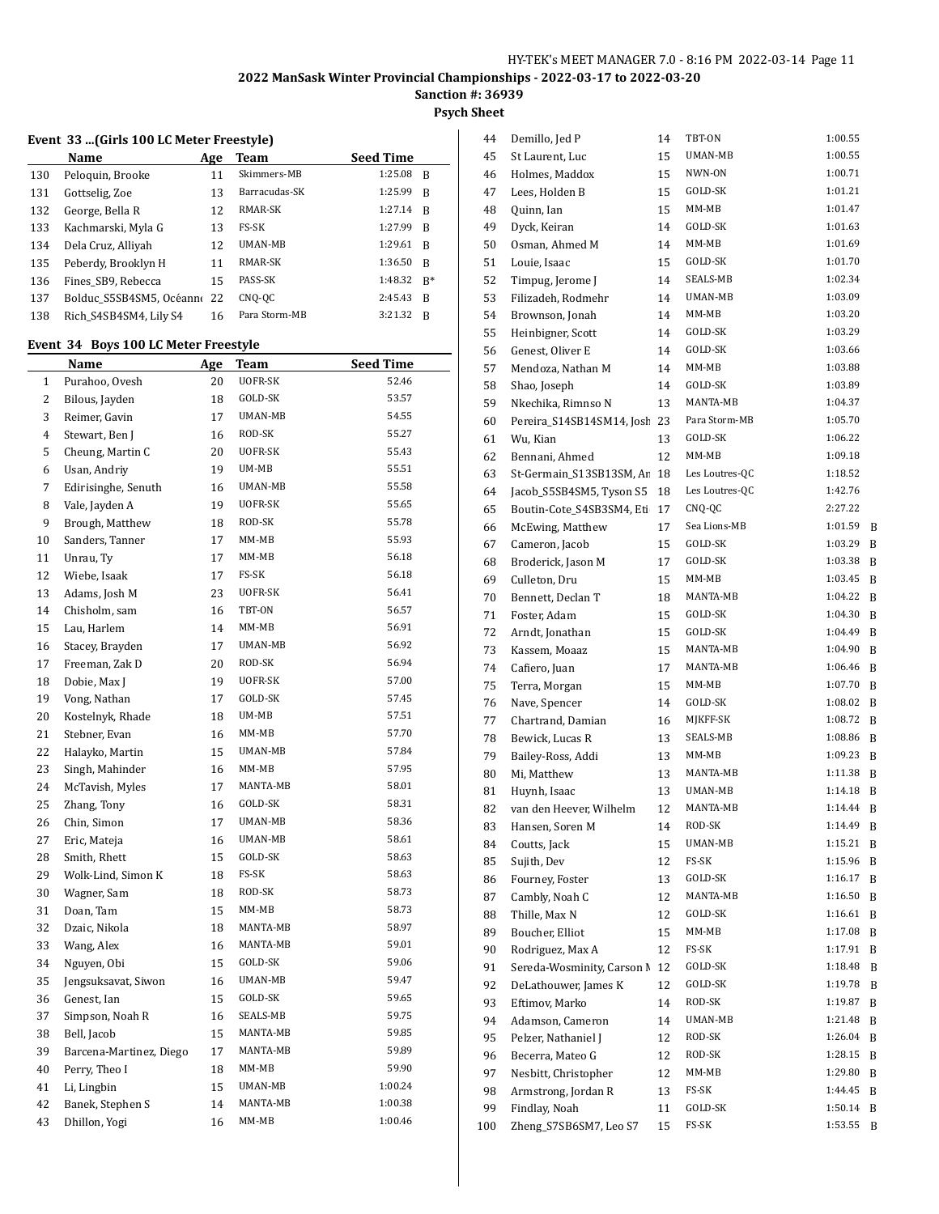**Sanction #: 36939**

**Psych Sheet**

#### **Event 33 ...(Girls 100 LC Meter Freestyle)**

|     | Name                     | Age | <b>Team</b>    | <b>Seed Time</b> |       |
|-----|--------------------------|-----|----------------|------------------|-------|
| 130 | Peloquin, Brooke         | 11  | Skimmers-MB    | 1:25.08          | - B   |
| 131 | Gottselig, Zoe           | 13  | Barracudas-SK  | 1:25.99          | B     |
| 132 | George, Bella R          | 12  | RMAR-SK        | 1:27.14          | - B   |
| 133 | Kachmarski, Myla G       | 13  | FS-SK          | 1:27.99          | B     |
| 134 | Dela Cruz, Alliyah       | 12  | <b>UMAN-MB</b> | 1:29.61          | B     |
| 135 | Peberdy, Brooklyn H      | 11  | RMAR-SK        | 1:36.50          | B     |
| 136 | Fines SB9, Rebecca       | 15  | PASS-SK        | 1:48.32          | $R^*$ |
| 137 | Bolduc S5SB4SM5, Océanne | 22  | CNQ-QC         | 2:45.43          | B     |
| 138 | Rich S4SB4SM4, Lily S4   | 16  | Para Storm-MB  | 3:21.32          | - B   |
|     |                          |     |                |                  |       |

#### **Event 34 Boys 100 LC Meter Freestyle**

|    | <u>Name</u>             | <u>Age</u> | <b>Team</b>    | <b>Seed Time</b> |
|----|-------------------------|------------|----------------|------------------|
| 1  | Purahoo, Ovesh          | 20         | <b>UOFR-SK</b> | 52.46            |
| 2  | Bilous, Jayden          | 18         | GOLD-SK        | 53.57            |
| 3  | Reimer, Gavin           | 17         | UMAN-MB        | 54.55            |
| 4  | Stewart, Ben J          | 16         | ROD-SK         | 55.27            |
| 5  | Cheung, Martin C        | 20         | UOFR-SK        | 55.43            |
| 6  | Usan, Andriy            | 19         | UM-MB          | 55.51            |
| 7  | Edirisinghe, Senuth     | 16         | UMAN-MB        | 55.58            |
| 8  | Vale, Jayden A          | 19         | UOFR-SK        | 55.65            |
| 9  | Brough, Matthew         | 18         | ROD-SK         | 55.78            |
| 10 | Sanders, Tanner         | 17         | $MM-MB$        | 55.93            |
| 11 | Unrau, Ty               | 17         | $MM-MB$        | 56.18            |
| 12 | Wiebe, Isaak            | 17         | FS-SK          | 56.18            |
| 13 | Adams, Josh M           | 23         | UOFR-SK        | 56.41            |
| 14 | Chisholm, sam           | 16         | TBT-ON         | 56.57            |
| 15 | Lau, Harlem             | 14         | MM-MB          | 56.91            |
| 16 | Stacey, Brayden         | 17         | UMAN-MB        | 56.92            |
| 17 | Freeman, Zak D          | 20         | ROD-SK         | 56.94            |
| 18 | Dobie, Max J            | 19         | UOFR-SK        | 57.00            |
| 19 | Vong, Nathan            | 17         | GOLD-SK        | 57.45            |
| 20 | Kostelnyk, Rhade        | 18         | UM-MB          | 57.51            |
| 21 | Stebner, Evan           | 16         | $MM-MB$        | 57.70            |
| 22 | Halayko, Martin         | 15         | UMAN-MB        | 57.84            |
| 23 | Singh, Mahinder         | 16         | MM-MB          | 57.95            |
| 24 | McTavish, Myles         | 17         | MANTA-MB       | 58.01            |
| 25 | Zhang, Tony             | 16         | GOLD-SK        | 58.31            |
| 26 | Chin, Simon             | 17         | UMAN-MB        | 58.36            |
| 27 | Eric, Mateja            | 16         | UMAN-MB        | 58.61            |
| 28 | Smith, Rhett            | 15         | GOLD-SK        | 58.63            |
| 29 | Wolk-Lind, Simon K      | 18         | FS-SK          | 58.63            |
| 30 | Wagner, Sam             | 18         | ROD-SK         | 58.73            |
| 31 | Doan, Tam               | 15         | $MM-MB$        | 58.73            |
| 32 | Dzaic, Nikola           | 18         | MANTA-MB       | 58.97            |
| 33 | Wang, Alex              | 16         | MANTA-MB       | 59.01            |
| 34 | Nguyen, Obi             | 15         | GOLD-SK        | 59.06            |
| 35 | Jengsuksavat, Siwon     | 16         | UMAN-MB        | 59.47            |
| 36 | Genest, Ian             | 15         | GOLD-SK        | 59.65            |
| 37 | Simpson, Noah R         | 16         | SEALS-MB       | 59.75            |
| 38 | Bell, Jacob             | 15         | MANTA-MB       | 59.85            |
| 39 | Barcena-Martinez, Diego | 17         | MANTA-MB       | 59.89            |
| 40 | Perry, Theo I           | 18         | $MM-MB$        | 59.90            |
| 41 | Li, Lingbin             | 15         | UMAN-MB        | 1:00.24          |
| 42 | Banek, Stephen S        | 14         | MANTA-MB       | 1:00.38          |
| 43 | Dhillon, Yogi           | 16         | $MM-MB$        | 1:00.46          |

| 44  | Demillo, Jed P             | 14 | TBT-ON         | 1:00.55 |   |
|-----|----------------------------|----|----------------|---------|---|
| 45  | St Laurent, Luc            | 15 | UMAN-MB        | 1:00.55 |   |
| 46  | Holmes, Maddox             | 15 | NWN-ON         | 1:00.71 |   |
| 47  | Lees, Holden B             | 15 | GOLD-SK        | 1:01.21 |   |
| 48  | Quinn, Ian                 | 15 | MM-MB          | 1:01.47 |   |
| 49  | Dyck, Keiran               | 14 | GOLD-SK        | 1:01.63 |   |
| 50  | Osman, Ahmed M             | 14 | $MM-MB$        | 1:01.69 |   |
| 51  | Louie, Isaac               | 15 | GOLD-SK        | 1:01.70 |   |
| 52  | Timpug, Jerome J           | 14 | SEALS-MB       | 1:02.34 |   |
| 53  | Filizadeh, Rodmehr         | 14 | <b>UMAN-MB</b> | 1:03.09 |   |
| 54  | Brownson, Jonah            | 14 | MM-MB          | 1:03.20 |   |
| 55  | Heinbigner, Scott          | 14 | GOLD-SK        | 1:03.29 |   |
| 56  | Genest, Oliver E           | 14 | GOLD-SK        | 1:03.66 |   |
| 57  | Mendoza, Nathan M          | 14 | MM-MB          | 1:03.88 |   |
| 58  | Shao, Joseph               | 14 | GOLD-SK        | 1:03.89 |   |
| 59  | Nkechika, Rimnso N         | 13 | MANTA-MB       | 1:04.37 |   |
| 60  | Pereira_S14SB14SM14, Josł  | 23 | Para Storm-MB  | 1:05.70 |   |
| 61  | Wu, Kian                   | 13 | GOLD-SK        | 1:06.22 |   |
| 62  | Bennani, Ahmed             | 12 | MM-MB          | 1:09.18 |   |
| 63  | St-Germain_S13SB13SM, Ar   | 18 | Les Loutres-QC | 1:18.52 |   |
| 64  | Jacob_S5SB4SM5, Tyson S5   | 18 | Les Loutres-QC | 1:42.76 |   |
| 65  | Boutin-Cote_S4SB3SM4, Eti  | 17 | CNQ-QC         | 2:27.22 |   |
| 66  | McEwing, Matthew           | 17 | Sea Lions-MB   | 1:01.59 | B |
| 67  | Cameron, Jacob             | 15 | GOLD-SK        | 1:03.29 | B |
| 68  | Broderick, Jason M         | 17 | GOLD-SK        | 1:03.38 | B |
| 69  | Culleton, Dru              | 15 | MM-MB          | 1:03.45 | B |
| 70  | Bennett, Declan T          | 18 | MANTA-MB       | 1:04.22 | B |
| 71  | Foster, Adam               | 15 | GOLD-SK        | 1:04.30 | B |
| 72  | Arndt, Jonathan            | 15 | GOLD-SK        | 1:04.49 | B |
| 73  | Kassem, Moaaz              | 15 | MANTA-MB       | 1:04.90 | B |
| 74  | Cafiero, Juan              | 17 | MANTA-MB       | 1:06.46 | B |
| 75  | Terra, Morgan              | 15 | MM-MB          | 1:07.70 | B |
| 76  | Nave, Spencer              | 14 | GOLD-SK        | 1:08.02 | B |
| 77  | Chartrand, Damian          | 16 | MJKFF-SK       | 1:08.72 | B |
| 78  | Bewick, Lucas R            | 13 | SEALS-MB       | 1:08.86 | B |
| 79  | Bailey-Ross, Addi          | 13 | MM-MB          | 1:09.23 | B |
| 80  | Mi, Matthew                | 13 | MANTA-MB       | 1:11.38 | B |
| 81  | Huynh, Isaac               | 13 | UMAN-MB        | 1:14.18 | B |
| 82  | van den Heever, Wilhelm    | 12 | MANTA-MB       | 1:14.44 | B |
| 83  | Hansen, Soren M            | 14 | ROD-SK         | 1:14.49 | B |
| 84  | Coutts, Jack               | 15 | UMAN-MB        | 1:15.21 | B |
| 85  | Sujith, Dev                | 12 | FS-SK          | 1:15.96 | B |
| 86  | Fourney, Foster            | 13 | GOLD-SK        | 1:16.17 | B |
| 87  | Cambly, Noah C             | 12 | MANTA-MB       | 1:16.50 | B |
| 88  | Thille, Max N              | 12 | GOLD-SK        | 1:16.61 | B |
| 89  | Boucher, Elliot            | 15 | $MM-MB$        | 1:17.08 | B |
| 90  | Rodriguez, Max A           | 12 | FS-SK          | 1:17.91 | B |
| 91  | Sereda-Wosminity, Carson N | 12 | GOLD-SK        | 1:18.48 | B |
| 92  | DeLathouwer, James K       | 12 | GOLD-SK        | 1:19.78 | B |
| 93  | Eftimov, Marko             | 14 | ROD-SK         | 1:19.87 | B |
| 94  | Adamson, Cameron           | 14 | UMAN-MB        | 1:21.48 | B |
| 95  | Pelzer, Nathaniel J        | 12 | ROD-SK         | 1:26.04 | B |
| 96  | Becerra, Mateo G           | 12 | ROD-SK         | 1:28.15 | B |
| 97  | Nesbitt, Christopher       | 12 | MM-MB          | 1:29.80 | B |
| 98  | Armstrong, Jordan R        | 13 | FS-SK          | 1:44.45 | B |
| 99  | Findlay, Noah              | 11 | GOLD-SK        | 1:50.14 | B |
| 100 | Zheng_S7SB6SM7, Leo S7     | 15 | FS-SK          | 1:53.55 | B |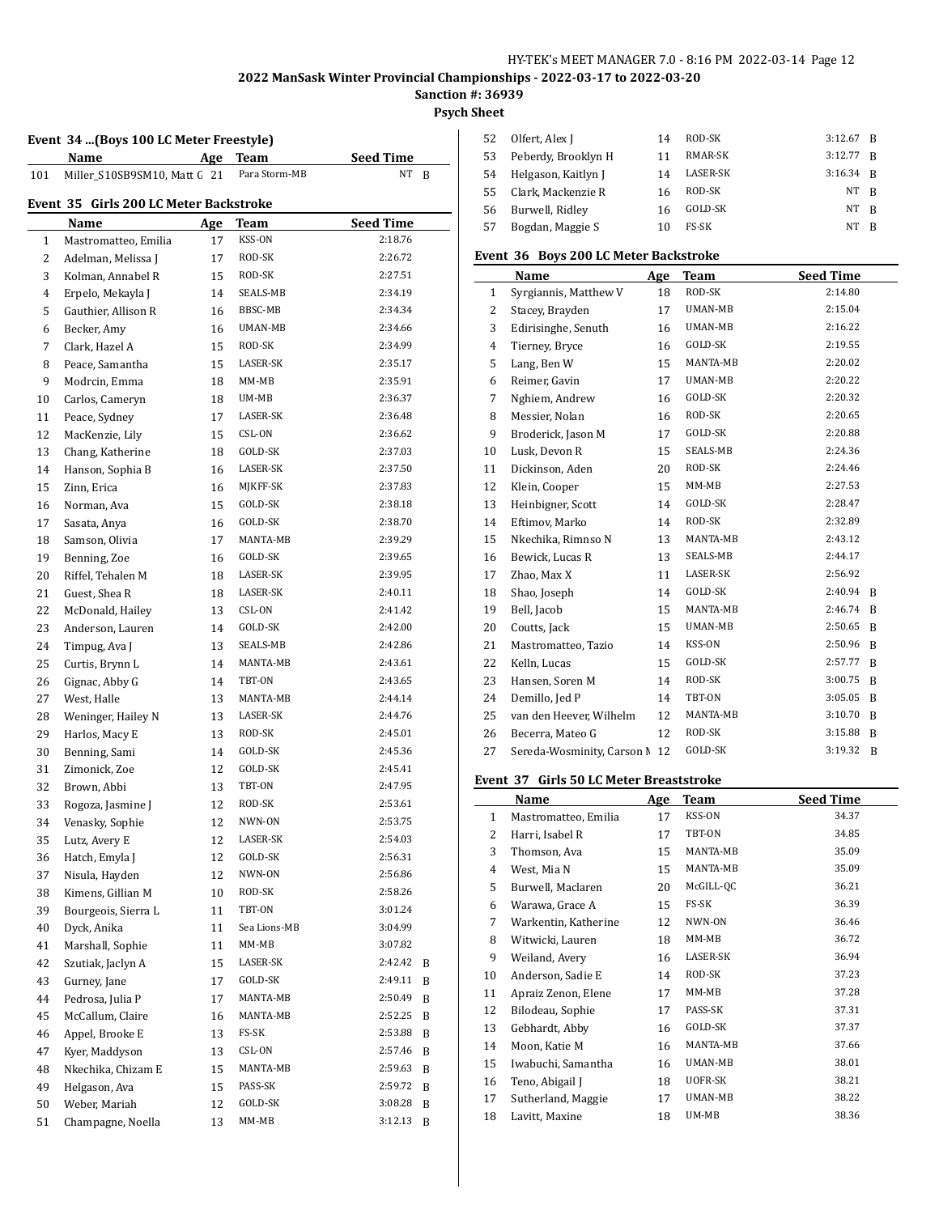**Psych Sheet**

#### **Event 34 ...(Boys 100 LC Meter Freestyle)**

|     | Name                                   | <b>Age</b> | Team          | <b>Seed Time</b> |   |
|-----|----------------------------------------|------------|---------------|------------------|---|
| 101 | Miller S10SB9SM10, Matt G 21           |            | Para Storm-MB | NT               | B |
|     | Event 35 Girls 200 LC Meter Backstroke |            |               |                  |   |
|     | Name                                   | Age        | Team          | <b>Seed Time</b> |   |
| 1   | Mastromatteo, Emilia                   | 17         | KSS-ON        | 2:18.76          |   |
| 2   | Adelman, Melissa J                     | 17         | ROD-SK        | 2:26.72          |   |
| 3   | Kolman, Annabel R                      | 15         | ROD-SK        | 2:27.51          |   |
| 4   | Erpelo, Mekayla J                      | 14         | SEALS-MB      | 2:34.19          |   |
| 5   | Gauthier, Allison R                    | 16         | BBSC-MB       | 2:34.34          |   |
| 6   | Becker, Amy                            | 16         | UMAN-MB       | 2:34.66          |   |
| 7   | Clark, Hazel A                         | 15         | ROD-SK        | 2:34.99          |   |
| 8   | Peace, Samantha                        | 15         | LASER-SK      | 2:35.17          |   |
| 9   | Modrcin, Emma                          | 18         | MM-MB         | 2:35.91          |   |
| 10  | Carlos, Cameryn                        | 18         | UM-MB         | 2:36.37          |   |
| 11  | Peace, Sydney                          | 17         | LASER-SK      | 2:36.48          |   |
| 12  | MacKenzie, Lily                        | 15         | CSL-ON        | 2:36.62          |   |
| 13  | Chang, Katherine                       | 18         | GOLD-SK       | 2:37.03          |   |
| 14  | Hanson, Sophia B                       | 16         | LASER-SK      | 2:37.50          |   |
| 15  | Zinn, Erica                            | 16         | MJKFF-SK      | 2:37.83          |   |
| 16  | Norman, Ava                            | 15         | GOLD-SK       | 2:38.18          |   |
| 17  | Sasata, Anya                           | 16         | GOLD-SK       | 2:38.70          |   |
| 18  | Samson, Olivia                         | 17         | MANTA-MB      | 2:39.29          |   |
| 19  | Benning, Zoe                           | 16         | GOLD-SK       | 2:39.65          |   |
| 20  | Riffel, Tehalen M                      | 18         | LASER-SK      | 2:39.95          |   |
| 21  | Guest, Shea R                          | 18         | LASER-SK      | 2:40.11          |   |
| 22  | McDonald, Hailey                       | 13         | CSL-ON        | 2:41.42          |   |
| 23  | Anderson, Lauren                       | 14         | GOLD-SK       | 2:42.00          |   |
| 24  | Timpug, Ava J                          | 13         | SEALS-MB      | 2:42.86          |   |
| 25  | Curtis, Brynn L                        | 14         | MANTA-MB      | 2:43.61          |   |
| 26  | Gignac, Abby G                         | 14         | TBT-ON        | 2:43.65          |   |
| 27  | West, Halle                            | 13         | MANTA-MB      | 2:44.14          |   |
| 28  | Weninger, Hailey N                     | 13         | LASER-SK      | 2:44.76          |   |
| 29  | Harlos, Macy E                         | 13         | ROD-SK        | 2:45.01          |   |
| 30  | Benning, Sami                          | 14         | GOLD-SK       | 2:45.36          |   |
| 31  | Zimonick, Zoe                          | 12         | GOLD-SK       | 2:45.41          |   |
| 32  | Brown, Abbi                            | 13         | TBT-ON        | 2:47.95          |   |
| 33  | Rogoza, Jasmine J                      | 12         | ROD-SK        | 2:53.61          |   |
| 34  | Venasky, Sophie                        | 12         | NWN-ON        | 2:53.75          |   |
| 35  | Lutz, Avery E                          | 12         | LASER-SK      | 2:54.03          |   |
| 36  | Hatch, Emyla J                         | 12         | GOLD-SK       | 2:56.31          |   |
| 37  | Nisula, Hayden                         | 12         | NWN-ON        | 2:56.86          |   |
| 38  | Kimens, Gillian M                      | 10         | ROD-SK        | 2:58.26          |   |
| 39  | Bourgeois, Sierra L                    | 11         | TBT-ON        | 3:01.24          |   |
| 40  | Dyck, Anika                            | 11         | Sea Lions-MB  | 3:04.99          |   |
| 41  | Marshall, Sophie                       | 11         | MM-MB         | 3:07.82          |   |
| 42  | Szutiak, Jaclyn A                      | 15         | LASER-SK      | 2:42.42          | B |
| 43  | Gurney, Jane                           | 17         | GOLD-SK       | 2:49.11          | B |
| 44  | Pedrosa, Julia P                       | 17         | MANTA-MB      | 2:50.49          | B |
| 45  | McCallum, Claire                       | 16         | MANTA-MB      | 2:52.25          | B |
| 46  | Appel, Brooke E                        | 13         | FS-SK         | 2:53.88          | B |
| 47  | Kyer, Maddyson                         | 13         | CSL-ON        | 2:57.46          | B |
| 48  | Nkechika, Chizam E                     | 15         | MANTA-MB      | 2:59.63          | B |
| 49  | Helgason, Ava                          | 15         | PASS-SK       | 2:59.72          | B |
| 50  | Weber, Mariah                          | 12         | GOLD-SK       | 3:08.28          | B |
| 51  | Champagne, Noella                      | 13         | MM-MB         | 3:12.13          | B |
|     |                                        |            |               |                  |   |

|     | 52 Olfert, Alex J   | 14 | ROD-SK       | $3:12.67$ R |              |
|-----|---------------------|----|--------------|-------------|--------------|
| 53  | Peberdy, Brooklyn H | 11 | RMAR-SK      | $3:12.77$ R |              |
| 54  | Helgason, Kaitlyn J | 14 | LASER-SK     | $3:16.34$ R |              |
| 55  | Clark, Mackenzie R  | 16 | ROD-SK       | NT B        |              |
| 56  | Burwell, Ridley     | 16 | GOLD-SK      | NT          | - B          |
| .57 | Bogdan, Maggie S    | 10 | <b>FS-SK</b> | NT.         | <sup>B</sup> |

#### **Event 36 Boys 200 LC Meter Backstroke**

|                | Name                       | Age | Team     | <b>Seed Time</b> |   |
|----------------|----------------------------|-----|----------|------------------|---|
| 1              | Syrgiannis, Matthew V      | 18  | ROD-SK   | 2:14.80          |   |
| 2              | Stacey, Brayden            | 17  | UMAN-MB  | 2:15.04          |   |
| 3              | Edirisinghe, Senuth        | 16  | UMAN-MB  | 2:16.22          |   |
| $\overline{4}$ | Tierney, Bryce             | 16  | GOLD-SK  | 2:19.55          |   |
| 5              | Lang, Ben W                | 15  | MANTA-MB | 2:20.02          |   |
| 6              | Reimer, Gavin              | 17  | UMAN-MB  | 2:20.22          |   |
| 7              | Nghiem, Andrew             | 16  | GOLD-SK  | 2:20.32          |   |
| 8              | Messier, Nolan             | 16  | ROD-SK   | 2:20.65          |   |
| 9              | Broderick, Jason M         | 17  | GOLD-SK  | 2:20.88          |   |
| 10             | Lusk, Devon R              | 15  | SEALS-MB | 2:24.36          |   |
| 11             | Dickinson, Aden            | 20  | ROD-SK   | 2:24.46          |   |
| 12             | Klein, Cooper              | 15  | MM-MB    | 2:27.53          |   |
| 13             | Heinbigner, Scott          | 14  | GOLD-SK  | 2:28.47          |   |
| 14             | Eftimov, Marko             | 14  | ROD-SK   | 2:32.89          |   |
| 15             | Nkechika, Rimnso N         | 13  | MANTA-MB | 2:43.12          |   |
| 16             | Bewick, Lucas R            | 13  | SEALS-MB | 2:44.17          |   |
| 17             | Zhao, Max X                | 11  | LASER-SK | 2:56.92          |   |
| 18             | Shao, Joseph               | 14  | GOLD-SK  | 2:40.94          | B |
| 19             | Bell, Jacob                | 15  | MANTA-MB | 2:46.74          | B |
| 20             | Coutts, Jack               | 15  | UMAN-MB  | 2:50.65          | B |
| 21             | Mastromatteo, Tazio        | 14  | KSS-ON   | 2:50.96          | B |
| 22             | Kelln, Lucas               | 15  | GOLD-SK  | 2:57.77          | B |
| 23             | Hansen, Soren M            | 14  | ROD-SK   | 3:00.75          | B |
| 24             | Demillo, Jed P             | 14  | TBT-ON   | 3:05.05          | B |
| 25             | van den Heever, Wilhelm    | 12  | MANTA-MB | 3:10.70          | B |
| 26             | Becerra, Mateo G           | 12  | ROD-SK   | 3:15.88          | B |
| 27             | Sereda-Wosminity, Carson N | 12  | GOLD-SK  | 3:19.32          | B |

#### **Event 37 Girls 50 LC Meter Breaststroke**

|              | Name                 | Age | Team      | <b>Seed Time</b> |
|--------------|----------------------|-----|-----------|------------------|
| $\mathbf{1}$ | Mastromatteo, Emilia | 17  | KSS-ON    | 34.37            |
| 2            | Harri, Isabel R      | 17  | TBT-ON    | 34.85            |
| 3            | Thomson, Ava         | 15  | MANTA-MB  | 35.09            |
| 4            | West, Mia N          | 15  | MANTA-MB  | 35.09            |
| 5            | Burwell, Maclaren    | 20  | McGILL-QC | 36.21            |
| 6            | Warawa, Grace A      | 15  | FS-SK     | 36.39            |
| 7            | Warkentin, Katherine | 12  | NWN-ON    | 36.46            |
| 8            | Witwicki, Lauren     | 18  | MM-MB     | 36.72            |
| 9            | Weiland, Avery       | 16  | LASER-SK  | 36.94            |
| 10           | Anderson, Sadie E    | 14  | ROD-SK    | 37.23            |
| 11           | Apraiz Zenon, Elene  | 17  | MM-MB     | 37.28            |
| 12           | Bilodeau, Sophie     | 17  | PASS-SK   | 37.31            |
| 13           | Gebhardt, Abby       | 16  | GOLD-SK   | 37.37            |
| 14           | Moon, Katie M        | 16  | MANTA-MB  | 37.66            |
| 15           | Iwabuchi, Samantha   | 16  | UMAN-MB   | 38.01            |
| 16           | Teno, Abigail J      | 18  | UOFR-SK   | 38.21            |
| 17           | Sutherland, Maggie   | 17  | UMAN-MB   | 38.22            |
| 18           | Lavitt, Maxine       | 18  | UM-MB     | 38.36            |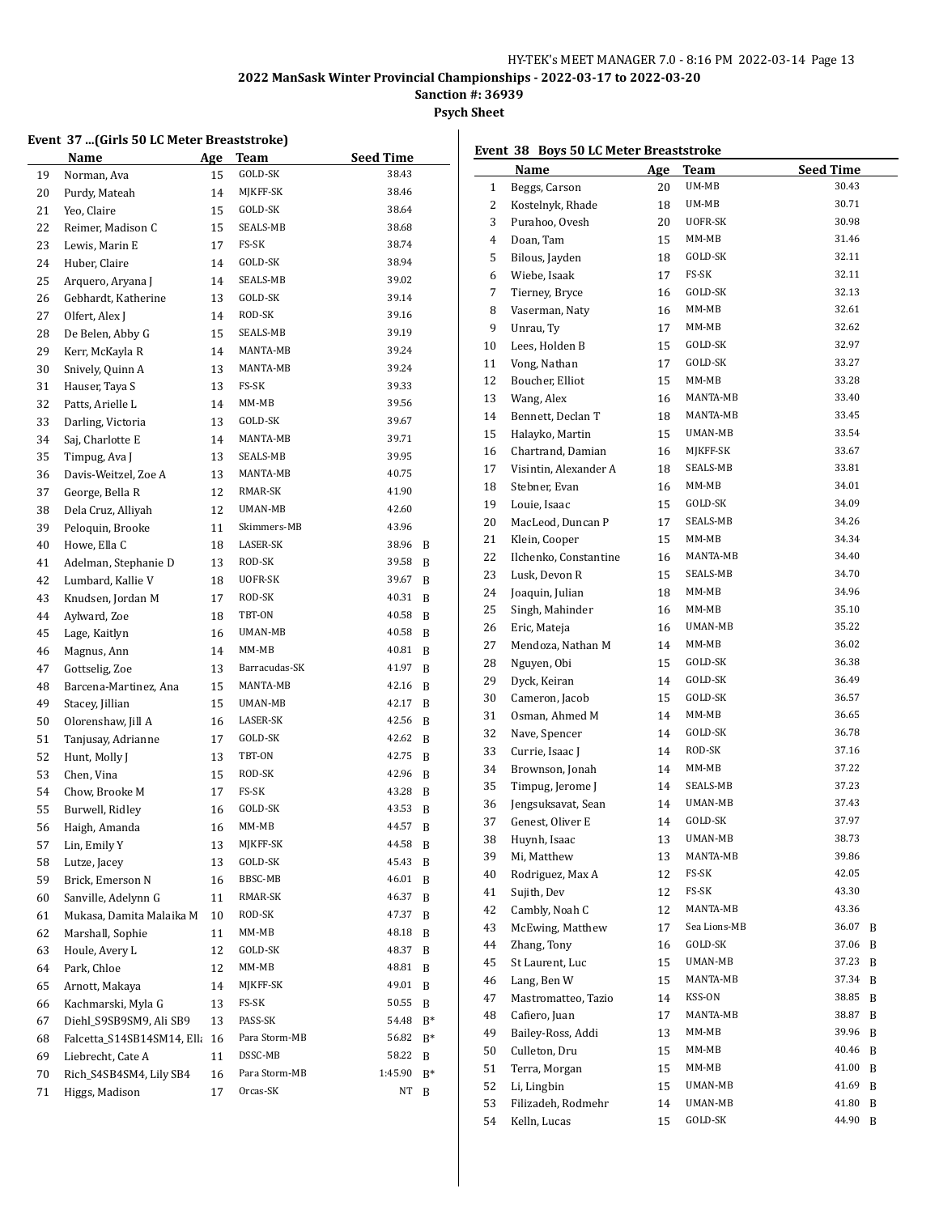**Sanction #: 36939**

# **Psych Sheet**

l.

#### **Event 37 ...(Girls 50 LC Meter Breaststroke)**

|    | Name                       | Age | Team          | <b>Seed Time</b> |       |
|----|----------------------------|-----|---------------|------------------|-------|
| 19 | Norman, Ava                | 15  | GOLD-SK       | 38.43            |       |
| 20 | Purdy, Mateah              | 14  | MJKFF-SK      | 38.46            |       |
| 21 | Yeo, Claire                | 15  | GOLD-SK       | 38.64            |       |
| 22 | Reimer, Madison C          | 15  | SEALS-MB      | 38.68            |       |
| 23 | Lewis, Marin E             | 17  | FS-SK         | 38.74            |       |
| 24 | Huber, Claire              | 14  | GOLD-SK       | 38.94            |       |
| 25 | Arquero, Aryana J          | 14  | SEALS-MB      | 39.02            |       |
| 26 | Gebhardt, Katherine        | 13  | GOLD-SK       | 39.14            |       |
| 27 | Olfert, Alex J             | 14  | ROD-SK        | 39.16            |       |
| 28 | De Belen, Abby G           | 15  | SEALS-MB      | 39.19            |       |
| 29 | Kerr, McKayla R            | 14  | MANTA-MB      | 39.24            |       |
| 30 | Snively, Quinn A           | 13  | MANTA-MB      | 39.24            |       |
| 31 | Hauser, Taya S             | 13  | FS-SK         | 39.33            |       |
| 32 | Patts, Arielle L           | 14  | MM-MB         | 39.56            |       |
| 33 | Darling, Victoria          | 13  | GOLD-SK       | 39.67            |       |
| 34 | Saj, Charlotte E           | 14  | MANTA-MB      | 39.71            |       |
| 35 | Timpug, Ava J              | 13  | SEALS-MB      | 39.95            |       |
| 36 | Davis-Weitzel, Zoe A       | 13  | MANTA-MB      | 40.75            |       |
| 37 | George, Bella R            | 12  | RMAR-SK       | 41.90            |       |
| 38 | Dela Cruz, Alliyah         | 12  | UMAN-MB       | 42.60            |       |
| 39 | Peloquin, Brooke           | 11  | Skimmers-MB   | 43.96            |       |
| 40 | Howe, Ella C               | 18  | LASER-SK      | 38.96            | B     |
| 41 | Adelman, Stephanie D       | 13  | ROD-SK        | 39.58            | B     |
| 42 | Lumbard, Kallie V          | 18  | UOFR-SK       | 39.67            | B     |
| 43 | Knudsen, Jordan M          | 17  | ROD-SK        | 40.31            | B     |
| 44 | Aylward, Zoe               | 18  | TBT-ON        | 40.58            | B     |
| 45 | Lage, Kaitlyn              | 16  | UMAN-MB       | 40.58            | B     |
| 46 | Magnus, Ann                | 14  | MM-MB         | 40.81            | B     |
| 47 | Gottselig, Zoe             | 13  | Barracudas-SK | 41.97            | B     |
| 48 | Barcena-Martinez, Ana      | 15  | MANTA-MB      | 42.16            | B     |
| 49 | Stacey, Jillian            | 15  | UMAN-MB       | 42.17            | B     |
| 50 | Olorenshaw, Jill A         | 16  | LASER-SK      | 42.56            | B     |
| 51 | Tanjusay, Adrianne         | 17  | GOLD-SK       | 42.62            | B     |
| 52 | Hunt, Molly J              | 13  | TBT-ON        | 42.75            | B     |
| 53 | Chen, Vina                 | 15  | ROD-SK        | 42.96            | B     |
| 54 | Chow, Brooke M             | 17  | FS-SK         | 43.28            | B     |
| 55 | Burwell, Ridley            | 16  | GOLD-SK       | 43.53            | B     |
| 56 | Haigh, Amanda              | 16  | MM-MB         | 44.57            | B     |
| 57 | Lin, Emily Y               | 13  | MJKFF-SK      | 44.58            | B     |
| 58 | Lutze, Jacey               | 13  | GOLD-SK       | 45.43            | B     |
| 59 | Brick, Emerson N           | 16  | BBSC-MB       | 46.01            | B     |
| 60 | Sanville, Adelynn G        | 11  | RMAR-SK       | 46.37            | B     |
| 61 | Mukasa, Damita Malaika M   | 10  | ROD-SK        | 47.37            | B     |
| 62 | Marshall, Sophie           | 11  | MM-MB         | 48.18            | B     |
| 63 | Houle, Avery L             | 12  | GOLD-SK       | 48.37            | B     |
| 64 | Park, Chloe                | 12  | $MM-MB$       | 48.81            | B     |
| 65 | Arnott, Makaya             | 14  | MJKFF-SK      | 49.01            | B     |
| 66 | Kachmarski, Myla G         | 13  | FS-SK         | 50.55            | B     |
| 67 | Diehl_S9SB9SM9, Ali SB9    | 13  | PASS-SK       | 54.48            | B*    |
| 68 | Falcetta_S14SB14SM14, Ella | 16  | Para Storm-MB | 56.82            | B*    |
| 69 | Liebrecht, Cate A          | 11  | DSSC-MB       | 58.22            | B     |
| 70 | Rich_S4SB4SM4, Lily SB4    | 16  | Para Storm-MB | 1:45.90          | $B^*$ |
| 71 | Higgs, Madison             | 17  | Orcas-SK      | NΤ               | B     |

|              | Event 38 Boys 50 LC Meter Breaststroke |            |                    |                  |
|--------------|----------------------------------------|------------|--------------------|------------------|
|              | Name                                   | <b>Age</b> | Team               | <b>Seed Time</b> |
| $\mathbf{1}$ | Beggs, Carson                          | 20         | UM-MB              | 30.43            |
| 2            | Kostelnyk, Rhade                       | 18         | UM-MB              | 30.71            |
| 3            | Purahoo, Ovesh                         | 20         | UOFR-SK            | 30.98            |
| 4            | Doan, Tam                              | 15         | MM-MB              | 31.46            |
| 5            | Bilous, Jayden                         | 18         | GOLD-SK            | 32.11            |
| 6            | Wiebe, Isaak                           | 17         | FS-SK              | 32.11            |
| 7            | Tierney, Bryce                         | 16         | GOLD-SK            | 32.13            |
| 8            | Vaserman, Naty                         | 16         | MM-MB              | 32.61            |
| 9            | Unrau, Ty                              | 17         | $MM-MB$            | 32.62            |
| 10           | Lees, Holden B                         | 15         | GOLD-SK            | 32.97            |
| 11           | Vong, Nathan                           | 17         | GOLD-SK            | 33.27            |
| 12           | Boucher, Elliot                        | 15         | MM-MB              | 33.28            |
| 13           | Wang, Alex                             | 16         | MANTA-MB           | 33.40            |
| 14           | Bennett, Declan T                      | 18         | MANTA-MB           | 33.45            |
| 15           | Halayko, Martin                        | 15         | UMAN-MB            | 33.54            |
| 16           | Chartrand, Damian                      | 16         | MJKFF-SK           | 33.67            |
| 17           | Visintin, Alexander A                  | 18         | SEALS-MB           | 33.81            |
| 18           | Stebner, Evan                          | 16         | MM-MB              | 34.01            |
| 19           | Louie, Isaac                           | 15         | GOLD-SK            | 34.09            |
| 20           | MacLeod, Duncan P                      | 17         | SEALS-MB           | 34.26            |
| 21           | Klein, Cooper                          | 15         | $MM-MB$            | 34.34            |
| 22           | Ilchenko, Constantine                  | 16         | MANTA-MB           | 34.40            |
| 23           | Lusk, Devon R                          | 15         | SEALS-MB           | 34.70            |
| 24           | Joaquin, Julian                        | 18         | $MM-MB$            | 34.96            |
| 25           | Singh, Mahinder                        | 16         | MM-MB              | 35.10            |
| 26           | Eric, Mateja                           | 16         | UMAN-MB            | 35.22            |
| 27           | Mendoza, Nathan M                      | 14         | MM-MB              | 36.02            |
| 28           | Nguyen, Obi                            | 15         | GOLD-SK            | 36.38            |
| 29           | Dyck, Keiran                           | 14         | GOLD-SK            | 36.49            |
| 30           | Cameron, Jacob                         | 15         | GOLD-SK            | 36.57            |
| 31           | Osman, Ahmed M                         | 14         | MM-MB              | 36.65            |
| 32           | Nave, Spencer                          | 14         | GOLD-SK            | 36.78            |
| 33           | Currie, Isaac J                        | 14         | ROD-SK             | 37.16            |
| 34           | Brownson, Jonah                        | 14         | MM-MB              | 37.22            |
| 35           | Timpug, Jerome J                       | 14         | SEALS-MB           | 37.23            |
| 36           | Jengsuksavat, Sean                     | 14         | UMAN-MB            | 37.43            |
| 37           | Genest, Oliver E                       | 14         | GOLD-SK            | 37.97            |
| 38           | Huynh, Isaac                           | 13         | UMAN-MB            | 38.73            |
| 39           | Mi, Matthew                            | 13         | MANTA-MB           | 39.86            |
| 40           | Rodriguez, Max A                       | 12         | FS-SK              | 42.05            |
| 41           | Sujith, Dev                            | 12         | FS-SK              | 43.30            |
| 42           |                                        | 12         | MANTA-MB           | 43.36            |
| 43           | Cambly, Noah C<br>McEwing, Matthew     |            | Sea Lions-MB       | 36.07            |
|              |                                        | 17         | GOLD-SK            | B<br>37.06       |
| 44           | Zhang, Tony                            | 16         |                    | B                |
| 45           | St Laurent, Luc                        | 15         | UMAN-MB            | 37.23<br>B       |
| 46           | Lang, Ben W                            | 15         | MANTA-MB<br>KSS-ON | 37.34<br>B       |
| 47           | Mastromatteo, Tazio                    | 14         |                    | 38.85<br>B       |
| 48           | Cafiero, Juan                          | 17         | MANTA-MB           | 38.87<br>B       |
| 49           | Bailey-Ross, Addi                      | 13         | MM-MB              | 39.96<br>B       |
| 50           | Culleton, Dru                          | 15         | MM-MB              | 40.46<br>B       |
| 51           | Terra, Morgan                          | 15         | MM-MB              | 41.00<br>B       |
| 52           | Li, Lingbin                            | 15         | UMAN-MB            | 41.69<br>B       |
| 53           | Filizadeh, Rodmehr                     | 14         | UMAN-MB            | 41.80<br>B       |
| 54           | Kelln, Lucas                           | 15         | GOLD-SK            | 44.90<br>B       |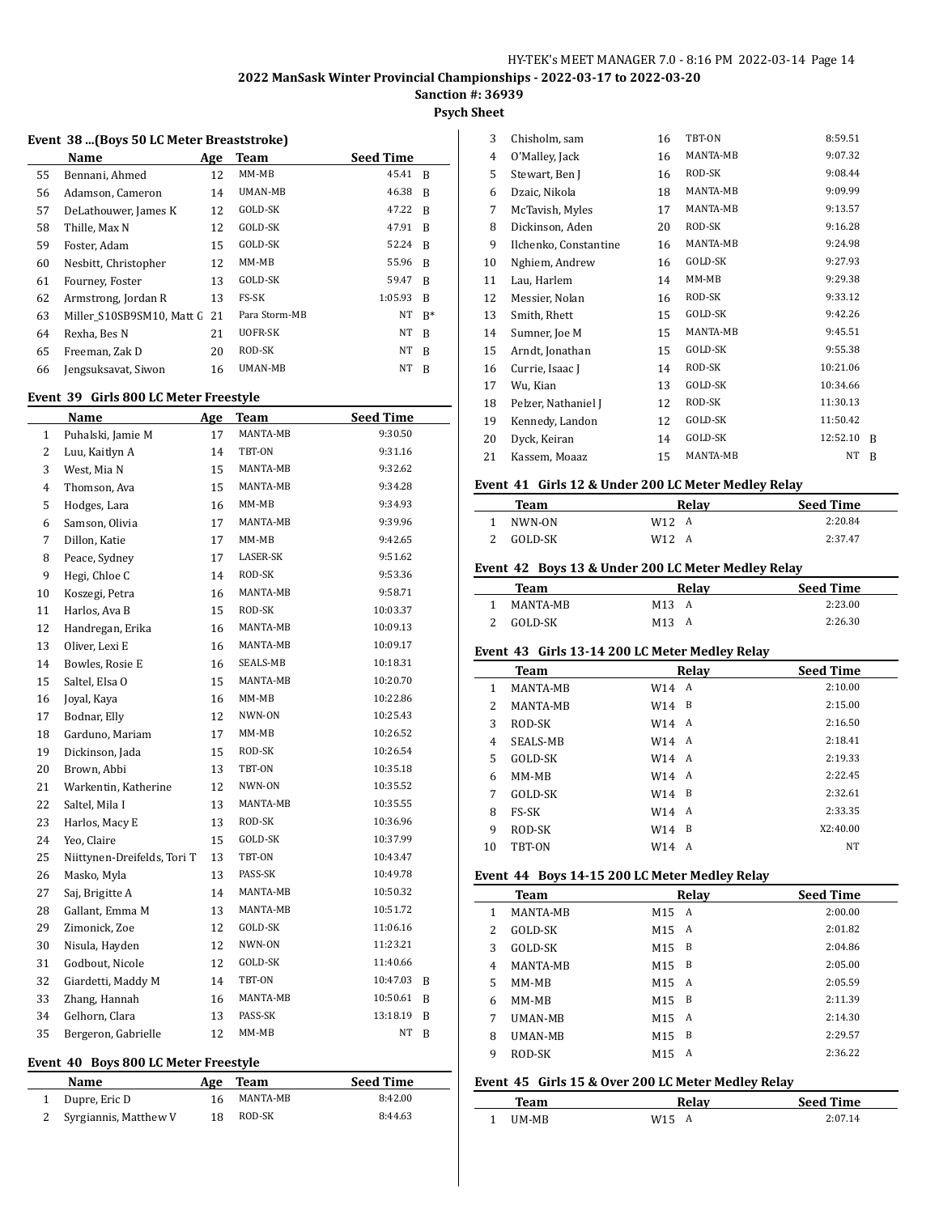**Psych Sheet**

#### **Event 38 ...(Boys 50 LC Meter Breaststroke)**

|    | Name                         | Age | Team          | <b>Seed Time</b> |       |
|----|------------------------------|-----|---------------|------------------|-------|
| 55 | Bennani, Ahmed               | 12  | $MM-MB$       | 45.41            | B     |
| 56 | Adamson, Cameron             | 14  | UMAN-MB       | 46.38            | B     |
| 57 | DeLathouwer, James K         | 12  | GOLD-SK       | 47.22            | - B   |
| 58 | Thille, Max N                | 12  | GOLD-SK       | 47.91            | R     |
| 59 | Foster, Adam                 | 15  | GOLD-SK       | 52.24            | R     |
| 60 | Nesbitt, Christopher         | 12  | $MM-MB$       | 55.96            | B     |
| 61 | Fourney, Foster              | 13  | GOLD-SK       | 59.47            | B     |
| 62 | Armstrong, Jordan R          | 13  | FS-SK         | 1:05.93          | R     |
| 63 | Miller S10SB9SM10. Matt G 21 |     | Para Storm-MB | NT               | $B^*$ |
| 64 | Rexha, Bes N                 | 21  | UOFR-SK       | NT               | B     |
| 65 | Freeman, Zak D               | 20  | ROD-SK        | NT               | B     |
| 66 | Jengsuksavat, Siwon          | 16  | UMAN-MB       | NT               | B     |

#### **Event 39 Girls 800 LC Meter Freestyle**

|                | Name                                 | Age | <b>Team</b> | <b>Seed Time</b> |   |
|----------------|--------------------------------------|-----|-------------|------------------|---|
| $\mathbf{1}$   | Puhalski, Jamie M                    | 17  | MANTA-MB    | 9:30.50          |   |
| $\overline{c}$ | Luu, Kaitlyn A                       | 14  | TBT-ON      | 9:31.16          |   |
| 3              | West, Mia N                          | 15  | MANTA-MB    | 9:32.62          |   |
| 4              | Thomson, Ava                         | 15  | MANTA-MB    | 9:34.28          |   |
| 5              | Hodges, Lara                         | 16  | MM-MB       | 9:34.93          |   |
| 6              | Samson, Olivia                       | 17  | MANTA-MB    | 9:39.96          |   |
| 7              | Dillon, Katie                        | 17  | MM-MB       | 9:42.65          |   |
| 8              | Peace, Sydney                        | 17  | LASER-SK    | 9:51.62          |   |
| 9              | Hegi, Chloe C                        | 14  | ROD-SK      | 9:53.36          |   |
| 10             | Koszegi, Petra                       | 16  | MANTA-MB    | 9:58.71          |   |
| 11             | Harlos, Ava B                        | 15  | ROD-SK      | 10:03.37         |   |
| 12             | Handregan, Erika                     | 16  | MANTA-MB    | 10:09.13         |   |
| 13             | Oliver, Lexi E                       | 16  | MANTA-MB    | 10:09.17         |   |
| 14             | Bowles, Rosie E                      | 16  | SEALS-MB    | 10:18.31         |   |
| 15             | Saltel, Elsa O                       | 15  | MANTA-MB    | 10:20.70         |   |
| 16             | Joyal, Kaya                          | 16  | MM-MB       | 10:22.86         |   |
| 17             | Bodnar, Elly                         | 12  | NWN-ON      | 10:25.43         |   |
| 18             | Garduno, Mariam                      | 17  | MM-MB       | 10:26.52         |   |
| 19             | Dickinson, Jada                      | 15  | ROD-SK      | 10:26.54         |   |
| 20             | Brown, Abbi                          | 13  | TBT-ON      | 10:35.18         |   |
| 21             | Warkentin, Katherine                 | 12  | NWN-ON      | 10:35.52         |   |
| 22             | Saltel, Mila I                       | 13  | MANTA-MB    | 10:35.55         |   |
| 23             | Harlos, Macy E                       | 13  | ROD-SK      | 10:36.96         |   |
| 24             | Yeo, Claire                          | 15  | GOLD-SK     | 10:37.99         |   |
| 25             | Niittynen-Dreifelds, Tori T          | 13  | TBT-ON      | 10:43.47         |   |
| 26             | Masko, Myla                          | 13  | PASS-SK     | 10:49.78         |   |
| 27             | Saj, Brigitte A                      | 14  | MANTA-MB    | 10:50.32         |   |
| 28             | Gallant, Emma M                      | 13  | MANTA-MB    | 10:51.72         |   |
| 29             | Zimonick, Zoe                        | 12  | GOLD-SK     | 11:06.16         |   |
| 30             | Nisula, Hayden                       | 12  | NWN-ON      | 11:23.21         |   |
| 31             | Godbout, Nicole                      | 12  | GOLD-SK     | 11:40.66         |   |
| 32             | Giardetti, Maddy M                   | 14  | TBT-ON      | 10:47.03         | B |
| 33             | Zhang, Hannah                        | 16  | MANTA-MB    | 10:50.61         | B |
| 34             | Gelhorn, Clara                       | 13  | PASS-SK     | 13:18.19         | B |
| 35             | Bergeron, Gabrielle                  | 12  | MM-MB       | NT               | B |
|                | Event 40 Boys 800 LC Meter Freestyle |     |             |                  |   |

| Name                    |     | Age Team | <b>Seed Time</b> |
|-------------------------|-----|----------|------------------|
| 1 Dupre, Eric D         | 16. | MANTA-MB | 8:42.00          |
| 2 Syrgiannis, Matthew V | 18  | ROD-SK   | 8:44.63          |

| 3  | Chisholm, sam         | 16 | TBT-ON   | 8:59.51  |   |
|----|-----------------------|----|----------|----------|---|
| 4  | O'Malley, Jack        | 16 | MANTA-MB | 9:07.32  |   |
| 5  | Stewart, Ben J        | 16 | ROD-SK   | 9:08.44  |   |
| 6  | Dzaic, Nikola         | 18 | MANTA-MB | 9:09.99  |   |
| 7  | McTavish, Myles       | 17 | MANTA-MB | 9:13.57  |   |
| 8  | Dickinson, Aden       | 20 | ROD-SK   | 9:16.28  |   |
| 9  | Ilchenko, Constantine | 16 | MANTA-MB | 9:24.98  |   |
| 10 | Nghiem, Andrew        | 16 | GOLD-SK  | 9:27.93  |   |
| 11 | Lau, Harlem           | 14 | $MM-MB$  | 9:29.38  |   |
| 12 | Messier, Nolan        | 16 | ROD-SK   | 9:33.12  |   |
| 13 | Smith, Rhett          | 15 | GOLD-SK  | 9:42.26  |   |
| 14 | Sumner, Joe M         | 15 | MANTA-MB | 9:45.51  |   |
| 15 | Arndt, Jonathan       | 15 | GOLD-SK  | 9:55.38  |   |
| 16 | Currie, Isaac J       | 14 | ROD-SK   | 10:21.06 |   |
| 17 | Wu, Kian              | 13 | GOLD-SK  | 10:34.66 |   |
| 18 | Pelzer, Nathaniel J   | 12 | ROD-SK   | 11:30.13 |   |
| 19 | Kennedy, Landon       | 12 | GOLD-SK  | 11:50.42 |   |
| 20 | Dyck, Keiran          | 14 | GOLD-SK  | 12:52.10 | R |
| 21 | Kassem, Moaaz         | 15 | MANTA-MB | NΤ       | R |

#### **Event 41 Girls 12 & Under 200 LC Meter Medley Relay**

| Team    | Relav             | <b>Seed Time</b> |
|---------|-------------------|------------------|
| NWN-ON  | W <sub>12</sub> A | 2:20.84          |
| GOLD-SK | W12.<br>A         | 2:37.47          |

#### **Event 42 Boys 13 & Under 200 LC Meter Medley Relay**

| Team     |                 | Relav | <b>Seed Time</b> |
|----------|-----------------|-------|------------------|
| MANTA-MR | $M13 \text{ A}$ |       | 2:23.00          |
| GOLD-SK  | M <sub>13</sub> | A     | 2:26.30          |

#### **Event 43 Girls 13-14 200 LC Meter Medley Relay**

|    | <b>Team</b>     |            | Relay | <b>Seed Time</b> |
|----|-----------------|------------|-------|------------------|
| 1  | <b>MANTA-MB</b> | W14        | A     | 2:10.00          |
| 2  | <b>MANTA-MB</b> | W14        | B     | 2:15.00          |
| 3  | ROD-SK          | W14        | A     | 2:16.50          |
| 4  | SEALS-MB        | $W14 \; A$ |       | 2:18.41          |
| 5  | GOLD-SK         | W14        | A     | 2:19.33          |
| 6  | MM-MB           | W14        | A     | 2:22.45          |
| 7  | GOLD-SK         | W14        | - B   | 2:32.61          |
| 8  | <b>FS-SK</b>    | W14        | A     | 2:33.35          |
| 9  | ROD-SK          | W14        | B     | X2:40.00         |
| 10 | TBT-ON          | W14        | A     | NT               |

#### **Event 44 Boys 14-15 200 LC Meter Medley Relay**

|                | Team            |                 | Relay | <b>Seed Time</b> |
|----------------|-----------------|-----------------|-------|------------------|
| 1              | <b>MANTA-MB</b> | M <sub>15</sub> | A     | 2:00.00          |
| 2              | GOLD-SK         | M <sub>15</sub> | A     | 2:01.82          |
| 3              | GOLD-SK         | M <sub>15</sub> | B     | 2:04.86          |
| $\overline{4}$ | <b>MANTA-MB</b> | M <sub>15</sub> | B     | 2:05.00          |
| 5              | MM-MB           | M <sub>15</sub> | A     | 2:05.59          |
| 6              | MM-MB           | M <sub>15</sub> | B     | 2:11.39          |
| 7              | <b>UMAN-MB</b>  | M <sub>15</sub> | A     | 2:14.30          |
| 8              | <b>UMAN-MB</b>  | M <sub>15</sub> | B     | 2:29.57          |
| 9              | ROD-SK          | M <sub>15</sub> | A     | 2:36.22          |

## **Event 45 Girls 15 & Over 200 LC Meter Medley Relay**

| l'eam         | Relav                | <b>Seed Time</b> |
|---------------|----------------------|------------------|
| <b>IIM-MR</b> | W <sub>15</sub><br>A | ን በ7 14          |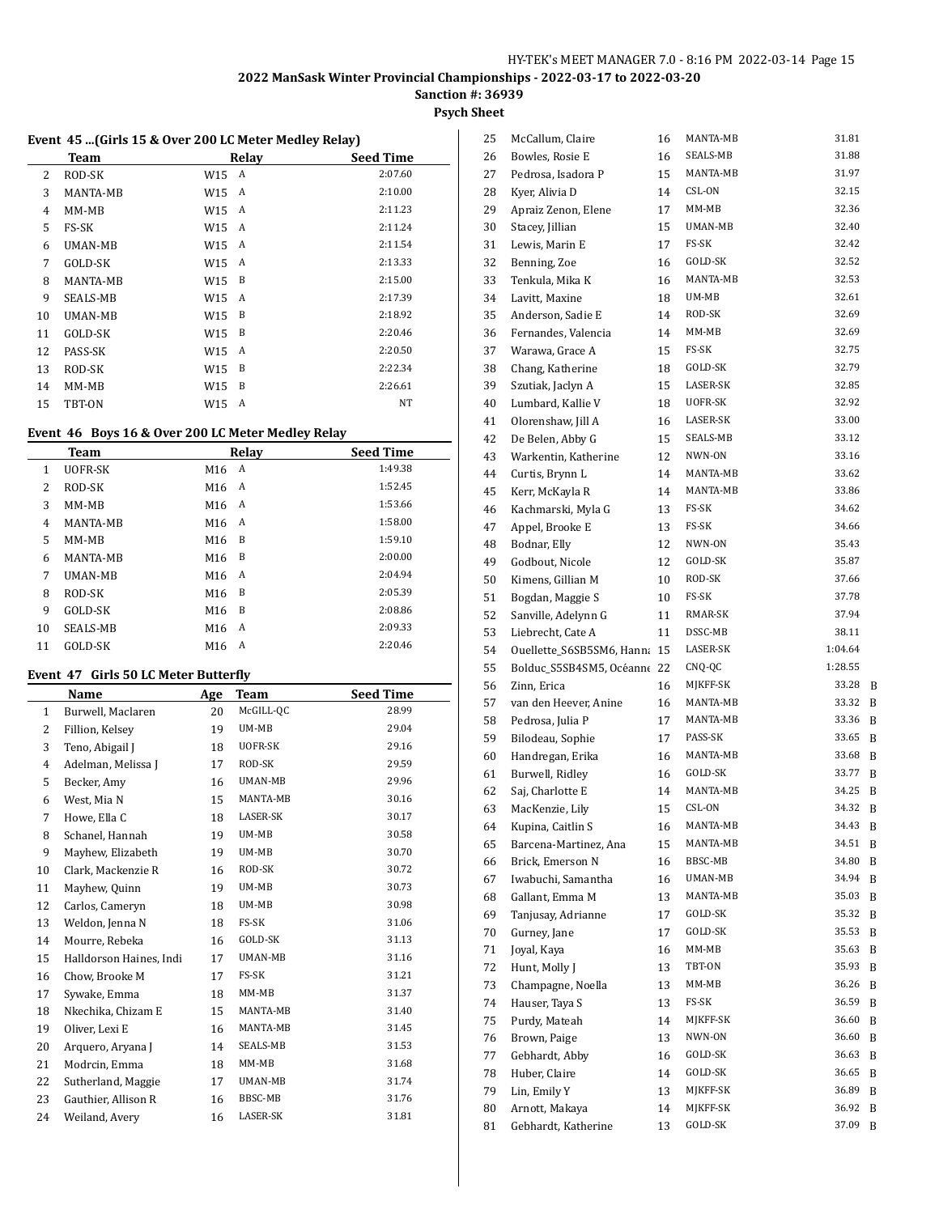# **Sanction #: 36939**

# **Psych Sheet**

#### **Event 45 ...(Girls 15 & Over 200 LC Meter Medley Relay)**

|    | Team     |       | Relay | <b>Seed Time</b> |
|----|----------|-------|-------|------------------|
| 2  | ROD-SK   | W15 A |       | 2:07.60          |
| 3  | MANTA-MB | W15   | A     | 2:10.00          |
| 4  | MM-MB    | W15   | A     | 2:11.23          |
| 5  | FS-SK    | W15 A |       | 2:11.24          |
| 6  | UMAN-MB  | W15   | A     | 2:11.54          |
| 7  | GOLD-SK  | W15   | A     | 2:13.33          |
| 8  | MANTA-MB | W15   | B     | 2:15.00          |
| 9  | SEALS-MB | W15   | A     | 2:17.39          |
| 10 | UMAN-MB  | W15   | B     | 2:18.92          |
| 11 | GOLD-SK  | W15   | B     | 2:20.46          |
| 12 | PASS-SK  | W15   | A     | 2:20.50          |
| 13 | ROD-SK   | W15   | B     | 2:22.34          |
| 14 | $MM-MB$  | W15   | B     | 2:26.61          |
| 15 | TBT-ON   | W15   | A     | NT               |

#### **Event 46 Boys 16 & Over 200 LC Meter Medley Relay**

| <b>Team</b>     |                 |   | <b>Seed Time</b>     |
|-----------------|-----------------|---|----------------------|
| UOFR-SK         | M16             | A | 1:49.38              |
| ROD-SK          | M16             |   | 1:52.45              |
| $MM-MB$         | M16             |   | 1:53.66              |
| <b>MANTA-MB</b> | M16             |   | 1:58.00              |
| $MM-MB$         | M16             | B | 1:59.10              |
| MANTA-MB        | M <sub>16</sub> | B | 2:00.00              |
| <b>UMAN-MB</b>  | M <sub>16</sub> | A | 2:04.94              |
| ROD-SK          | M16             | B | 2:05.39              |
| GOLD-SK         | M16             | B | 2:08.86              |
| SEALS-MB        | M <sub>16</sub> | A | 2:09.33              |
| GOLD-SK         | M16             | A | 2:20.46              |
|                 |                 |   | Relay<br>A<br>A<br>A |

#### **Event 47 Girls 50 LC Meter Butterfly**

 $\overline{a}$ 

|              | Name                    | Age | <b>Team</b> | <b>Seed Time</b> |
|--------------|-------------------------|-----|-------------|------------------|
| $\mathbf{1}$ | Burwell, Maclaren       | 20  | McGILL-QC   | 28.99            |
| 2            | Fillion, Kelsey         | 19  | UM-MB       | 29.04            |
| 3            | Teno, Abigail J         | 18  | UOFR-SK     | 29.16            |
| 4            | Adelman, Melissa J      | 17  | ROD-SK      | 29.59            |
| 5            | Becker, Amy             | 16  | UMAN-MB     | 29.96            |
| 6            | West. Mia N             | 15  | MANTA-MB    | 30.16            |
| 7            | Howe, Ella C            | 18  | LASER-SK    | 30.17            |
| 8            | Schanel, Hannah         | 19  | UM-MB       | 30.58            |
| 9            | Mayhew, Elizabeth       | 19  | UM-MB       | 30.70            |
| 10           | Clark, Mackenzie R      | 16  | ROD-SK      | 30.72            |
| 11           | Mayhew, Quinn           | 19  | UM-MB       | 30.73            |
| 12           | Carlos, Cameryn         | 18  | UM-MB       | 30.98            |
| 13           | Weldon, Jenna N         | 18  | FS-SK       | 31.06            |
| 14           | Mourre, Rebeka          | 16  | GOLD-SK     | 31.13            |
| 15           | Halldorson Haines, Indi | 17  | UMAN-MB     | 31.16            |
| 16           | Chow, Brooke M          | 17  | FS-SK       | 31.21            |
| 17           | Sywake, Emma            | 18  | $MM-MB$     | 31.37            |
| 18           | Nkechika, Chizam E      | 15  | MANTA-MB    | 31.40            |
| 19           | Oliver, Lexi E          | 16  | MANTA-MB    | 31.45            |
| 20           | Arquero, Aryana J       | 14  | SEALS-MB    | 31.53            |
| 21           | Modrcin, Emma           | 18  | $MM-MB$     | 31.68            |
| 22           | Sutherland, Maggie      | 17  | UMAN-MB     | 31.74            |
| 23           | Gauthier, Allison R     | 16  | BBSC-MB     | 31.76            |
| 24           | Weiland, Avery          | 16  | LASER-SK    | 31.81            |

| 25 | McCallum, Claire          | 16 | MANTA-MB | 31.81   |   |
|----|---------------------------|----|----------|---------|---|
| 26 | Bowles, Rosie E           | 16 | SEALS-MB | 31.88   |   |
| 27 | Pedrosa, Isadora P        | 15 | MANTA-MB | 31.97   |   |
| 28 | Kyer, Alivia D            | 14 | CSL-ON   | 32.15   |   |
| 29 | Apraiz Zenon, Elene       | 17 | MM-MB    | 32.36   |   |
| 30 | Stacey, Jillian           | 15 | UMAN-MB  | 32.40   |   |
| 31 | Lewis, Marin E            | 17 | FS-SK    | 32.42   |   |
| 32 | Benning, Zoe              | 16 | GOLD-SK  | 32.52   |   |
| 33 | Tenkula, Mika K           | 16 | MANTA-MB | 32.53   |   |
| 34 | Lavitt, Maxine            | 18 | UM-MB    | 32.61   |   |
| 35 | Anderson, Sadie E         | 14 | ROD-SK   | 32.69   |   |
| 36 | Fernandes, Valencia       | 14 | MM-MB    | 32.69   |   |
| 37 | Warawa, Grace A           | 15 | FS-SK    | 32.75   |   |
| 38 | Chang, Katherine          | 18 | GOLD-SK  | 32.79   |   |
| 39 | Szutiak, Jaclyn A         | 15 | LASER-SK | 32.85   |   |
| 40 | Lumbard, Kallie V         | 18 | UOFR-SK  | 32.92   |   |
| 41 | Olorenshaw, Jill A        | 16 | LASER-SK | 33.00   |   |
| 42 | De Belen, Abby G          | 15 | SEALS-MB | 33.12   |   |
| 43 | Warkentin, Katherine      | 12 | NWN-ON   | 33.16   |   |
| 44 | Curtis, Brynn L           | 14 | MANTA-MB | 33.62   |   |
| 45 | Kerr, McKayla R           | 14 | MANTA-MB | 33.86   |   |
| 46 | Kachmarski, Myla G        | 13 | FS-SK    | 34.62   |   |
| 47 | Appel, Brooke E           | 13 | FS-SK    | 34.66   |   |
|    |                           | 12 | NWN-ON   | 35.43   |   |
| 48 | Bodnar, Elly              |    | GOLD-SK  | 35.87   |   |
| 49 | Godbout, Nicole           | 12 | ROD-SK   | 37.66   |   |
| 50 | Kimens, Gillian M         | 10 |          | 37.78   |   |
| 51 | Bogdan, Maggie S          | 10 | FS-SK    |         |   |
| 52 | Sanville, Adelynn G       | 11 | RMAR-SK  | 37.94   |   |
| 53 | Liebrecht, Cate A         | 11 | DSSC-MB  | 38.11   |   |
| 54 | Ouellette_S6SB5SM6, Hanna | 15 | LASER-SK | 1:04.64 |   |
| 55 | Bolduc_S5SB4SM5, Océanne  | 22 | CNQ-QC   | 1:28.55 |   |
| 56 | Zinn, Erica               | 16 | MJKFF-SK | 33.28   | B |
| 57 | van den Heever, Anine     | 16 | MANTA-MB | 33.32   | B |
| 58 | Pedrosa, Julia P          | 17 | MANTA-MB | 33.36   | B |
| 59 | Bilodeau, Sophie          | 17 | PASS-SK  | 33.65   | B |
| 60 | Handregan, Erika          | 16 | MANTA-MB | 33.68   | B |
| 61 | Burwell, Ridley           | 16 | GOLD-SK  | 33.77   | B |
| 62 | Saj, Charlotte E          | 14 | MANTA-MB | 34.25   | B |
| 63 | MacKenzie, Lily           | 15 | CSL-ON   | 34.32   | B |
| 64 | Kupina, Caitlin S         | 16 | MANTA-MB | 34.43   | B |
| 65 | Barcena-Martinez, Ana     | 15 | MANTA-MB | 34.51   | B |
| 66 | Brick, Emerson N          | 16 | BBSC-MB  | 34.80   | B |
| 67 | Iwabuchi, Samantha        | 16 | UMAN-MB  | 34.94   | B |
| 68 | Gallant, Emma M           | 13 | MANTA-MB | 35.03   | B |
| 69 | Tanjusay, Adrianne        | 17 | GOLD-SK  | 35.32   | B |
| 70 | Gurney, Jane              | 17 | GOLD-SK  | 35.53   | B |
| 71 | Joyal, Kaya               | 16 | MM-MB    | 35.63   | B |
| 72 | Hunt, Molly J             | 13 | TBT-ON   | 35.93   | B |
| 73 | Champagne, Noella         | 13 | MM-MB    | 36.26   | B |
| 74 | Hauser, Taya S            | 13 | FS-SK    | 36.59   | B |
| 75 | Purdy, Mateah             | 14 | MJKFF-SK | 36.60   | B |
| 76 | Brown, Paige              | 13 | NWN-ON   | 36.60   | B |
| 77 | Gebhardt, Abby            | 16 | GOLD-SK  | 36.63   | B |
| 78 | Huber, Claire             | 14 | GOLD-SK  | 36.65   | B |
| 79 | Lin, Emily Y              | 13 | MJKFF-SK | 36.89   | B |
| 80 | Arnott, Makaya            | 14 | MJKFF-SK | 36.92   | B |
| 81 | Gebhardt, Katherine       | 13 | GOLD-SK  | 37.09   | B |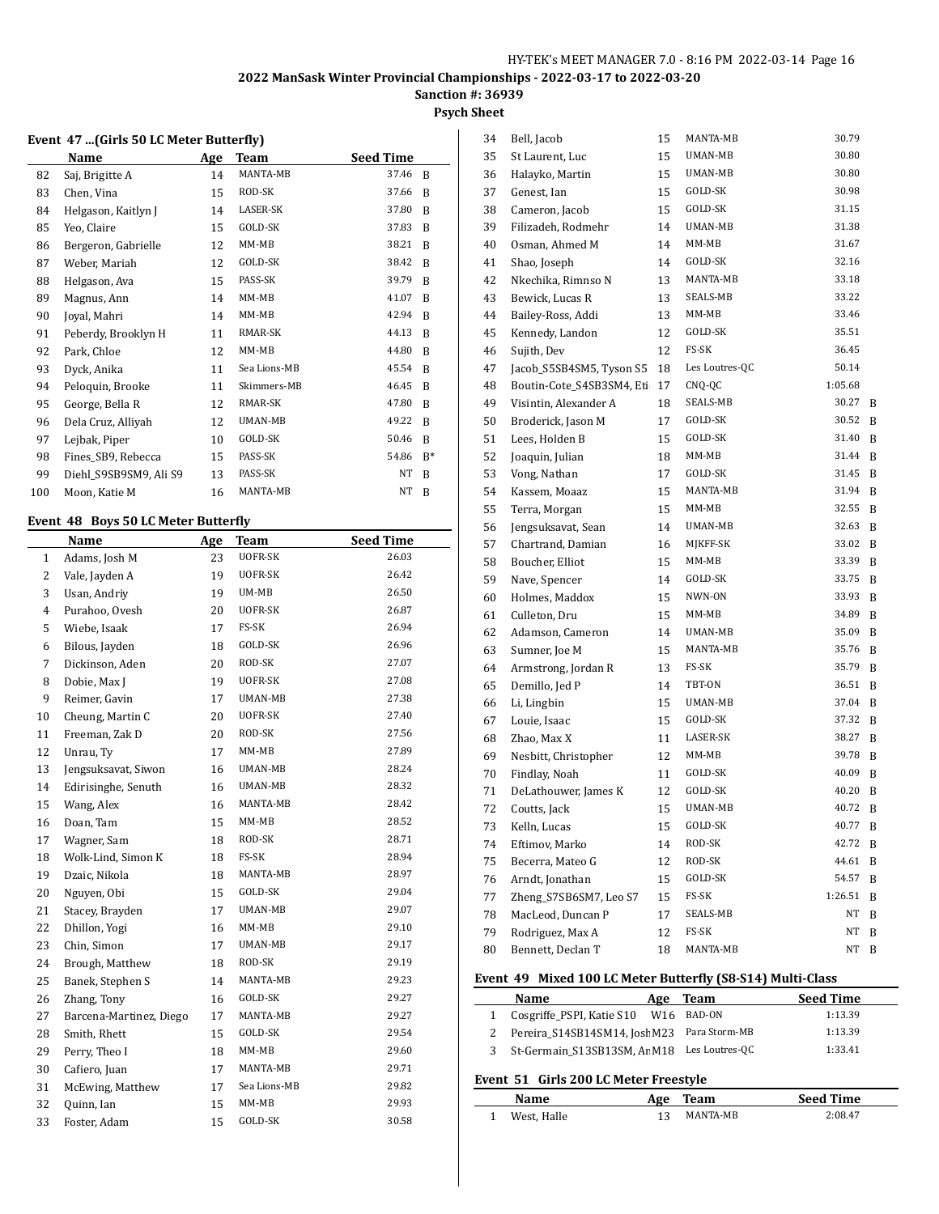# **Sanction #: 36939**

# **Psych Sheet**

#### **Event 47 ...(Girls 50 LC Meter Butterfly)**

|     | Name                   | Age | Team         | <b>Seed Time</b> |       |
|-----|------------------------|-----|--------------|------------------|-------|
| 82  | Saj, Brigitte A        | 14  | MANTA-MB     | 37.46            | B     |
| 83  | Chen, Vina             | 15  | ROD-SK       | 37.66            | B     |
| 84  | Helgason, Kaitlyn J    | 14  | LASER-SK     | 37.80            | B     |
| 85  | Yeo, Claire            | 15  | GOLD-SK      | 37.83            | B     |
| 86  | Bergeron, Gabrielle    | 12  | MM-MB        | 38.21            | B     |
| 87  | Weber, Mariah          | 12  | GOLD-SK      | 38.42            | B     |
| 88  | Helgason, Ava          | 15  | PASS-SK      | 39.79            | B     |
| 89  | Magnus, Ann            | 14  | $MM-MB$      | 41.07            | B     |
| 90  | Joyal, Mahri           | 14  | MM-MB        | 42.94            | B     |
| 91  | Peberdy, Brooklyn H    | 11  | RMAR-SK      | 44.13            | B     |
| 92  | Park, Chloe            | 12  | $MM-MB$      | 44.80            | B     |
| 93  | Dyck, Anika            | 11  | Sea Lions-MB | 45.54            | B     |
| 94  | Peloquin, Brooke       | 11  | Skimmers-MB  | 46.45            | B     |
| 95  | George, Bella R        | 12  | RMAR-SK      | 47.80            | B     |
| 96  | Dela Cruz, Alliyah     | 12  | UMAN-MB      | 49.22            | B     |
| 97  | Lejbak, Piper          | 10  | GOLD-SK      | 50.46            | B     |
| 98  | Fines_SB9, Rebecca     | 15  | PASS-SK      | 54.86            | $B^*$ |
| 99  | Diehl S9SB9SM9, Ali S9 | 13  | PASS-SK      | NT               | B     |
| 100 | Moon, Katie M          | 16  | MANTA-MB     | NT               | B     |
|     |                        |     |              |                  |       |

#### **Event 48 Boys 50 LC Meter Butterfly**

|              | Name                    | <b>Age</b> | <b>Team</b>    | <b>Seed Time</b> |
|--------------|-------------------------|------------|----------------|------------------|
| $\mathbf{1}$ | Adams, Josh M           | 23         | UOFR-SK        | 26.03            |
| 2            | Vale, Jayden A          | 19         | UOFR-SK        | 26.42            |
| 3            | Usan, Andriy            | 19         | UM-MB          | 26.50            |
| 4            | Purahoo, Ovesh          | 20         | UOFR-SK        | 26.87            |
| 5            | Wiebe, Isaak            | 17         | FS-SK          | 26.94            |
| 6            | Bilous, Jayden          | 18         | GOLD-SK        | 26.96            |
| 7            | Dickinson, Aden         | 20         | ROD-SK         | 27.07            |
| 8            | Dobie, Max J            | 19         | <b>UOFR-SK</b> | 27.08            |
| 9            | Reimer, Gavin           | 17         | UMAN-MB        | 27.38            |
| 10           | Cheung, Martin C        | 20         | UOFR-SK        | 27.40            |
| 11           | Freeman, Zak D          | 20         | ROD-SK         | 27.56            |
| 12           | Unrau, Ty               | 17         | $MM-MB$        | 27.89            |
| 13           | Jengsuksavat, Siwon     | 16         | UMAN-MB        | 28.24            |
| 14           | Edirisinghe, Senuth     | 16         | UMAN-MB        | 28.32            |
| 15           | Wang, Alex              | 16         | MANTA-MB       | 28.42            |
| 16           | Doan, Tam               | 15         | MM-MB          | 28.52            |
| 17           | Wagner, Sam             | 18         | ROD-SK         | 28.71            |
| 18           | Wolk-Lind, Simon K      | 18         | FS-SK          | 28.94            |
| 19           | Dzaic, Nikola           | 18         | MANTA-MB       | 28.97            |
| 20           | Nguyen, Obi             | 15         | GOLD-SK        | 29.04            |
| 21           | Stacey, Brayden         | 17         | UMAN-MB        | 29.07            |
| 22           | Dhillon, Yogi           | 16         | MM-MB          | 29.10            |
| 23           | Chin, Simon             | 17         | UMAN-MB        | 29.17            |
| 24           | Brough, Matthew         | 18         | ROD-SK         | 29.19            |
| 25           | Banek, Stephen S        | 14         | MANTA-MB       | 29.23            |
| 26           | Zhang, Tony             | 16         | GOLD-SK        | 29.27            |
| 27           | Barcena-Martinez, Diego | 17         | MANTA-MB       | 29.27            |
| 28           | Smith, Rhett            | 15         | GOLD-SK        | 29.54            |
| 29           | Perry, Theo I           | 18         | $MM-MB$        | 29.60            |
| 30           | Cafiero, Juan           | 17         | MANTA-MB       | 29.71            |
| 31           | McEwing, Matthew        | 17         | Sea Lions-MB   | 29.82            |
| 32           | Quinn, Ian              | 15         | MM-MB          | 29.93            |
| 33           | Foster, Adam            | 15         | GOLD-SK        | 30.58            |

| 34 | Bell, Jacob               | 15 | MANTA-MB        | 30.79   |   |
|----|---------------------------|----|-----------------|---------|---|
| 35 | St Laurent, Luc           | 15 | UMAN-MB         | 30.80   |   |
| 36 | Halayko, Martin           | 15 | UMAN-MB         | 30.80   |   |
| 37 | Genest, Ian               | 15 | GOLD-SK         | 30.98   |   |
| 38 | Cameron, Jacob            | 15 | GOLD-SK         | 31.15   |   |
| 39 | Filizadeh, Rodmehr        | 14 | UMAN-MB         | 31.38   |   |
| 40 | Osman, Ahmed M            | 14 | MM-MB           | 31.67   |   |
| 41 | Shao, Joseph              | 14 | GOLD-SK         | 32.16   |   |
| 42 | Nkechika, Rimnso N        | 13 | MANTA-MB        | 33.18   |   |
| 43 | Bewick, Lucas R           | 13 | <b>SEALS-MB</b> | 33.22   |   |
| 44 | Bailey-Ross, Addi         | 13 | MM-MB           | 33.46   |   |
| 45 | Kennedy, Landon           | 12 | GOLD-SK         | 35.51   |   |
| 46 | Sujith, Dev               | 12 | FS-SK           | 36.45   |   |
| 47 | Jacob_S5SB4SM5, Tyson S5  | 18 | Les Loutres-QC  | 50.14   |   |
| 48 | Boutin-Cote_S4SB3SM4, Eti | 17 | CNQ-QC          | 1:05.68 |   |
| 49 | Visintin, Alexander A     | 18 | SEALS-MB        | 30.27   | B |
| 50 | Broderick, Jason M        | 17 | GOLD-SK         | 30.52   | B |
| 51 | Lees, Holden B            | 15 | GOLD-SK         | 31.40   | B |
| 52 | Joaquin, Julian           | 18 | $MM-MB$         | 31.44   | B |
| 53 | Vong, Nathan              | 17 | GOLD-SK         | 31.45   | B |
| 54 | Kassem, Moaaz             | 15 | MANTA-MB        | 31.94   | B |
| 55 | Terra, Morgan             | 15 | MM-MB           | 32.55   | B |
| 56 | Jengsuksavat, Sean        | 14 | UMAN-MB         | 32.63   | B |
| 57 | Chartrand, Damian         | 16 | MJKFF-SK        | 33.02   | B |
| 58 | Boucher, Elliot           | 15 | MM-MB           | 33.39   | B |
| 59 | Nave, Spencer             | 14 | GOLD-SK         | 33.75   | B |
| 60 | Holmes, Maddox            | 15 | NWN-ON          | 33.93   | B |
| 61 | Culleton, Dru             | 15 | MM-MB           | 34.89   | B |
| 62 | Adamson, Cameron          | 14 | UMAN-MB         | 35.09   | B |
| 63 | Sumner, Joe M             | 15 | MANTA-MB        | 35.76   | B |
| 64 | Armstrong, Jordan R       | 13 | FS-SK           | 35.79   | B |
| 65 | Demillo, Jed P            | 14 | TBT-ON          | 36.51   | B |
| 66 | Li, Lingbin               | 15 | UMAN-MB         | 37.04   | B |
| 67 | Louie, Isaac              | 15 | GOLD-SK         | 37.32   | B |
| 68 | Zhao, Max X               | 11 | LASER-SK        | 38.27   | B |
| 69 | Nesbitt, Christopher      | 12 | MM-MB           | 39.78   | B |
| 70 | Findlay, Noah             | 11 | GOLD-SK         | 40.09   | B |
| 71 | DeLathouwer, James K      | 12 | GOLD-SK         | 40.20   | B |
| 72 | Coutts, Jack              | 15 | UMAN-MB         | 40.72   | B |
| 73 | Kelln, Lucas              | 15 | GOLD-SK         | 40.77   | B |
| 74 | Eftimov, Marko            | 14 | ROD-SK          | 42.72   | B |
| 75 | Becerra, Mateo G          | 12 | ROD-SK          | 44.61   | B |
| 76 | Arndt, Jonathan           | 15 | GOLD-SK         | 54.57   | B |
| 77 | Zheng_S7SB6SM7, Leo S7    | 15 | FS-SK           | 1:26.51 | B |
| 78 | MacLeod, Duncan P         | 17 | SEALS-MB        | NT      | B |
| 79 | Rodriguez, Max A          | 12 | FS-SK           | NT      | B |
| 80 | Bennett, Declan T         | 18 | MANTA-MB        | NT      | B |

#### **Event 49 Mixed 100 LC Meter Butterfly (S8-S14) Multi-Class**

| <b>Name</b>                                   | Age Team | <b>Seed Time</b> |
|-----------------------------------------------|----------|------------------|
| 1 Cosgriffe_PSPI, Katie S10 W16 BAD-ON        |          | 1:13.39          |
| 2 Pereira S14SB14SM14, Jost M23 Para Storm-MB |          | 1:13.39          |
| 3 St-Germain S13SB13SM, Ar M18 Les Loutres-QC |          | 1:33.41          |

#### **Event 51 Girls 200 LC Meter Freestyle**

| <b>Name</b>   | Age | Team     | <b>Seed Time</b> |
|---------------|-----|----------|------------------|
| 1 West, Halle |     | MANTA-MB | 2:08.47          |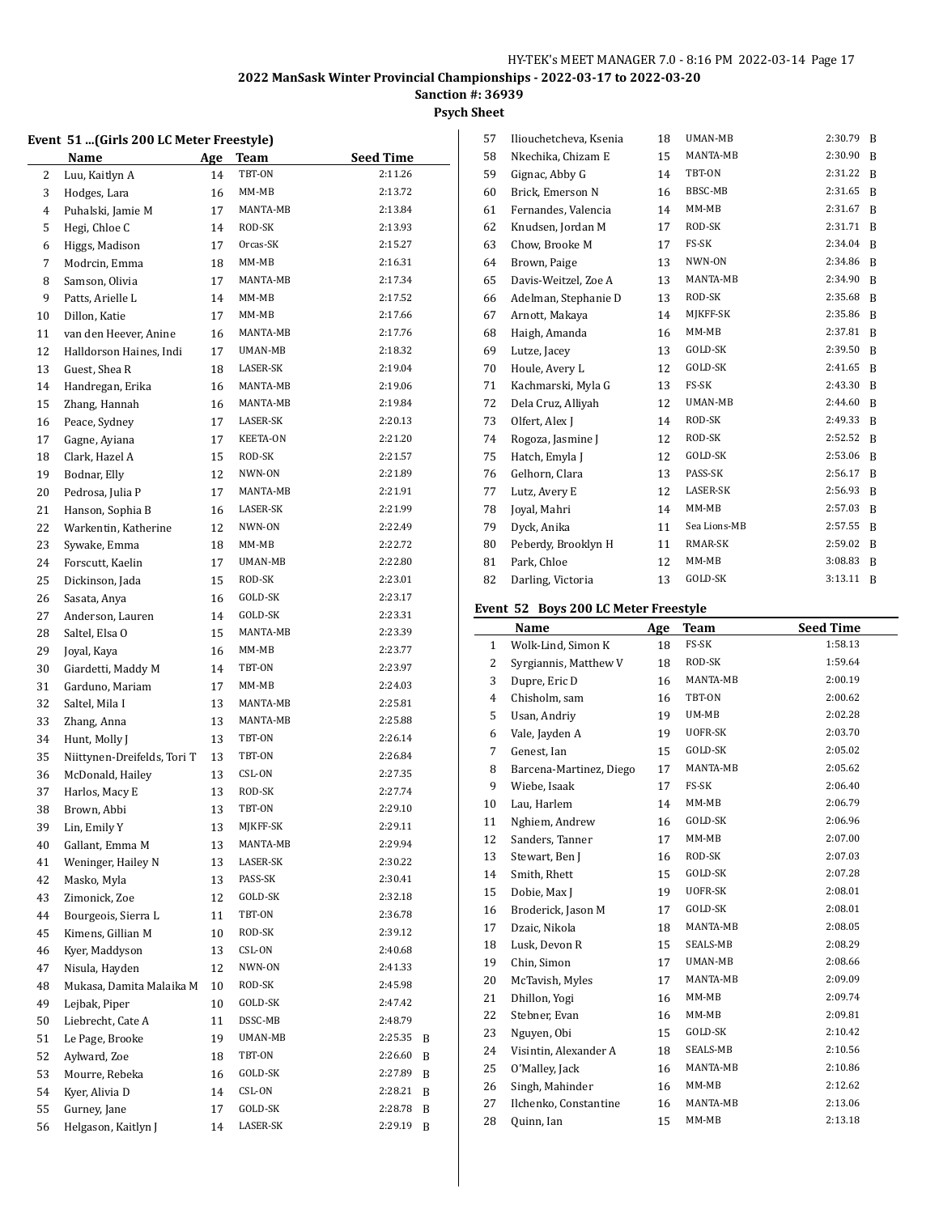**Sanction #: 36939**

# **Psych Sheet**

#### **Event 51 ...(Girls 200 LC Meter Freestyle)**

|          | <b>Name</b>                     | Age      | <b>Team</b>      | <b>Seed Time</b>   |
|----------|---------------------------------|----------|------------------|--------------------|
| 2        | Luu, Kaitlyn A                  | 14       | TBT-ON           | 2:11.26            |
| 3        | Hodges, Lara                    | 16       | MM-MB            | 2:13.72            |
| 4        | Puhalski, Jamie M               | 17       | MANTA-MB         | 2:13.84            |
| 5        | Hegi, Chloe C                   | 14       | ROD-SK           | 2:13.93            |
| 6        | Higgs, Madison                  | 17       | Orcas-SK         | 2:15.27            |
| 7        | Modrcin, Emma                   | 18       | MM-MB            | 2:16.31            |
| 8        | Samson, Olivia                  | 17       | MANTA-MB         | 2:17.34            |
| 9        | Patts, Arielle L                | 14       | $MM-MB$          | 2:17.52            |
| 10       | Dillon, Katie                   | 17       | MM-MB            | 2:17.66            |
| 11       | van den Heever, Anine           | 16       | MANTA-MB         | 2:17.76            |
| 12       | Halldorson Haines, Indi         | 17       | UMAN-MB          | 2:18.32            |
| 13       | Guest, Shea R                   | 18       | LASER-SK         | 2:19.04            |
| 14       | Handregan, Erika                | 16       | MANTA-MB         | 2:19.06            |
| 15       | Zhang, Hannah                   | 16       | MANTA-MB         | 2:19.84            |
| 16       | Peace, Sydney                   | 17       | LASER-SK         | 2:20.13            |
| 17       | Gagne, Ayiana                   | 17       | KEETA-ON         | 2:21.20            |
| 18       | Clark, Hazel A                  | 15       | ROD-SK           | 2:21.57            |
| 19       | Bodnar, Elly                    | 12       | NWN-ON           | 2:21.89            |
| 20       | Pedrosa, Julia P                | 17       | MANTA-MB         | 2:21.91            |
| 21       | Hanson, Sophia B                | 16       | LASER-SK         | 2:21.99            |
| 22       | Warkentin, Katherine            | 12       | NWN-ON           | 2:22.49            |
| 23       | Sywake, Emma                    | 18       | MM-MB            | 2:22.72            |
| 24       | Forscutt, Kaelin                | 17       | UMAN-MB          | 2:22.80            |
| 25       | Dickinson, Jada                 | 15       | ROD-SK           | 2:23.01            |
| 26       | Sasata, Anya                    | 16       | GOLD-SK          | 2:23.17            |
| 27       | Anderson, Lauren                | 14       | GOLD-SK          | 2:23.31            |
| 28       | Saltel, Elsa O                  | 15       | MANTA-MB         | 2:23.39            |
| 29       | Joyal, Kaya                     | 16       | MM-MB            | 2:23.77            |
| 30       | Giardetti, Maddy M              | 14       | TBT-ON           | 2:23.97            |
| 31       | Garduno, Mariam                 | 17       | MM-MB            | 2:24.03            |
| 32       | Saltel, Mila I                  | 13       | MANTA-MB         | 2:25.81            |
| 33       | Zhang, Anna                     | 13       | MANTA-MB         | 2:25.88            |
| 34       | Hunt, Molly J                   | 13       | TBT-ON           | 2:26.14            |
| 35       | Niittynen-Dreifelds, Tori T     | 13       | TBT-ON           | 2:26.84            |
| 36       | McDonald, Hailey                | 13       | CSL-ON           | 2:27.35            |
| 37       | Harlos, Macy E                  | 13       | ROD-SK<br>TBT-ON | 2:27.74<br>2:29.10 |
| 38       | Brown, Abbi                     | 13<br>13 | MJKFF-SK         | 2:29.11            |
| 39<br>40 | Lin, Emily Y<br>Gallant, Emma M |          | MANTA-MB         | 2:29.94            |
| 41       | Weninger, Hailey N              | 13<br>13 | LASER-SK         | 2:30.22            |
| 42       | Masko, Myla                     | 13       | PASS-SK          | 2:30.41            |
| 43       | Zimonick, Zoe                   | 12       | GOLD-SK          | 2:32.18            |
| 44       | Bourgeois, Sierra L             | 11       | TBT-ON           | 2:36.78            |
| 45       | Kimens, Gillian M               | 10       | ROD-SK           | 2:39.12            |
| 46       | Kyer, Maddyson                  | 13       | CSL-ON           | 2:40.68            |
| 47       | Nisula, Hayden                  | 12       | NWN-ON           | 2:41.33            |
| 48       | Mukasa, Damita Malaika M        | 10       | ROD-SK           | 2:45.98            |
| 49       | Lejbak, Piper                   | 10       | GOLD-SK          | 2:47.42            |
| 50       | Liebrecht, Cate A               | 11       | DSSC-MB          | 2:48.79            |
| 51       | Le Page, Brooke                 | 19       | UMAN-MB          | 2:25.35<br>B       |
| 52       | Aylward, Zoe                    | 18       | TBT-ON           | 2:26.60<br>B       |
| 53       | Mourre, Rebeka                  | 16       | GOLD-SK          | 2:27.89<br>B       |
| 54       | Kyer, Alivia D                  | 14       | CSL-ON           | 2:28.21<br>B       |
| 55       | Gurney, Jane                    | 17       | GOLD-SK          | 2:28.78<br>B       |
| 56       | Helgason, Kaitlyn J             | 14       | LASER-SK         | 2:29.19<br>B       |

| 57 | Iliouchetcheva, Ksenia | 18 | UMAN-MB      | 2:30.79 | B |
|----|------------------------|----|--------------|---------|---|
| 58 | Nkechika, Chizam E     | 15 | MANTA-MB     | 2:30.90 | B |
| 59 | Gignac, Abby G         | 14 | TBT-ON       | 2:31.22 | B |
| 60 | Brick, Emerson N       | 16 | BBSC-MB      | 2:31.65 | B |
| 61 | Fernandes, Valencia    | 14 | $MM-MB$      | 2:31.67 | B |
| 62 | Knudsen, Jordan M      | 17 | ROD-SK       | 2:31.71 | B |
| 63 | Chow, Brooke M         | 17 | FS-SK        | 2:34.04 | B |
| 64 | Brown, Paige           | 13 | NWN-ON       | 2:34.86 | B |
| 65 | Davis-Weitzel, Zoe A   | 13 | MANTA-MB     | 2:34.90 | B |
| 66 | Adelman, Stephanie D   | 13 | ROD-SK       | 2:35.68 | B |
| 67 | Arnott, Makaya         | 14 | MJKFF-SK     | 2:35.86 | B |
| 68 | Haigh, Amanda          | 16 | $MM-MB$      | 2:37.81 | B |
| 69 | Lutze, Jacey           | 13 | GOLD-SK      | 2:39.50 | B |
| 70 | Houle, Avery L         | 12 | GOLD-SK      | 2:41.65 | B |
| 71 | Kachmarski, Myla G     | 13 | FS-SK        | 2:43.30 | B |
| 72 | Dela Cruz, Alliyah     | 12 | UMAN-MB      | 2:44.60 | B |
| 73 | Olfert, Alex J         | 14 | ROD-SK       | 2:49.33 | B |
| 74 | Rogoza, Jasmine J      | 12 | ROD-SK       | 2:52.52 | B |
| 75 | Hatch, Emyla J         | 12 | GOLD-SK      | 2:53.06 | B |
| 76 | Gelhorn, Clara         | 13 | PASS-SK      | 2:56.17 | B |
| 77 | Lutz, Avery E          | 12 | LASER-SK     | 2:56.93 | B |
| 78 | Joyal, Mahri           | 14 | $MM-MB$      | 2:57.03 | B |
| 79 | Dyck, Anika            | 11 | Sea Lions-MB | 2:57.55 | B |
| 80 | Peberdy, Brooklyn H    | 11 | RMAR-SK      | 2:59.02 | B |
| 81 | Park, Chloe            | 12 | MM-MB        | 3:08.83 | B |
| 82 | Darling, Victoria      | 13 | GOLD-SK      | 3:13.11 | B |

# **Event 52 Boys 200 LC Meter Freestyle**

|    | Name                    | Age | <b>Team</b> | <b>Seed Time</b> |
|----|-------------------------|-----|-------------|------------------|
| 1  | Wolk-Lind, Simon K      | 18  | FS-SK       | 1:58.13          |
| 2  | Syrgiannis, Matthew V   | 18  | ROD-SK      | 1:59.64          |
| 3  | Dupre, Eric D           | 16  | MANTA-MB    | 2:00.19          |
| 4  | Chisholm, sam           | 16  | TBT-ON      | 2:00.62          |
| 5  | Usan, Andriy            | 19  | UM-MB       | 2:02.28          |
| 6  | Vale, Jayden A          | 19  | UOFR-SK     | 2:03.70          |
| 7  | Genest, Ian             | 15  | GOLD-SK     | 2:05.02          |
| 8  | Barcena-Martinez, Diego | 17  | MANTA-MB    | 2:05.62          |
| 9  | Wiebe, Isaak            | 17  | FS-SK       | 2:06.40          |
| 10 | Lau, Harlem             | 14  | $MM-MB$     | 2:06.79          |
| 11 | Nghiem, Andrew          | 16  | GOLD-SK     | 2:06.96          |
| 12 | Sanders, Tanner         | 17  | $MM-MB$     | 2:07.00          |
| 13 | Stewart, Ben J          | 16  | ROD-SK      | 2:07.03          |
| 14 | Smith, Rhett            | 15  | GOLD-SK     | 2:07.28          |
| 15 | Dobie, Max J            | 19  | UOFR-SK     | 2:08.01          |
| 16 | Broderick, Jason M      | 17  | GOLD-SK     | 2:08.01          |
| 17 | Dzaic, Nikola           | 18  | MANTA-MB    | 2:08.05          |
| 18 | Lusk, Devon R           | 15  | SEALS-MB    | 2:08.29          |
| 19 | Chin, Simon             | 17  | UMAN-MB     | 2:08.66          |
| 20 | McTavish, Myles         | 17  | MANTA-MB    | 2:09.09          |
| 21 | Dhillon, Yogi           | 16  | $MM-MB$     | 2:09.74          |
| 22 | Stebner, Evan           | 16  | $MM-MB$     | 2:09.81          |
| 23 | Nguyen, Obi             | 15  | GOLD-SK     | 2:10.42          |
| 24 | Visintin, Alexander A   | 18  | SEALS-MB    | 2:10.56          |
| 25 | O'Malley, Jack          | 16  | MANTA-MB    | 2:10.86          |
| 26 | Singh, Mahinder         | 16  | $MM-MB$     | 2:12.62          |
| 27 | Ilchenko, Constantine   | 16  | MANTA-MB    | 2:13.06          |
| 28 | Quinn, Ian              | 15  | MM-MB       | 2:13.18          |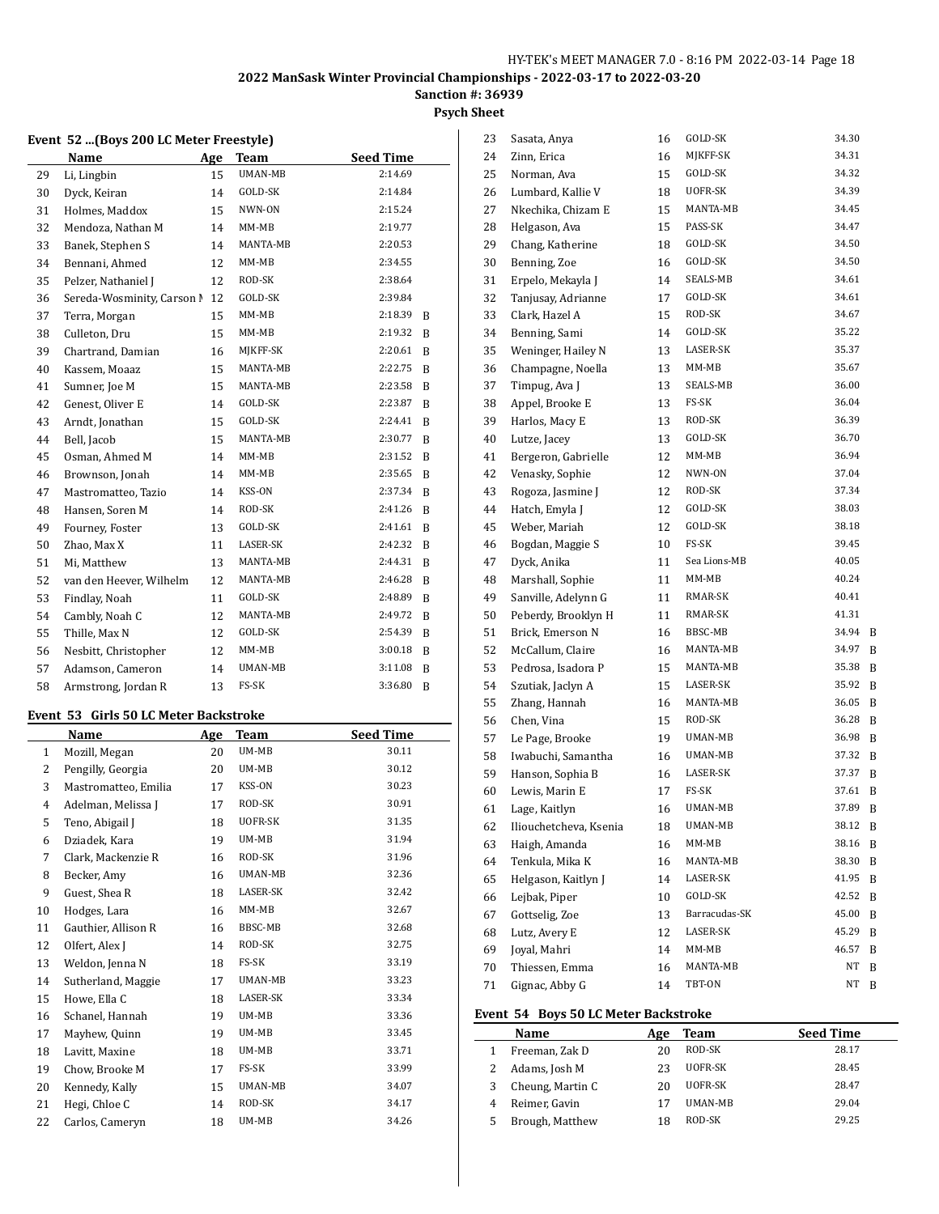# **Sanction #: 36939**

# **Psych Sheet**

#### **Event 52 ...(Boys 200 LC Meter Freestyle)**

|    | Name                       | <b>Age</b> | Team     | <b>Seed Time</b> |   |
|----|----------------------------|------------|----------|------------------|---|
| 29 | Li, Lingbin                | 15         | UMAN-MB  | 2:14.69          |   |
| 30 | Dyck, Keiran               | 14         | GOLD-SK  | 2:14.84          |   |
| 31 | Holmes, Maddox             | 15         | NWN-ON   | 2:15.24          |   |
| 32 | Mendoza, Nathan M          | 14         | MM-MB    | 2:19.77          |   |
| 33 | Banek, Stephen S           | 14         | MANTA-MB | 2:20.53          |   |
| 34 | Bennani, Ahmed             | 12         | $MM-MB$  | 2:34.55          |   |
| 35 | Pelzer, Nathaniel J        | 12         | ROD-SK   | 2:38.64          |   |
| 36 | Sereda-Wosminity, Carson N | 12         | GOLD-SK  | 2:39.84          |   |
| 37 | Terra, Morgan              | 15         | MM-MB    | 2:18.39          | B |
| 38 | Culleton, Dru              | 15         | MM-MB    | 2:19.32          | B |
| 39 | Chartrand, Damian          | 16         | MJKFF-SK | 2:20.61          | B |
| 40 | Kassem, Moaaz              | 15         | MANTA-MB | 2:22.75          | B |
| 41 | Sumner, Joe M              | 15         | MANTA-MB | 2:23.58          | B |
| 42 | Genest, Oliver E           | 14         | GOLD-SK  | 2:23.87          | B |
| 43 | Arndt, Jonathan            | 15         | GOLD-SK  | 2:24.41          | B |
| 44 | Bell, Jacob                | 15         | MANTA-MB | 2:30.77          | B |
| 45 | Osman, Ahmed M             | 14         | $MM-MB$  | 2:31.52          | B |
| 46 | Brownson, Jonah            | 14         | $MM-MB$  | 2:35.65          | B |
| 47 | Mastromatteo, Tazio        | 14         | KSS-ON   | 2:37.34          | B |
| 48 | Hansen, Soren M            | 14         | ROD-SK   | 2:41.26          | B |
| 49 | Fourney, Foster            | 13         | GOLD-SK  | 2:41.61          | B |
| 50 | Zhao, Max X                | 11         | LASER-SK | 2:42.32          | B |
| 51 | Mi, Matthew                | 13         | MANTA-MB | 2:44.31          | B |
| 52 | van den Heever, Wilhelm    | 12         | MANTA-MB | 2:46.28          | B |
| 53 | Findlay, Noah              | 11         | GOLD-SK  | 2:48.89          | B |
| 54 | Cambly, Noah C             | 12         | MANTA-MB | 2:49.72          | B |
| 55 | Thille, Max N              | 12         | GOLD-SK  | 2:54.39          | B |
| 56 | Nesbitt, Christopher       | 12         | MM-MB    | 3:00.18          | B |
| 57 | Adamson, Cameron           | 14         | UMAN-MB  | 3:11.08          | B |
| 58 | Armstrong, Jordan R        | 13         | FS-SK    | 3:36.80          | B |

#### **Event 53 Girls 50 LC Meter Backstroke**

|                | Name                 | Age | <b>Team</b> | <b>Seed Time</b> |
|----------------|----------------------|-----|-------------|------------------|
| $\mathbf{1}$   | Mozill, Megan        | 20  | UM-MB       | 30.11            |
| $\overline{2}$ | Pengilly, Georgia    | 20  | UM-MB       | 30.12            |
| 3              | Mastromatteo, Emilia | 17  | KSS-ON      | 30.23            |
| $\overline{4}$ | Adelman, Melissa J   | 17  | ROD-SK      | 30.91            |
| 5              | Teno, Abigail J      | 18  | UOFR-SK     | 31.35            |
| 6              | Dziadek, Kara        | 19  | UM-MB       | 31.94            |
| 7              | Clark, Mackenzie R   | 16  | ROD-SK      | 31.96            |
| 8              | Becker, Amy          | 16  | UMAN-MB     | 32.36            |
| 9              | Guest, Shea R        | 18  | LASER-SK    | 32.42            |
| 10             | Hodges, Lara         | 16  | $MM-MB$     | 32.67            |
| 11             | Gauthier, Allison R  | 16  | BBSC-MB     | 32.68            |
| 12             | Olfert, Alex J       | 14  | ROD-SK      | 32.75            |
| 13             | Weldon, Jenna N      | 18  | FS-SK       | 33.19            |
| 14             | Sutherland, Maggie   | 17  | UMAN-MB     | 33.23            |
| 15             | Howe, Ella C         | 18  | LASER-SK    | 33.34            |
| 16             | Schanel, Hannah      | 19  | UM-MB       | 33.36            |
| 17             | Mayhew, Quinn        | 19  | UM-MB       | 33.45            |
| 18             | Lavitt, Maxine       | 18  | UM-MB       | 33.71            |
| 19             | Chow, Brooke M       | 17  | FS-SK       | 33.99            |
| 20             | Kennedy, Kally       | 15  | UMAN-MB     | 34.07            |
| 21             | Hegi, Chloe C        | 14  | ROD-SK      | 34.17            |
| 22             | Carlos, Cameryn      | 18  | UM-MB       | 34.26            |

| 23 | Sasata, Anya           | 16 | GOLD-SK         | 34.30 |   |
|----|------------------------|----|-----------------|-------|---|
| 24 | Zinn, Erica            | 16 | MJKFF-SK        | 34.31 |   |
| 25 | Norman, Ava            | 15 | GOLD-SK         | 34.32 |   |
| 26 | Lumbard, Kallie V      | 18 | UOFR-SK         | 34.39 |   |
| 27 | Nkechika, Chizam E     | 15 | MANTA-MB        | 34.45 |   |
| 28 | Helgason, Ava          | 15 | PASS-SK         | 34.47 |   |
| 29 | Chang, Katherine       | 18 | GOLD-SK         | 34.50 |   |
| 30 | Benning, Zoe           | 16 | GOLD-SK         | 34.50 |   |
| 31 | Erpelo, Mekayla J      | 14 | SEALS-MB        | 34.61 |   |
| 32 | Tanjusay, Adrianne     | 17 | GOLD-SK         | 34.61 |   |
| 33 | Clark, Hazel A         | 15 | ROD-SK          | 34.67 |   |
| 34 | Benning, Sami          | 14 | GOLD-SK         | 35.22 |   |
| 35 | Weninger, Hailey N     | 13 | <b>LASER-SK</b> | 35.37 |   |
| 36 | Champagne, Noella      | 13 | MM-MB           | 35.67 |   |
| 37 | Timpug, Ava J          | 13 | SEALS-MB        | 36.00 |   |
| 38 | Appel, Brooke E        | 13 | FS-SK           | 36.04 |   |
| 39 | Harlos, Macy E         | 13 | ROD-SK          | 36.39 |   |
| 40 | Lutze, Jacey           | 13 | GOLD-SK         | 36.70 |   |
| 41 | Bergeron, Gabrielle    | 12 | MM-MB           | 36.94 |   |
| 42 | Venasky, Sophie        | 12 | NWN-ON          | 37.04 |   |
| 43 | Rogoza, Jasmine J      | 12 | ROD-SK          | 37.34 |   |
| 44 | Hatch, Emyla J         | 12 | GOLD-SK         | 38.03 |   |
| 45 | Weber, Mariah          | 12 | GOLD-SK         | 38.18 |   |
| 46 | Bogdan, Maggie S       | 10 | FS-SK           | 39.45 |   |
| 47 | Dyck, Anika            | 11 | Sea Lions-MB    | 40.05 |   |
| 48 | Marshall, Sophie       | 11 | MM-MB           | 40.24 |   |
| 49 | Sanville, Adelynn G    | 11 | RMAR-SK         | 40.41 |   |
| 50 | Peberdy, Brooklyn H    | 11 | RMAR-SK         | 41.31 |   |
| 51 | Brick, Emerson N       | 16 | BBSC-MB         | 34.94 | B |
| 52 | McCallum, Claire       | 16 | MANTA-MB        | 34.97 | B |
| 53 | Pedrosa, Isadora P     | 15 | MANTA-MB        | 35.38 | B |
| 54 | Szutiak, Jaclyn A      | 15 | LASER-SK        | 35.92 | B |
| 55 | Zhang, Hannah          | 16 | MANTA-MB        | 36.05 | B |
| 56 | Chen, Vina             | 15 | ROD-SK          | 36.28 | B |
| 57 | Le Page, Brooke        | 19 | <b>UMAN-MB</b>  | 36.98 | B |
| 58 | Iwabuchi, Samantha     | 16 | UMAN-MB         | 37.32 | B |
| 59 | Hanson, Sophia B       | 16 | LASER-SK        | 37.37 | B |
| 60 | Lewis, Marin E         | 17 | FS-SK           | 37.61 | B |
| 61 | Lage, Kaitlyn          | 16 | UMAN-MB         | 37.89 | B |
| 62 | Iliouchetcheva, Ksenia | 18 | UMAN-MB         | 38.12 | B |
| 63 | Haigh, Amanda          | 16 | MM-MB           | 38.16 | B |
| 64 | Tenkula, Mika K        | 16 | MANTA-MB        | 38.30 | B |
| 65 | Helgason, Kaitlyn J    | 14 | LASER-SK        | 41.95 | B |
| 66 | Lejbak, Piper          | 10 | GOLD-SK         | 42.52 | B |
| 67 | Gottselig, Zoe         | 13 | Barracudas-SK   | 45.00 | B |
| 68 | Lutz, Avery E          | 12 | LASER-SK        | 45.29 | B |
| 69 | Joyal, Mahri           | 14 | MM-MB           | 46.57 | B |
| 70 | Thiessen, Emma         | 16 | MANTA-MB        | NT    | B |
| 71 | Gignac, Abby G         | 14 | TBT-ON          | NT    | B |
|    |                        |    |                 |       |   |

# **Event 54 Boys 50 LC Meter Backstroke**

|   | Name             | Age | Team           | <b>Seed Time</b> |
|---|------------------|-----|----------------|------------------|
|   | Freeman, Zak D   | 20  | ROD-SK         | 28.17            |
|   | Adams, Josh M    | 23  | UOFR-SK        | 28.45            |
| 3 | Cheung, Martin C | 20  | UOFR-SK        | 28.47            |
|   | Reimer, Gavin    | 17  | <b>UMAN-MB</b> | 29.04            |
| 5 | Brough, Matthew  | 18  | ROD-SK         | 29.25            |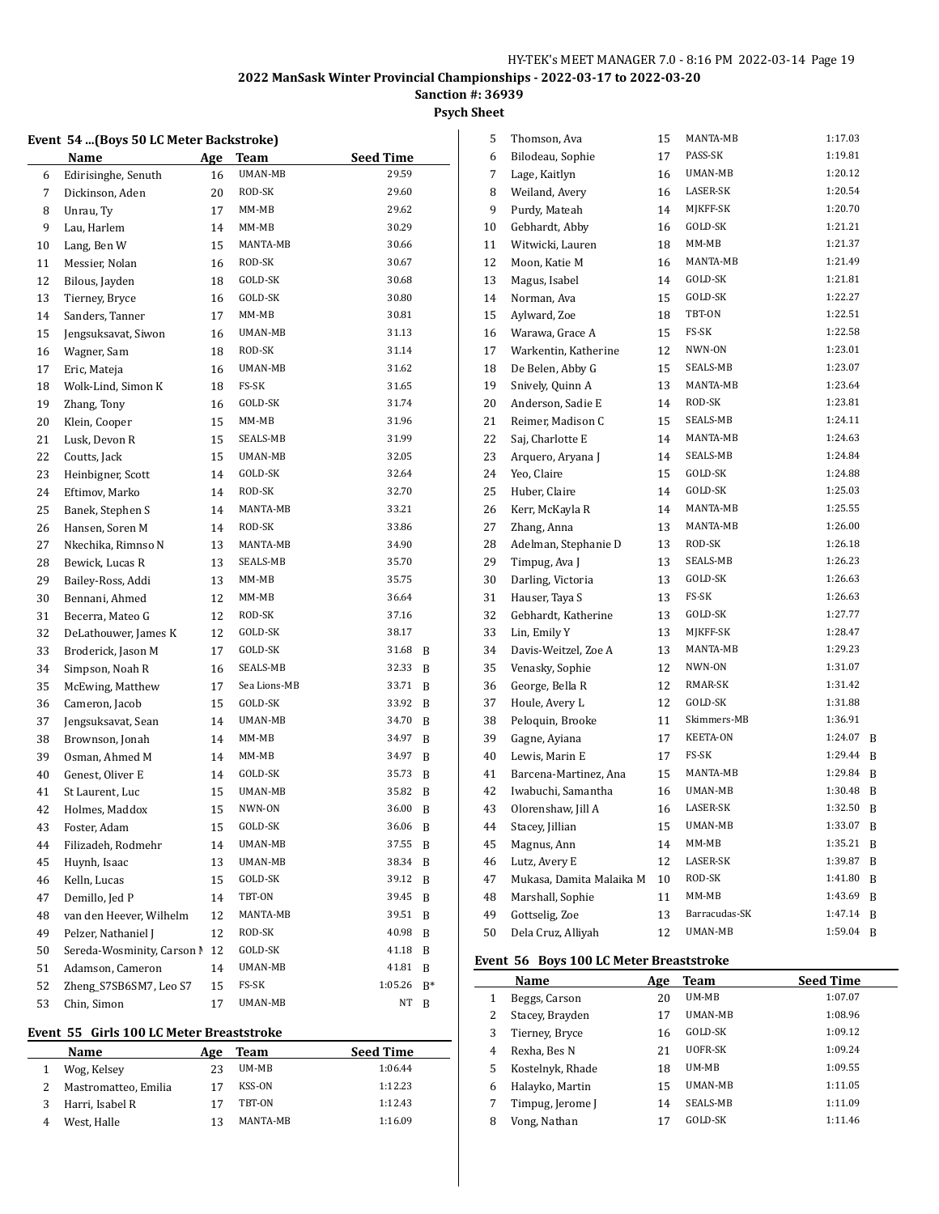**Sanction #: 36939**

# **Psych Sheet**

#### **Event 54 ...(Boys 50 LC Meter Backstroke)**

|    | Name                       | <u>Age</u> | <b>Team</b>  | <b>Seed Time</b> |    |
|----|----------------------------|------------|--------------|------------------|----|
| 6  | Edirisinghe, Senuth        | 16         | UMAN-MB      | 29.59            |    |
| 7  | Dickinson, Aden            | 20         | ROD-SK       | 29.60            |    |
| 8  | Unrau, Ty                  | 17         | MM-MB        | 29.62            |    |
| 9  | Lau, Harlem                | 14         | $MM-MB$      | 30.29            |    |
| 10 | Lang, Ben W                | 15         | MANTA-MB     | 30.66            |    |
| 11 | Messier, Nolan             | 16         | ROD-SK       | 30.67            |    |
| 12 | Bilous, Jayden             | 18         | GOLD-SK      | 30.68            |    |
| 13 | Tierney, Bryce             | 16         | GOLD-SK      | 30.80            |    |
| 14 | Sanders, Tanner            | 17         | MM-MB        | 30.81            |    |
| 15 | Jengsuksavat, Siwon        | 16         | UMAN-MB      | 31.13            |    |
| 16 | Wagner, Sam                | 18         | ROD-SK       | 31.14            |    |
| 17 | Eric, Mateja               | 16         | UMAN-MB      | 31.62            |    |
| 18 | Wolk-Lind, Simon K         | 18         | FS-SK        | 31.65            |    |
| 19 | Zhang, Tony                | 16         | GOLD-SK      | 31.74            |    |
| 20 | Klein, Cooper              | 15         | MM-MB        | 31.96            |    |
| 21 | Lusk, Devon R              | 15         | SEALS-MB     | 31.99            |    |
| 22 | Coutts, Jack               | 15         | UMAN-MB      | 32.05            |    |
| 23 | Heinbigner, Scott          | 14         | GOLD-SK      | 32.64            |    |
| 24 | Eftimov, Marko             | 14         | ROD-SK       | 32.70            |    |
| 25 | Banek, Stephen S           | 14         | MANTA-MB     | 33.21            |    |
| 26 | Hansen, Soren M            | 14         | ROD-SK       | 33.86            |    |
| 27 | Nkechika, Rimnso N         | 13         | MANTA-MB     | 34.90            |    |
| 28 | Bewick, Lucas R            | 13         | SEALS-MB     | 35.70            |    |
| 29 | Bailey-Ross, Addi          | 13         | $MM-MB$      | 35.75            |    |
| 30 | Bennani, Ahmed             | 12         | MM-MB        | 36.64            |    |
| 31 | Becerra, Mateo G           | 12         | ROD-SK       | 37.16            |    |
| 32 | DeLathouwer, James K       | 12         | GOLD-SK      | 38.17            |    |
| 33 | Broderick, Jason M         | 17         | GOLD-SK      | 31.68            | B  |
| 34 | Simpson, Noah R            | 16         | SEALS-MB     | 32.33            | B  |
| 35 | McEwing, Matthew           | 17         | Sea Lions-MB | 33.71            | B  |
| 36 | Cameron, Jacob             | 15         | GOLD-SK      | 33.92            | B  |
| 37 | Jengsuksavat, Sean         | 14         | UMAN-MB      | 34.70            | B  |
| 38 | Brownson, Jonah            | 14         | MM-MB        | 34.97            | B  |
| 39 | Osman, Ahmed M             | 14         | MM-MB        | 34.97            | B  |
| 40 | Genest, Oliver E           | 14         | GOLD-SK      | 35.73            | B  |
| 41 | St Laurent, Luc            | 15         | UMAN-MB      | 35.82            | B  |
| 42 | Holmes, Maddox             | 15         | NWN-ON       | 36.00            | B  |
| 43 | Foster, Adam               | 15         | GOLD-SK      | 36.06            | B  |
| 44 | Filizadeh, Rodmehr         | 14         | UMAN-MB      | 37.55            | B  |
| 45 | Huynh, Isaac               | 13         | UMAN-MB      | 38.34            | B  |
| 46 | Kelln, Lucas               | 15         | GOLD-SK      | 39.12            | B  |
| 47 | Demillo, Jed P             | 14         | TBT-ON       | 39.45            | B  |
| 48 | van den Heever, Wilhelm    | 12         | MANTA-MB     | 39.51            | B  |
| 49 | Pelzer, Nathaniel J        | 12         | ROD-SK       | 40.98            | B  |
| 50 | Sereda-Wosminity, Carson N | 12         | GOLD-SK      | 41.18            | B  |
| 51 | Adamson, Cameron           | 14         | UMAN-MB      | 41.81            | B  |
| 52 | Zheng_S7SB6SM7, Leo S7     | 15         | FS-SK        | 1:05.26          | B* |
| 53 | Chin, Simon                | 17         | UMAN-MB      | NΤ               | B  |

#### **Event 55 Girls 100 LC Meter Breaststroke**

| <b>Name</b>          | Age | Team     | <b>Seed Time</b> |
|----------------------|-----|----------|------------------|
| Wog, Kelsey          | 23  | UM-MB    | 1:06.44          |
| Mastromatteo, Emilia | 17  | KSS-ON   | 1:12.23          |
| Harri, Isabel R      | 17  | TBT-ON   | 1:12.43          |
| West, Halle          | 13  | MANTA-MB | 1:16.09          |

| 5  | Thomson, Ava             | 15 | MANTA-MB        | 1:17.03 |   |
|----|--------------------------|----|-----------------|---------|---|
| 6  | Bilodeau, Sophie         | 17 | PASS-SK         | 1:19.81 |   |
| 7  | Lage, Kaitlyn            | 16 | UMAN-MB         | 1:20.12 |   |
| 8  | Weiland, Avery           | 16 | LASER-SK        | 1:20.54 |   |
| 9  | Purdy, Mateah            | 14 | MJKFF-SK        | 1:20.70 |   |
| 10 | Gebhardt, Abby           | 16 | GOLD-SK         | 1:21.21 |   |
| 11 | Witwicki, Lauren         | 18 | $MM-MB$         | 1:21.37 |   |
| 12 | Moon, Katie M            | 16 | MANTA-MB        | 1:21.49 |   |
| 13 | Magus, Isabel            | 14 | GOLD-SK         | 1:21.81 |   |
| 14 | Norman, Ava              | 15 | GOLD-SK         | 1:22.27 |   |
| 15 | Aylward, Zoe             | 18 | TBT-ON          | 1:22.51 |   |
| 16 | Warawa, Grace A          | 15 | FS-SK           | 1:22.58 |   |
| 17 | Warkentin, Katherine     | 12 | NWN-ON          | 1:23.01 |   |
| 18 | De Belen, Abby G         | 15 | SEALS-MB        | 1:23.07 |   |
| 19 | Snively, Quinn A         | 13 | MANTA-MB        | 1:23.64 |   |
| 20 | Anderson, Sadie E        | 14 | ROD-SK          | 1:23.81 |   |
| 21 | Reimer, Madison C        | 15 | SEALS-MB        | 1:24.11 |   |
| 22 | Saj, Charlotte E         | 14 | MANTA-MB        | 1:24.63 |   |
| 23 | Arquero, Aryana J        | 14 | SEALS-MB        | 1:24.84 |   |
| 24 | Yeo, Claire              | 15 | GOLD-SK         | 1:24.88 |   |
| 25 | Huber, Claire            | 14 | GOLD-SK         | 1:25.03 |   |
| 26 | Kerr, McKayla R          | 14 | MANTA-MB        | 1:25.55 |   |
| 27 | Zhang, Anna              | 13 | MANTA-MB        | 1:26.00 |   |
| 28 | Adelman, Stephanie D     | 13 | ROD-SK          | 1:26.18 |   |
| 29 | Timpug, Ava J            | 13 | SEALS-MB        | 1:26.23 |   |
| 30 | Darling, Victoria        | 13 | GOLD-SK         | 1:26.63 |   |
| 31 | Hauser, Taya S           | 13 | FS-SK           | 1:26.63 |   |
| 32 | Gebhardt, Katherine      | 13 | GOLD-SK         | 1:27.77 |   |
| 33 | Lin, Emily Y             | 13 | MJKFF-SK        | 1:28.47 |   |
| 34 | Davis-Weitzel, Zoe A     | 13 | MANTA-MB        | 1:29.23 |   |
| 35 | Venasky, Sophie          | 12 | NWN-ON          | 1:31.07 |   |
| 36 | George, Bella R          | 12 | RMAR-SK         | 1:31.42 |   |
| 37 | Houle, Avery L           | 12 | GOLD-SK         | 1:31.88 |   |
| 38 | Peloquin, Brooke         | 11 | Skimmers-MB     | 1:36.91 |   |
| 39 | Gagne, Ayiana            | 17 | <b>KEETA-ON</b> | 1:24.07 | B |
| 40 | Lewis, Marin E           | 17 | FS-SK           | 1:29.44 | B |
| 41 | Barcena-Martinez, Ana    | 15 | MANTA-MB        | 1:29.84 | B |
| 42 | Iwabuchi, Samantha       | 16 | UMAN-MB         | 1:30.48 | B |
| 43 | Olorenshaw, Jill A       | 16 | <b>LASER-SK</b> | 1:32.50 | B |
| 44 | Stacey, Jillian          | 15 | UMAN-MB         | 1:33.07 | B |
| 45 | Magnus, Ann              | 14 | MM-MB           | 1:35.21 | B |
| 46 | Lutz, Avery E            | 12 | LASER-SK        | 1:39.87 | B |
| 47 | Mukasa, Damita Malaika M | 10 | ROD-SK          | 1:41.80 | B |
| 48 | Marshall, Sophie         | 11 | $MM-MB$         | 1:43.69 | B |
| 49 | Gottselig, Zoe           | 13 | Barracudas-SK   | 1:47.14 | B |
| 50 | Dela Cruz, Alliyah       | 12 | UMAN-MB         | 1:59.04 | B |
|    |                          |    |                 |         |   |

# **Event 56 Boys 100 LC Meter Breaststroke**

|   | Name             | Age | Team           | <b>Seed Time</b> |
|---|------------------|-----|----------------|------------------|
| 1 | Beggs, Carson    | 20  | UM-MB          | 1:07.07          |
| 2 | Stacey, Brayden  | 17  | <b>UMAN-MB</b> | 1:08.96          |
| 3 | Tierney, Bryce   | 16  | GOLD-SK        | 1:09.12          |
| 4 | Rexha, Bes N     | 21  | UOFR-SK        | 1:09.24          |
| 5 | Kostelnyk, Rhade | 18  | UM-MB          | 1:09.55          |
| 6 | Halayko, Martin  | 15  | <b>UMAN-MB</b> | 1:11.05          |
| 7 | Timpug, Jerome J | 14  | SEALS-MB       | 1:11.09          |
| 8 | Vong, Nathan     | 17  | GOLD-SK        | 1:11.46          |